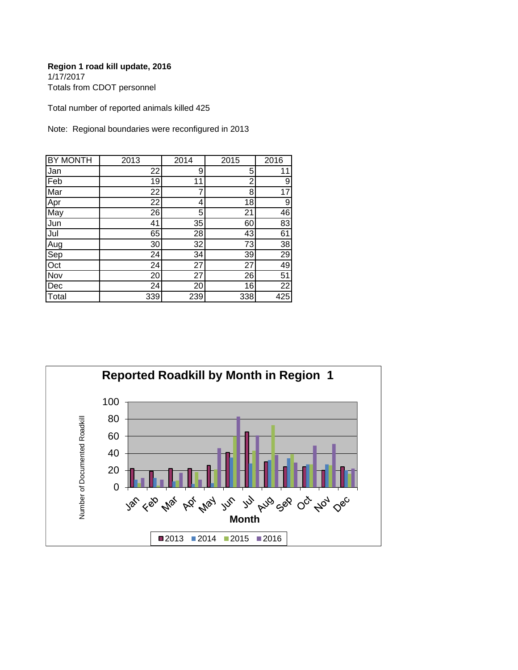#### **Region 1 road kill update, 2016** 1/17/2017 Totals from CDOT personnel

Total number of reported animals killed 425

Note: Regional boundaries were reconfigured in 2013

| <b>BY MONTH</b> | 2013 | 2014 | 2015 | 2016            |
|-----------------|------|------|------|-----------------|
| Jan             | 22   | 9    | 5    | 11              |
| Feb             | 19   | 11   | 2    | 9               |
| Mar             | 22   | 7    | 8    | 17              |
| Apr             | 22   | 4    | 18   | 9               |
| May             | 26   | 5    | 21   | 46              |
| Jun             | 41   | 35   | 60   | 83              |
| Jul             | 65   | 28   | 43   | 61              |
| Aug             | 30   | 32   | 73   | 38              |
| Sep             | 24   | 34   | 39   | $\overline{29}$ |
| Oct             | 24   | 27   | 27   | 49              |
| Nov             | 20   | 27   | 26   | $\overline{51}$ |
| Dec             | 24   | 20   | 16   | 22              |
| Total           | 339  | 239  | 338  | 425             |

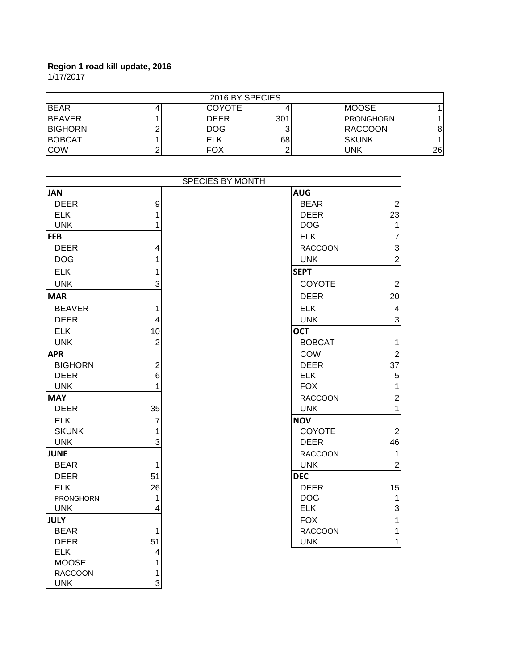1/17/2017

| 2016 BY SPECIES |  |               |     |                   |    |
|-----------------|--|---------------|-----|-------------------|----|
| <b>I</b> BEAR   |  | <b>COYOTE</b> |     | <b>IMOOSE</b>     |    |
| <b>BEAVER</b>   |  | <b>DEER</b>   | 301 | <b>IPRONGHORN</b> |    |
| <b>BIGHORN</b>  |  | <b>IDOG</b>   |     | <b>RACCOON</b>    | 8  |
| <b>BOBCAT</b>   |  | ELK           | 68  | <b>ISKUNK</b>     |    |
| <b>ICOW</b>     |  | <b>FOX</b>    |     | lunk              | 26 |

| SPECIES BY MONTH |                         |                |                |
|------------------|-------------------------|----------------|----------------|
| <b>JAN</b>       |                         | <b>AUG</b>     |                |
| <b>DEER</b>      | $\boldsymbol{9}$        | <b>BEAR</b>    | $\overline{2}$ |
| <b>ELK</b>       | 1                       | <b>DEER</b>    | 23             |
| <b>UNK</b>       | 1                       | <b>DOG</b>     | 1              |
| <b>FEB</b>       |                         | <b>ELK</b>     | 7              |
| <b>DEER</b>      | 4                       | <b>RACCOON</b> | 3              |
| <b>DOG</b>       | 1                       | <b>UNK</b>     | $\overline{2}$ |
| <b>ELK</b>       | 1                       | <b>SEPT</b>    |                |
| <b>UNK</b>       | 3                       | <b>COYOTE</b>  | $\overline{2}$ |
| <b>MAR</b>       |                         | <b>DEER</b>    | 20             |
| <b>BEAVER</b>    | 1                       | <b>ELK</b>     | 4              |
| <b>DEER</b>      | 4                       | <b>UNK</b>     | 3              |
| <b>ELK</b>       | 10                      | <b>OCT</b>     |                |
| <b>UNK</b>       | $\overline{2}$          | <b>BOBCAT</b>  | 1              |
| <b>APR</b>       |                         | COW            | $\overline{2}$ |
| <b>BIGHORN</b>   | $\overline{c}$          | <b>DEER</b>    | 37             |
| <b>DEER</b>      | 6                       | <b>ELK</b>     | 5              |
| <b>UNK</b>       | 1                       | <b>FOX</b>     | 1              |
| <b>MAY</b>       |                         | <b>RACCOON</b> | $\overline{2}$ |
| <b>DEER</b>      | 35                      | <b>UNK</b>     | 1              |
| <b>ELK</b>       | $\overline{7}$          | <b>NOV</b>     |                |
| <b>SKUNK</b>     | 1                       | <b>COYOTE</b>  | $\overline{2}$ |
| <b>UNK</b>       | 3                       | <b>DEER</b>    | 46             |
| <b>JUNE</b>      |                         | <b>RACCOON</b> | $\mathbf{1}$   |
| <b>BEAR</b>      | $\mathbf{1}$            | <b>UNK</b>     | $\overline{2}$ |
| <b>DEER</b>      | 51                      | <b>DEC</b>     |                |
| <b>ELK</b>       | 26                      | <b>DEER</b>    | 15             |
| PRONGHORN        | $\mathbf{1}$            | <b>DOG</b>     | 1              |
| <b>UNK</b>       | 4                       | <b>ELK</b>     | 3              |
| <b>JULY</b>      |                         | <b>FOX</b>     | 1              |
| <b>BEAR</b>      | 1                       | <b>RACCOON</b> | 1              |
| <b>DEER</b>      | 51                      | <b>UNK</b>     | 1              |
| <b>ELK</b>       | $\overline{\mathbf{4}}$ |                |                |
| <b>MOOSE</b>     | 1                       |                |                |
| <b>RACCOON</b>   | 1                       |                |                |
| <b>UNK</b>       | $\overline{3}$          |                |                |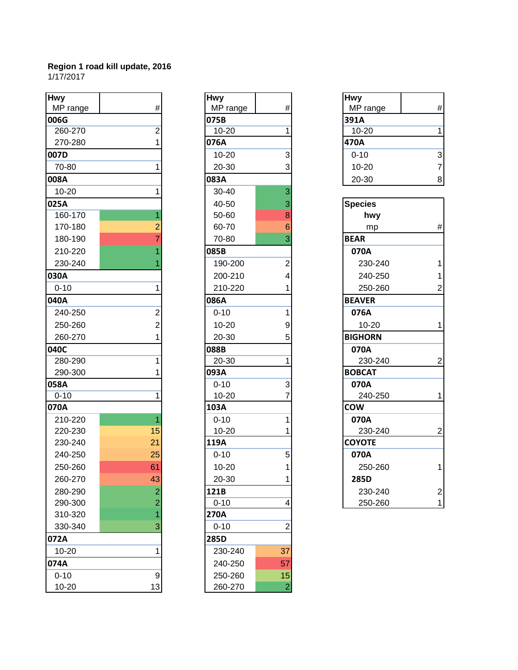| <b>Hwy</b> |                  | <b>Hwy</b> |                | <b>Hwy</b>     |                |
|------------|------------------|------------|----------------|----------------|----------------|
| MP range   | $\#$             | MP range   | #              | MP range       | #              |
| 006G       |                  | 075B       |                | 391A           |                |
| 260-270    | 2                | $10 - 20$  |                | $10 - 20$      | 1              |
| 270-280    |                  | 076A       |                | 470A           |                |
| 007D       |                  | $10 - 20$  | 3              | $0 - 10$       | 3              |
| 70-80      |                  | 20-30      | 3              | $10 - 20$      | $\overline{7}$ |
| 008A       |                  | 083A       |                | 20-30          | 8              |
| $10 - 20$  |                  | 30-40      | 3              |                |                |
| 025A       |                  | 40-50      | 3              | <b>Species</b> |                |
| 160-170    |                  | 50-60      | 8              | hwy            |                |
| 170-180    |                  | 60-70      | 6              | mp             | #              |
| 180-190    |                  | 70-80      | 3              | <b>BEAR</b>    |                |
| 210-220    |                  | 085B       |                | 070A           |                |
| 230-240    |                  | 190-200    | 2              | 230-240        | 1              |
| 030A       |                  | 200-210    | 4              | 240-250        | 1              |
| $0 - 10$   |                  | 210-220    |                | 250-260        | $\overline{2}$ |
| 040A       |                  | 086A       |                | <b>BEAVER</b>  |                |
| 240-250    | 2                | $0 - 10$   |                | 076A           |                |
| 250-260    | $\overline{2}$   | $10 - 20$  | 9              | $10 - 20$      | 1              |
| 260-270    |                  | 20-30      |                | <b>BIGHORN</b> |                |
| 040C       |                  | 088B       |                | 070A           |                |
| 280-290    |                  | $20 - 30$  |                | 230-240        | $\overline{a}$ |
| 290-300    |                  | 093A       |                | <b>BOBCAT</b>  |                |
| 058A       |                  | $0 - 10$   | 3              | 070A           |                |
| $0 - 10$   |                  | $10 - 20$  |                | 240-250        | 1              |
| 070A       |                  | 103A       |                | <b>COW</b>     |                |
| 210-220    |                  | $0 - 10$   |                | 070A           |                |
| 220-230    | 15               | $10 - 20$  |                | 230-240        | $\overline{2}$ |
| 230-240    | 21               | 119A       |                | <b>COYOTE</b>  |                |
| 240-250    | 25               | $0 - 10$   | 5              | 070A           |                |
| 250-260    | 61               | $10 - 20$  | 1              | 250-260        | 1              |
| 260-270    | 43               | 20-30      |                | 285D           |                |
| 280-290    | 2                | 121B       |                | 230-240        | $\overline{a}$ |
| 290-300    | $\overline{2}$   | $0 - 10$   | 4              | 250-260        | 1              |
| 310-320    |                  | 270A       |                |                |                |
| 330-340    |                  | $0 - 10$   | 2              |                |                |
| 072A       |                  | 285D       |                |                |                |
| 10-20      |                  | 230-240    | 37             |                |                |
| 074A       |                  | 240-250    | 57             |                |                |
| $0 - 10$   | $\boldsymbol{9}$ | 250-260    | 15             |                |                |
| 10-20      | 13               | 260-270    | $\overline{c}$ |                |                |

| <b>Hwy</b>    |                           |  |
|---------------|---------------------------|--|
| MP range      | #                         |  |
| 075B          |                           |  |
| $10 - 20$     | 1                         |  |
| 076A          |                           |  |
| 10-20         |                           |  |
| 20-30         | $\frac{3}{3}$             |  |
| 083A          |                           |  |
| 30-40         | $\overline{\overline{3}}$ |  |
| 40-50         |                           |  |
| 50-60         | $\frac{3}{8}$             |  |
| 60-70         | $\overline{6}$            |  |
| 70-80         | 3                         |  |
| 085B          |                           |  |
| 190-200       |                           |  |
| 200-210       | 2<br>4                    |  |
| 210-220       | 1                         |  |
| 086A          |                           |  |
| $0 - 10$      | 1                         |  |
| $10 - 20$     | 9                         |  |
| 20-30         |                           |  |
| 088B          | 5                         |  |
| 20-30         | $\overline{1}$            |  |
| 093A          |                           |  |
| $0 - 10$      | 3<br>7                    |  |
| 10-20         |                           |  |
| 103A          |                           |  |
| $0 - 10$      | 1                         |  |
| $10 - 20$     | 1                         |  |
| 119A          |                           |  |
| $0 - 10$      | 5                         |  |
| 10-20         | 1                         |  |
| 20-30         | 1                         |  |
| 121B          |                           |  |
| $0 - 10$<br>4 |                           |  |
| 270A          |                           |  |
| $0 - 10$      |                           |  |
| 285D          |                           |  |
| 230-240       | 37                        |  |
| 240-250       | 57                        |  |
| 250-260       | 15                        |  |
| 260-270       |                           |  |

| <b>Hwy</b> |   |
|------------|---|
| MP range   |   |
| 391A       |   |
| 10-20      |   |
| 470A       |   |
| $0 - 10$   | 3 |
| 10-20      |   |
| 20-30      |   |

| <b>Species</b> |               |
|----------------|---------------|
| hwy            |               |
| mp             | #             |
| <b>BEAR</b>    |               |
| 070A           |               |
| 230-240        | 1             |
| 240-250        | $\frac{1}{2}$ |
| 250-260        |               |
| <b>BEAVER</b>  |               |
| 076A           |               |
| 10-20          | 1             |
| <b>BIGHORN</b> |               |
| 070A           |               |
| 230-240        | 2             |
| <b>BOBCAT</b>  |               |
| 070A           |               |
| 240-250        | 1             |
| <b>COW</b>     |               |
| 070A           |               |
| 230-240        |               |
| <b>COYOTE</b>  |               |
| 070A           |               |
| 250-260        | 1             |
| 285D           |               |
| 230-240        |               |
| 250-260        |               |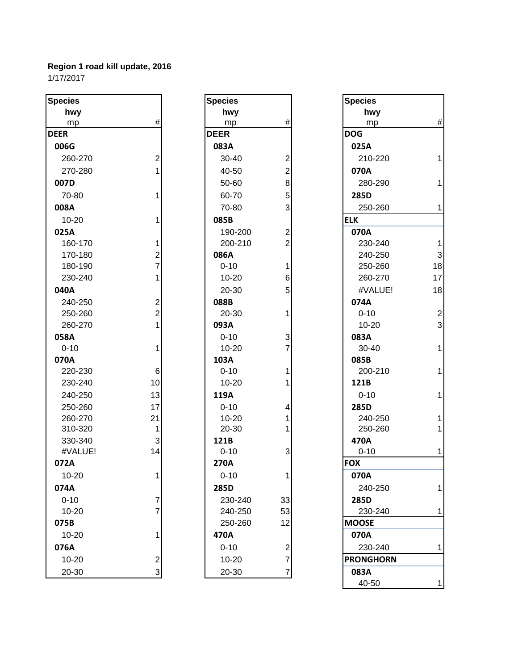1/17/2017

| <b>Species</b> |                         | <b>Species</b> |                         | <b>Species</b>   |                |
|----------------|-------------------------|----------------|-------------------------|------------------|----------------|
| hwy            |                         | hwy            |                         | hwy              |                |
| mp             | #                       | mp             | #                       | mp               | #              |
| <b>DEER</b>    |                         | <b>DEER</b>    |                         | <b>DOG</b>       |                |
| 006G           |                         | 083A           |                         | 025A             |                |
| 260-270        | $\overline{2}$          | 30-40          | $\overline{c}$          | 210-220          | 1              |
| 270-280        |                         | 40-50          | $\overline{c}$          | 070A             |                |
| 007D           |                         | 50-60          | 8                       | 280-290          | 1              |
| 70-80          |                         | 60-70          | 5                       | 285D             |                |
| 008A           |                         | 70-80          | 3                       | 250-260          | 1              |
| $10 - 20$      |                         | 085B           |                         | <b>ELK</b>       |                |
| 025A           |                         | 190-200        | 2                       | 070A             |                |
| 160-170        | 1                       | 200-210        | $\overline{2}$          | 230-240          | 1              |
| 170-180        | 2                       | 086A           |                         | 240-250          | 3              |
| 180-190        | $\overline{7}$          | $0 - 10$       | 1                       | 250-260          | 18             |
| 230-240        | 1                       | $10 - 20$      | 6                       | 260-270          | 17             |
| 040A           |                         | 20-30          | 5                       | #VALUE!          | 18             |
| 240-250        | 2                       | 088B           |                         | 074A             |                |
| 250-260        | $\overline{2}$          | 20-30          |                         | $0 - 10$         | $\overline{c}$ |
| 260-270        | 1                       | 093A           |                         | $10 - 20$        | 3              |
| 058A           |                         | $0 - 10$       | 3                       | 083A             |                |
| $0 - 10$       | 1                       | $10 - 20$      | 7                       | 30-40            | 1              |
| 070A           |                         | 103A           |                         | 085B             |                |
| 220-230        | 6                       | $0 - 10$       |                         | 200-210          | 1              |
| 230-240        | 10                      | $10 - 20$      |                         | 121B             |                |
| 240-250        | 13                      | 119A           |                         | $0 - 10$         | 1              |
| 250-260        | 17                      | $0 - 10$       | 4                       | 285D             |                |
| 260-270        | 21                      | $10 - 20$      |                         | 240-250          |                |
| 310-320        | 1                       | 20-30          |                         | 250-260          | 1              |
| 330-340        | 3                       | 121B           |                         | 470A             |                |
| #VALUE!        | 14                      | $0 - 10$       | 3                       | $0 - 10$         | 1              |
| 072A           |                         | 270A           |                         | <b>FOX</b>       |                |
| 10-20          |                         | $0 - 10$       |                         | 070A             |                |
| 074A           |                         | 285D           |                         | 240-250          | 1              |
| $0 - 10$       | 7                       | 230-240        | 33                      | 285D             |                |
| $10 - 20$      | 7                       | 240-250        | 53                      | 230-240          | 1              |
| 075B           |                         | 250-260        | 12                      | <b>MOOSE</b>     |                |
| $10 - 20$      |                         | 470A           |                         | 070A             |                |
| 076A           |                         | $0 - 10$       | $\overline{\mathbf{c}}$ | 230-240          | 1              |
| $10 - 20$      | $\overline{\mathbf{c}}$ | 10-20          | $\overline{7}$          | <b>PRONGHORN</b> |                |
| 20-30          | 3                       | 20-30          | 7                       | 083A             |                |

| Species     |                                       |
|-------------|---------------------------------------|
| hwy         |                                       |
| <u>mp</u>   | #                                     |
| <b>DEER</b> |                                       |
| 083A        |                                       |
| 30-40       |                                       |
| 40-50       |                                       |
| 50-60       |                                       |
| 60-70       |                                       |
| 70-80       | 2 2 8 5 3                             |
| 085B        | 2 2 1 6 5                             |
| 190-200     |                                       |
| 200-210     |                                       |
| 086A        |                                       |
| $0 - 10$    |                                       |
| $10 - 20$   |                                       |
| 20-30       |                                       |
| 088B        |                                       |
| 20-30       | $\overline{\mathbf{1}}$               |
| 093A        |                                       |
| $0 - 10$    | $\frac{3}{7}$                         |
| 10-20       |                                       |
| 103A        |                                       |
| $0 - 10$    | $\frac{1}{2}$                         |
| 10-20       | $\overline{1}$                        |
| 119A        |                                       |
| $0 - 10$    | 4                                     |
| 10-20       | $\begin{array}{c} 1 \\ 1 \end{array}$ |
| 20-30       |                                       |
| 121B        |                                       |
| $0 - 10$    | 3                                     |
| 270A        |                                       |
| $0 - 10$    | 1                                     |
| 285D        |                                       |
| 230-240     | 33                                    |
| 240-250     | 53                                    |
| 250-260     | 12                                    |
| 470A        |                                       |
| $0 - 10$    |                                       |
| 10-20       |                                       |
| 20-30       |                                       |

| <b>Species</b>   |                |
|------------------|----------------|
| hwy              |                |
| mp               | #              |
| <b>DOG</b>       |                |
| 025A             |                |
| 210-220          | 1              |
| 070A             |                |
| 280-290          | 1              |
| 285D             |                |
| 250-260          | 1              |
| <b>ELK</b>       |                |
| 070A             |                |
| 230-240          | 1              |
| 240-250          | 3              |
| 250-260          | 18             |
| 260-270          | 17             |
| #VALUE!          | 18             |
| 074A             |                |
| $0 - 10$         | $\overline{c}$ |
| 10-20            | 3              |
| 083A             |                |
| 30-40            | 1              |
| 085B             |                |
| 200-210          | 1              |
| 121B             |                |
| $0 - 10$         | 1              |
| 285D             |                |
| 240-250          | 1              |
| 250-260          | 1              |
| 470A             |                |
| $0 - 10$         | 1              |
| <b>FOX</b>       |                |
| 070A             |                |
| 240-250          | 1              |
| 285D             |                |
| 230-240          | 1              |
| <b>MOOSE</b>     |                |
| 070A             |                |
| 230-240          | 1              |
| <b>PRONGHORN</b> |                |
| 083A             |                |
| 40-50            | 1              |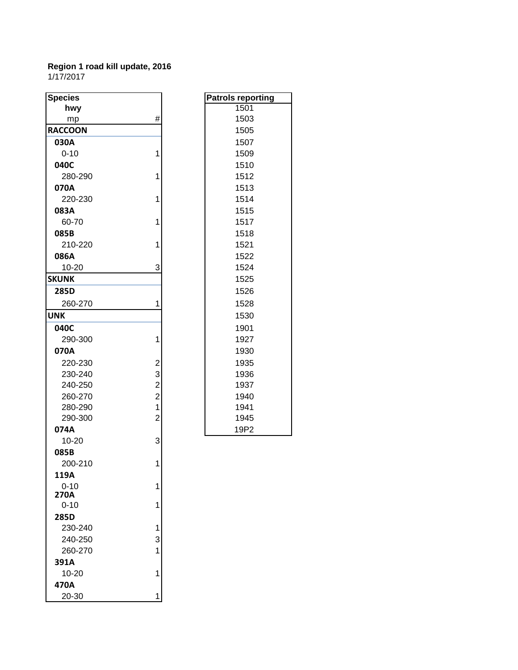| <b>Species</b> |                         | <b>Patrols reporting</b> |
|----------------|-------------------------|--------------------------|
| hwy            |                         | 1501                     |
| mp             | #                       | 1503                     |
| <b>RACCOON</b> |                         | 1505                     |
| 030A           |                         | 1507                     |
| $0 - 10$       | 1                       | 1509                     |
| 040C           |                         | 1510                     |
| 280-290        | 1                       | 1512                     |
| 070A           |                         | 1513                     |
| 220-230        | 1                       | 1514                     |
| 083A           |                         | 1515                     |
| 60-70          | 1                       | 1517                     |
| 085B           |                         | 1518                     |
| 210-220        | 1                       | 1521                     |
| 086A           |                         | 1522                     |
| 10-20          | 3                       | 1524                     |
| <b>SKUNK</b>   |                         | 1525                     |
| 285D           |                         | 1526                     |
| 260-270        | 1                       | 1528                     |
| <b>UNK</b>     |                         | 1530                     |
| 040C           |                         | 1901                     |
| 290-300        | 1                       | 1927                     |
| 070A           |                         | 1930                     |
| 220-230        | $\overline{\mathbf{c}}$ | 1935                     |
| 230-240        | 3                       | 1936                     |
| 240-250        | $\overline{a}$          | 1937                     |
| 260-270        | $\overline{c}$          | 1940                     |
| 280-290        | $\overline{1}$          | 1941                     |
| 290-300        | $\overline{2}$          | 1945                     |
| 074A           |                         | 19P2                     |
| 10-20          | 3                       |                          |
| 085B           |                         |                          |
| 200-210        | 1                       |                          |
| 119A           |                         |                          |
| $0 - 10$       | 1                       |                          |
| 270A           |                         |                          |
| $0 - 10$       | 1                       |                          |
| 285D           |                         |                          |
| 230-240        | 1                       |                          |
| 240-250        | 3                       |                          |
| 260-270        | 1                       |                          |
| 391A           |                         |                          |
| 10-20          | 1                       |                          |
| 470A           |                         |                          |
| 20-30          | 1                       |                          |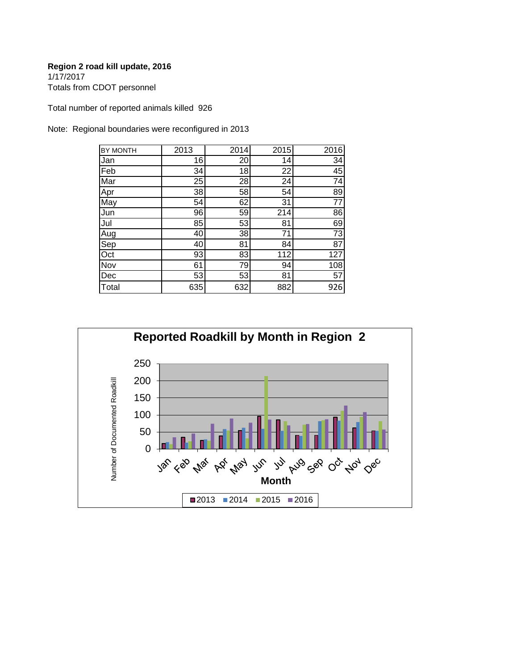1/17/2017 Totals from CDOT personnel

Total number of reported animals killed 926

Note: Regional boundaries were reconfigured in 2013

| BY MONTH | 2013 | 2014 | 2015 | 2016            |
|----------|------|------|------|-----------------|
| Jan      | 16   | 20   | 14   | $\overline{34}$ |
| Feb      | 34   | 18   | 22   | 45              |
| Mar      | 25   | 28   | 24   | 74              |
| Apr      | 38   | 58   | 54   | 89              |
| May      | 54   | 62   | 31   | $\overline{77}$ |
| Jun      | 96   | 59   | 214  | 86              |
| Jul      | 85   | 53   | 81   | 69              |
| Aug      | 40   | 38   | 71   | 73              |
| Sep      | 40   | 81   | 84   | $\overline{87}$ |
| Oct      | 93   | 83   | 112  | 127             |
| Nov      | 61   | 79   | 94   | 108             |
| Dec      | 53   | 53   | 81   | 57              |
| Total    | 635  | 632  | 882  | 926             |

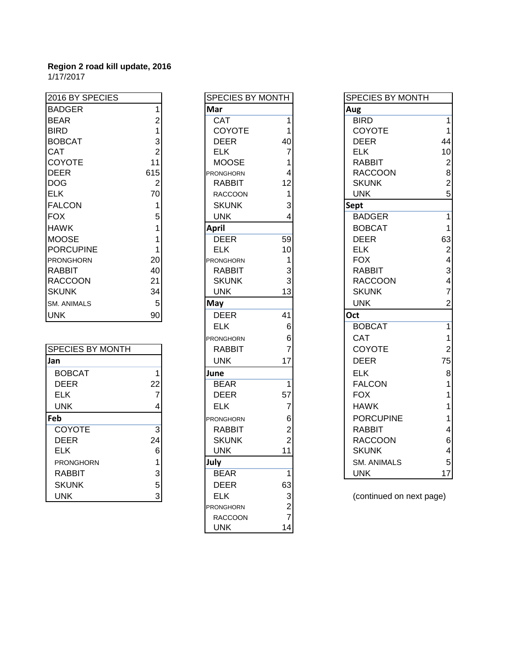| 2016 BY SPECIES    |                | SPECIES BY MONTH |    |                | SPECIES BY MONTH |  |
|--------------------|----------------|------------------|----|----------------|------------------|--|
| <b>BADGER</b>      |                | Mar              |    | Aug            |                  |  |
| <b>BEAR</b>        |                | <b>CAT</b>       |    | <b>BIRD</b>    |                  |  |
| <b>BIRD</b>        |                | <b>COYOTE</b>    |    | <b>COYOTE</b>  |                  |  |
| <b>BOBCAT</b>      |                | <b>DEER</b>      | 40 | <b>DEER</b>    | 44               |  |
| <b>CAT</b>         |                | <b>ELK</b>       |    | <b>ELK</b>     | 10               |  |
| COYOTE             | 11             | <b>MOOSE</b>     |    | <b>RABBIT</b>  | $\overline{2}$   |  |
| <b>DEER</b>        | 615            | <b>PRONGHORN</b> |    | <b>RACCOON</b> | 8                |  |
| <b>DOG</b>         | $\overline{2}$ | <b>RABBIT</b>    | 12 | <b>SKUNK</b>   | $\overline{2}$   |  |
| <b>ELK</b>         | 70             | <b>RACCOON</b>   |    | <b>UNK</b>     | 5                |  |
| <b>FALCON</b>      |                | <b>SKUNK</b>     | 3  | <b>Sept</b>    |                  |  |
| <b>FOX</b>         | 5              | <b>UNK</b>       |    | <b>BADGER</b>  |                  |  |
| <b>HAWK</b>        |                | April            |    | <b>BOBCAT</b>  |                  |  |
| <b>MOOSE</b>       |                | <b>DEER</b>      | 59 | <b>DEER</b>    | 63               |  |
| <b>PORCUPINE</b>   |                | <b>ELK</b>       | 10 | <b>ELK</b>     | 2                |  |
| <b>PRONGHORN</b>   | 20             | <b>PRONGHORN</b> |    | <b>FOX</b>     | 4                |  |
| <b>RABBIT</b>      | 40             | <b>RABBIT</b>    | 3  | <b>RABBIT</b>  | 3                |  |
| <b>RACCOON</b>     | 21             | <b>SKUNK</b>     | 3  | <b>RACCOON</b> | 4                |  |
| <b>SKUNK</b>       | 34             | <b>UNK</b>       | 13 | <b>SKUNK</b>   | 7                |  |
| <b>SM. ANIMALS</b> | 5              | May              |    | <b>UNK</b>     | $\overline{2}$   |  |
| <b>UNK</b>         | 90             | <b>DEER</b>      | 41 | Oct            |                  |  |

| <b>SPECIES BY MONTH</b> |    | <b>RABBIT</b>    |    | <b>COYOTE</b>            | $\overline{2}$ |
|-------------------------|----|------------------|----|--------------------------|----------------|
| Jan                     |    | <b>UNK</b>       | 17 | <b>DEER</b>              | 75             |
| <b>BOBCAT</b>           |    | June             |    | <b>ELK</b>               | 8              |
| <b>DEER</b>             | 22 | <b>BEAR</b>      |    | <b>FALCON</b>            |                |
| <b>ELK</b>              |    | <b>DEER</b>      | 57 | <b>FOX</b>               |                |
| <b>UNK</b>              |    | <b>ELK</b>       |    | <b>HAWK</b>              |                |
| Feb                     |    | <b>PRONGHORN</b> | 6  | <b>PORCUPINE</b>         |                |
| <b>COYOTE</b>           | 3  | <b>RABBIT</b>    | 2  | <b>RABBIT</b>            | 4              |
| <b>DEER</b>             | 24 | <b>SKUNK</b>     |    | <b>RACCOON</b>           | 6              |
| <b>ELK</b>              | 6  | <b>UNK</b>       | 11 | <b>SKUNK</b>             | 4              |
| <b>PRONGHORN</b>        |    | July             |    | <b>SM. ANIMALS</b>       | 5              |
| <b>RABBIT</b>           | 3  | <b>BEAR</b>      |    | <b>UNK</b>               | 17             |
| <b>SKUNK</b>            | 5  | <b>DEER</b>      | 63 |                          |                |
| <b>UNK</b>              |    | <b>ELK</b>       |    | (continued on next page) |                |
|                         |    |                  |    |                          |                |

| <b>MONTH</b>                                                     |
|------------------------------------------------------------------|
|                                                                  |
| 1                                                                |
| 1                                                                |
| 40                                                               |
| 7                                                                |
|                                                                  |
|                                                                  |
|                                                                  |
|                                                                  |
| $\begin{array}{c} 1 \\ 4 \\ 12 \\ 1 \\ 3 \\ 4 \end{array}$       |
|                                                                  |
|                                                                  |
| 59                                                               |
| 10                                                               |
| 1                                                                |
|                                                                  |
| $\begin{array}{c} 3 \\ 3 \\ 13 \end{array}$                      |
|                                                                  |
|                                                                  |
| 41                                                               |
| 6                                                                |
|                                                                  |
| 6<br>7                                                           |
| 17                                                               |
|                                                                  |
| 1                                                                |
| 57                                                               |
|                                                                  |
| $\begin{bmatrix} 7 & 6 & 2 \\ 6 & 2 & 2 \\ 11 & 1 \end{bmatrix}$ |
|                                                                  |
|                                                                  |
|                                                                  |
|                                                                  |
| 1                                                                |
| 63                                                               |
|                                                                  |
| $\begin{array}{c} 3 \\ 2 \\ 7 \end{array}$                       |
|                                                                  |
| 14                                                               |
|                                                                  |

| 016 BY SPECIES    |                | SPECIES BY MONTH |                | <b>SPECIES BY MONTH</b> |                          |
|-------------------|----------------|------------------|----------------|-------------------------|--------------------------|
| ADGER             |                | Mar              |                | Aug                     |                          |
| EAR               | 2              | <b>CAT</b>       |                | <b>BIRD</b>             | $\mathbf{1}$             |
| <b>RD</b>         |                | COYOTE           |                | COYOTE                  | $\mathbf{1}$             |
| OBCAT             | 3              | <b>DEER</b>      | 40             | <b>DEER</b>             | 44                       |
| AT                | $\overline{2}$ | <b>ELK</b>       | 7              | <b>ELK</b>              | 10                       |
| <b>OYOTE</b>      | 11             | <b>MOOSE</b>     |                | <b>RABBIT</b>           | $\overline{\mathbf{c}}$  |
| EER               | 615            | <b>PRONGHORN</b> |                | <b>RACCOON</b>          | 8                        |
| ОG                | $\overline{2}$ | <b>RABBIT</b>    | 12             | <b>SKUNK</b>            | $\overline{\mathbf{c}}$  |
| LK                | 70             | <b>RACCOON</b>   |                | <b>UNK</b>              | 5                        |
| <b>ALCON</b>      | 1              | <b>SKUNK</b>     | 3              | <b>Sept</b>             |                          |
| ХC                | 5              | <b>UNK</b>       |                | <b>BADGER</b>           | $\mathbf{1}$             |
| <b>AWK</b>        |                | <b>April</b>     |                | <b>BOBCAT</b>           | $\mathbf{1}$             |
| OOSE              |                | <b>DEER</b>      | 59             | <b>DEER</b>             | 63                       |
| ORCUPINE          |                | <b>ELK</b>       | 10             | <b>ELK</b>              | $\boldsymbol{2}$         |
| <b>RONGHORN</b>   | 20             | <b>PRONGHORN</b> |                | <b>FOX</b>              | $\overline{\mathbf{4}}$  |
| ABBIT             | 40             | <b>RABBIT</b>    | 3              | <b>RABBIT</b>           | $\mathbf{3}$             |
| ACCOON            | 21             | <b>SKUNK</b>     | 3              | <b>RACCOON</b>          | $\overline{\mathcal{A}}$ |
| KUNK              | 34             | <b>UNK</b>       | 13             | <b>SKUNK</b>            | $\overline{7}$           |
| <b>1. ANIMALS</b> | 5              | May              |                | <b>UNK</b>              | $\overline{c}$           |
| NΚ.               | 90             | <b>DEER</b>      | 41             | Oct                     |                          |
|                   |                | <b>ELK</b>       | 6              | <b>BOBCAT</b>           | $\mathbf{1}$             |
|                   |                | <b>PRONGHORN</b> | 6              | CAT                     | $\mathbf{1}$             |
| PECIES BY MONTH   |                | <b>RABBIT</b>    |                | <b>COYOTE</b>           | $\boldsymbol{2}$         |
| n                 |                | <b>UNK</b>       | 17             | <b>DEER</b>             | 75                       |
| <b>BOBCAT</b>     | 1              | June             |                | <b>ELK</b>              | $\bf8$                   |
| <b>DEER</b>       | 22             | <b>BEAR</b>      |                | <b>FALCON</b>           | 1                        |
| <b>ELK</b>        | 7              | <b>DEER</b>      | 57             | <b>FOX</b>              | 1                        |
| <b>UNK</b>        |                | <b>ELK</b>       | 7              | <b>HAWK</b>             | 1                        |
| p.                |                | <b>PRONGHORN</b> | 6              | <b>PORCUPINE</b>        | $\mathbf{1}$             |
| <b>COYOTE</b>     | 3              | <b>RABBIT</b>    |                | <b>RABBIT</b>           | $\overline{\mathbf{4}}$  |
| <b>DEER</b>       | 24             | <b>SKUNK</b>     | $\overline{2}$ | <b>RACCOON</b>          | $\,6$                    |
| <b>ELK</b>        | 6              | <b>UNK</b>       | 11             | <b>SKUNK</b>            | $\overline{\mathbf{4}}$  |
| PRONGHORN         |                | July             |                | <b>SM. ANIMALS</b>      | $\overline{5}$           |
| <b>RABBIT</b>     | $\overline{3}$ | <b>BEAR</b>      | $\mathbf{1}$   | <b>UNK</b>              | 17                       |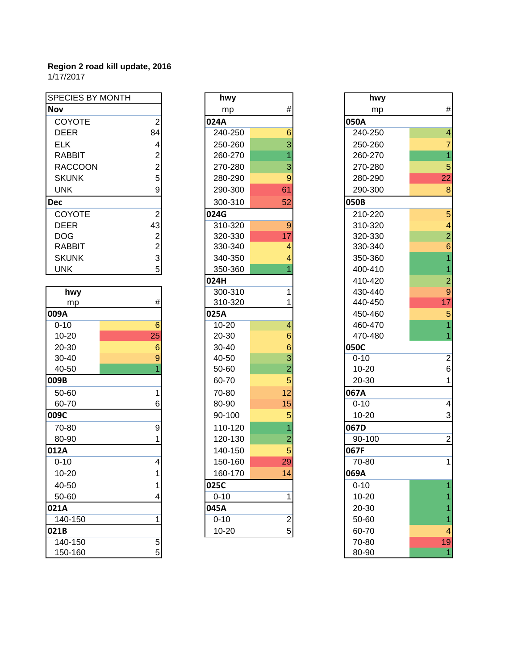| <b>SPECIES BY MONTH</b> |                 | hwy       |                         | hwy      |
|-------------------------|-----------------|-----------|-------------------------|----------|
| <b>Nov</b>              |                 | mp        | $\#$                    | mp       |
| <b>COYOTE</b>           | $\overline{2}$  | 024A      |                         | 050A     |
| <b>DEER</b>             | 84              | 240-250   | 6                       | 240-250  |
| <b>ELK</b>              | 4               | 250-260   | $\overline{3}$          | 250-260  |
| <b>RABBIT</b>           | 2               | 260-270   |                         | 260-270  |
| <b>RACCOON</b>          | $\overline{2}$  | 270-280   | 3                       | 270-280  |
| <b>SKUNK</b>            | 5               | 280-290   | 9                       | 280-290  |
| <b>UNK</b>              | 9               | 290-300   | 61                      | 290-300  |
| <b>Dec</b>              |                 | 300-310   | 52                      | 050B     |
| COYOTE                  | $\overline{2}$  | 024G      |                         | 210-220  |
| <b>DEER</b>             | 43              | 310-320   | 9                       | 310-320  |
| <b>DOG</b>              | $\overline{c}$  | 320-330   | 17                      | 320-330  |
| <b>RABBIT</b>           | $\overline{c}$  | 330-340   | 4                       | 330-340  |
| <b>SKUNK</b>            | $\overline{3}$  | 340-350   | 4                       | 350-360  |
| <b>UNK</b>              | $\overline{5}$  | 350-360   |                         | 400-410  |
|                         |                 | 024H      |                         | 410-420  |
| hwy                     |                 | 300-310   | 1                       | 430-440  |
| mp                      | #               | 310-320   | 1                       | 440-450  |
| 009A                    |                 | 025A      |                         | 450-460  |
| $0 - 10$                | $6\phantom{1}$  | $10 - 20$ | 4                       | 460-470  |
| 10-20                   | 25              | 20-30     | 6                       | 470-480  |
| 20-30                   | $6\phantom{1}6$ | 30-40     | 6                       | 050C     |
| 30-40                   | 9               | 40-50     | 3                       | $0 - 10$ |
| 40-50                   |                 | 50-60     | $\overline{2}$          | 10-20    |
| 009B                    |                 | 60-70     | 5                       | 20-30    |
| 50-60                   | 1               | 70-80     | 12                      | 067A     |
| 60-70                   | 6               | 80-90     | 15                      | $0 - 10$ |
| 009C                    |                 | 90-100    | 5                       | 10-20    |
| 70-80                   | 9               | 110-120   |                         | 067D     |
| 80-90                   | 1               | 120-130   | $\overline{2}$          | 90-100   |
| 012A                    |                 | 140-150   | 5                       | 067F     |
| $0 - 10$                | 4               | 150-160   | 29                      | 70-80    |
| 10-20                   | 1               | 160-170   | 14                      | 069A     |
| 40-50                   | 1               | 025C      |                         | $0 - 10$ |
| 50-60                   | 4               | $0 - 10$  | 1                       | 10-20    |
| 021A                    |                 | 045A      |                         | 20-30    |
| 140-150                 | $\mathbf{1}$    | $0 - 10$  | $\overline{\mathbf{c}}$ | 50-60    |
| 021B                    |                 | $10 - 20$ | 5                       | 60-70    |
| 140-150                 | $\overline{5}$  |           |                         | 70-80    |
| 150-160                 | 5 <sup>1</sup>  |           |                         | 80-90    |

|                | hwy      |                | hwy      |
|----------------|----------|----------------|----------|
|                | mp       | #              | mp       |
| 2              | 024A     |                | 050A     |
| 4              | 240-250  | 6              | 240-250  |
| 4              | 250-260  | 3              | 250-260  |
| $\overline{c}$ | 260-270  | $\overline{1}$ | 260-270  |
| 2              | 270-280  | 3              | 270-280  |
| 5              | 280-290  | 9              | 280-290  |
| 9              | 290-300  | 61             | 290-300  |
|                | 300-310  | 52             | 050B     |
| $\overline{c}$ | 024G     |                | 210-220  |
| 3              | 310-320  | 9              | 310-320  |
| 2              | 320-330  | 17             | 320-330  |
| 2              | 330-340  | 4              | 330-340  |
| 3              | 340-350  | 4              | 350-360  |
| 5              | 350-360  | $\overline{1}$ | 400-410  |
|                | 024H     |                | 410-420  |
|                | 300-310  | 1              | 430-440  |
| $\#$           | 310-320  | 1              | 440-450  |
|                | 025A     |                | 450-460  |
| 6              | 10-20    | $\overline{4}$ | 460-470  |
| 5              | 20-30    | 6              | 470-480  |
| 6              | 30-40    | 6              | 050C     |
| 9              | 40-50    | 3              | $0 - 10$ |
| 1              | 50-60    | $\overline{2}$ | 10-20    |
|                | 60-70    | 5              | 20-30    |
| 1              | 70-80    | 12             | 067A     |
| 6              | 80-90    | 15             | $0 - 10$ |
|                | 90-100   | 5              | 10-20    |
| 9              | 110-120  | $\overline{1}$ | 067D     |
| 1              | 120-130  | $\overline{2}$ | 90-100   |
|                | 140-150  | 5              | 067F     |
| 4              | 150-160  | 29             | 70-80    |
| 1              | 160-170  | 14             | 069A     |
| 1              | 025C     |                | $0 - 10$ |
| 4              | $0 - 10$ | 1              | 10-20    |
|                | 045A     |                | 20-30    |
| 1              | $0 - 10$ | $\overline{c}$ | 50-60    |
|                | 10-20    | 5              | 60-70    |
|                |          |                |          |

|                | hwy      |                         | hwy       |                         |
|----------------|----------|-------------------------|-----------|-------------------------|
|                | mp       | #                       | mp        | $\#$                    |
| $\overline{c}$ | 024A     |                         | 050A      |                         |
| 4              | 240-250  | 6                       | 240-250   | $\overline{4}$          |
| 4              | 250-260  | 3                       | 250-260   | $\overline{7}$          |
| 2              | 260-270  | 1                       | 260-270   | $\overline{1}$          |
| 2              | 270-280  | 3                       | 270-280   | 5                       |
| 5              | 280-290  | 9                       | 280-290   | 22                      |
| 9              | 290-300  | 61                      | 290-300   | $\bf 8$                 |
|                | 300-310  | 52                      | 050B      |                         |
| $\overline{c}$ | 024G     |                         | 210-220   | $\overline{5}$          |
| 3              | 310-320  | 9                       | 310-320   | $\overline{\mathbf{4}}$ |
| 2              | 320-330  | 17                      | 320-330   | $\overline{2}$          |
| 2              | 330-340  | 4                       | 330-340   | $\,$ 6 $\,$             |
| 3              | 340-350  | 4                       | 350-360   | $\overline{1}$          |
| 5              | 350-360  |                         | 400-410   | $\overline{1}$          |
|                | 024H     |                         | 410-420   | $\overline{2}$          |
|                | 300-310  | 1                       | 430-440   | $\overline{9}$          |
| #              | 310-320  | 1                       | 440-450   | 17                      |
|                | 025A     |                         | 450-460   | 5                       |
| $\overline{6}$ | 10-20    | 4                       | 460-470   | $\overline{1}$          |
| 5              | 20-30    | 6                       | 470-480   | $\overline{1}$          |
| 6              | 30-40    | 6                       | 050C      |                         |
| 9              | 40-50    | 3                       | $0 - 10$  | $\overline{c}$          |
| 1              | 50-60    | $\overline{2}$          | $10 - 20$ | 6                       |
|                | 60-70    | 5                       | 20-30     | $\mathbf{1}$            |
| $\mathbf 1$    | 70-80    | 12                      | 067A      |                         |
| 6              | 80-90    | 15                      | $0 - 10$  | $\overline{4}$          |
|                | 90-100   | 5                       | 10-20     | 3                       |
| 9              | 110-120  | 1                       | 067D      |                         |
| 1              | 120-130  | $\overline{2}$          | 90-100    | $\overline{c}$          |
|                | 140-150  | 5                       | 067F      |                         |
| $\overline{4}$ | 150-160  | 29                      | 70-80     | $\mathbf 1$             |
| 1              | 160-170  | 14                      | 069A      |                         |
| 1              | 025C     |                         | $0 - 10$  |                         |
| 4              | $0 - 10$ | 1                       | 10-20     |                         |
|                | 045A     |                         | 20-30     |                         |
| 1              | $0 - 10$ | $\overline{\mathbf{c}}$ | 50-60     | 1                       |
|                | 10-20    | 5                       | 60-70     | 4                       |
| 5              |          |                         | 70-80     | 19                      |
| 5              |          |                         | 80-90     | $\overline{1}$          |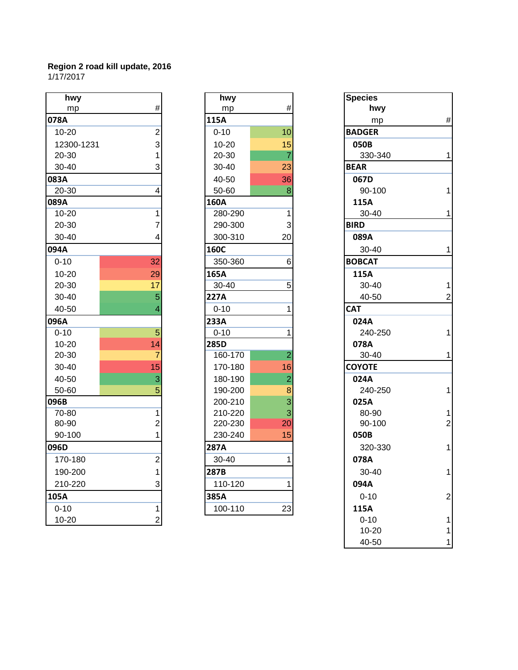| hwy        |                | hwy         |                | <b>Species</b> |                |
|------------|----------------|-------------|----------------|----------------|----------------|
| mp         | $\#$           | mp          | $\#$           | hwy            |                |
| 078A       |                | 115A        |                | mp             | #              |
| $10 - 20$  | $\overline{2}$ | $0 - 10$    | 10             | <b>BADGER</b>  |                |
| 12300-1231 | $\overline{3}$ | $10 - 20$   | 15             | 050B           |                |
| 20-30      | 1              | 20-30       | $\overline{7}$ | 330-340        | 1              |
| 30-40      | 3              | 30-40       | 23             | <b>BEAR</b>    |                |
| 083A       |                | 40-50       | 36             | 067D           |                |
| $20 - 30$  | 4              | 50-60       | 8              | 90-100         | 1              |
| 089A       |                | 160A        |                | 115A           |                |
| $10 - 20$  | 1              | 280-290     | 1              | 30-40          | 1              |
| 20-30      | 7              | 290-300     | $\sqrt{3}$     | <b>BIRD</b>    |                |
| $30 - 40$  | 4              | 300-310     | 20             | 089A           |                |
| 094A       |                | <b>160C</b> |                | 30-40          | 1              |
| $0 - 10$   | 32             | 350-360     | 6              | <b>BOBCAT</b>  |                |
| $10 - 20$  | 29             | 165A        |                | 115A           |                |
| 20-30      | 17             | $30 - 40$   | $\overline{5}$ | 30-40          | 1              |
| 30-40      | 5              | 227A        |                | 40-50          | $\overline{2}$ |
| 40-50      | 4              | $0 - 10$    |                | <b>CAT</b>     |                |
| 096A       |                | 233A        |                | 024A           |                |
| $0 - 10$   | $\overline{5}$ | $0 - 10$    | 1              | 240-250        | 1              |
| $10 - 20$  | 14             | 285D        |                | 078A           |                |
| 20-30      | $\overline{7}$ | 160-170     | $\overline{c}$ | 30-40          | 1              |
| 30-40      | 15             | 170-180     | 16             | <b>COYOTE</b>  |                |
| 40-50      | 3              | 180-190     | $\overline{2}$ | 024A           |                |
| 50-60      | 5              | 190-200     | 8              | 240-250        | 1              |
| 096B       |                | 200-210     | $\overline{3}$ | 025A           |                |
| 70-80      | 1              | 210-220     | 3              | 80-90          | 1              |
| 80-90      | $\overline{2}$ | 220-230     | 20             | 90-100         | $\overline{a}$ |
| 90-100     | 1              | 230-240     | 15             | 050B           |                |
| 096D       |                | 287A        |                | 320-330        | 1              |
| 170-180    | $\overline{2}$ | 30-40       |                | 078A           |                |
| 190-200    | 1              | 287B        |                | 30-40          | 1              |
| 210-220    | 3              | 110-120     | 1              | 094A           |                |
| 105A       |                | 385A        |                | $0 - 10$       | $\overline{a}$ |
| $0 - 10$   | 1              | 100-110     | 23             | 115A           |                |
| $10 - 20$  | $\overline{2}$ |             |                | $0 - 10$       | 1              |

| hwy       |                         |
|-----------|-------------------------|
| mp        | #                       |
| _<br>115A |                         |
| 0-10      | 10                      |
| 10-20     | 15                      |
| 20-30     | 7                       |
| 30-40     | 23                      |
| 40-50     | 36                      |
| 50-60     | 8                       |
| 160A      |                         |
| 280-290   | 1                       |
| 290-300   | 3                       |
| 300-310   | 20                      |
| 160C      |                         |
| 350-360   | 6                       |
| 165A      |                         |
| 30-40     | 5                       |
| 227A      |                         |
| $0 - 10$  | 1                       |
| 233A      |                         |
| $0 - 10$  | $\overline{\mathbf{1}}$ |
| 285D      |                         |
| 160-170   | $\overline{2}$          |
| 170-180   | 16                      |
| 180-190   | $\overline{2}$          |
| 190-200   | 8                       |
| 200-210   | 3                       |
| 210-220   | 3                       |
| 220-230   | 20                      |
| 230-240   | 15                      |
| 287A      |                         |
| 30-40     | 1                       |
| 287B      |                         |
| 110-120   | 1                       |
| 385A      |                         |
| 100-110   | 23                      |

| hwy        |                | hwy       |                | <b>Species</b> |
|------------|----------------|-----------|----------------|----------------|
| mp         | #              | mp        | #              | hwy            |
| 78A        |                | 115A      |                | mp             |
| 10-20      | $\overline{2}$ | $0 - 10$  | 10             | <b>BADGER</b>  |
| 12300-1231 | 3              | $10 - 20$ | 15             | 050B           |
| 20-30      | 1              | 20-30     | 7              | 330-340        |
| 30-40      | 3              | 30-40     | 23             | <b>BEAR</b>    |
| 33A        |                | 40-50     | 36             | 067D           |
| 20-30      | 4              | 50-60     | 8              | 90-100         |
| 39A        |                | 160A      |                | 115A           |
| 10-20      | 1              | 280-290   | 1              | 30-40          |
| 20-30      | 7              | 290-300   | 3              | <b>BIRD</b>    |
| 30-40      | 4              | 300-310   | 20             | 089A           |
| 94A        |                | 160C      |                | 30-40          |
| $0 - 10$   | 32             | 350-360   | 6              | <b>BOBCAT</b>  |
| 10-20      | 29             | 165A      |                | 115A           |
| 20-30      | 17             | 30-40     | 5              | 30-40          |
| 30-40      | 5              | 227A      |                | 40-50          |
| 40-50      |                | $0 - 10$  |                | <b>CAT</b>     |
| 96A        |                | 233A      |                | 024A           |
| $0 - 10$   | 5              | $0 - 10$  |                | 240-250        |
| 10-20      | 14             | 285D      |                | 078A           |
| 20-30      | 7              | 160-170   | $\overline{2}$ | 30-40          |
| 30-40      | 15             | 170-180   | 16             | <b>COYOTE</b>  |
| 40-50      | 3              | 180-190   | 2              | 024A           |
| 50-60      | 5              | 190-200   | 8              | 240-250        |
| 96B        |                | 200-210   | 3              | 025A           |
| 70-80      | 1              | 210-220   | 3              | 80-90          |
| 80-90      | 2              | 220-230   | 20             | 90-100         |
| 90-100     |                | 230-240   | 15             | 050B           |
| 96D        |                | 287A      |                | 320-330        |
| 170-180    | $\overline{c}$ | 30-40     | 1              | 078A           |
| 190-200    | 11             | 287B      |                | 30-40          |
| 210-220    | 3              | 110-120   | 1              | 094A           |
| )5A        |                | 385A      |                | $0 - 10$       |
| $0 - 10$   | 1              | 100-110   | 23             | 115A           |
| 10-20      | $\mathbf{2}$   |           |                | $0 - 10$       |
|            |                |           |                | 10-20          |
|            |                |           |                | 40-50          |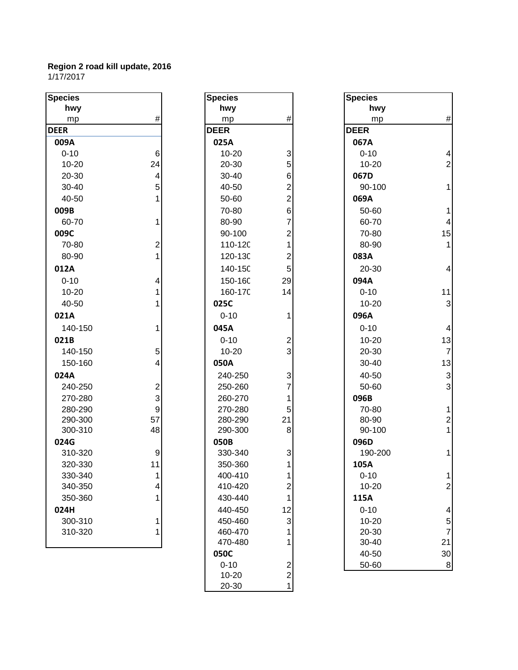| <b>Species</b> |                         | <b>Species</b> |                         | <b>Species</b> |                |
|----------------|-------------------------|----------------|-------------------------|----------------|----------------|
| hwy            |                         | hwy            |                         | hwy            |                |
| mp             | $\#$                    | mp             | $\#$                    | mp             | #              |
| <b>DEER</b>    |                         | <b>DEER</b>    |                         | <b>DEER</b>    |                |
| 009A           |                         | 025A           |                         | 067A           |                |
| $0 - 10$       | $\,6$                   | 10-20          | 3                       | $0 - 10$       | 4              |
| $10 - 20$      | 24                      | 20-30          | 5                       | 10-20          | $\overline{c}$ |
| 20-30          | $\overline{\mathbf{4}}$ | 30-40          | 6                       | 067D           |                |
| 30-40          | 5                       | 40-50          | 2                       | 90-100         | 1              |
| 40-50          | 1                       | 50-60          | $\overline{2}$          | 069A           |                |
| 009B           |                         | 70-80          | 6                       | 50-60          | 1              |
| 60-70          | 1                       | 80-90          | 7                       | 60-70          | 4              |
| 009C           |                         | 90-100         | 2                       | 70-80          | 15             |
| 70-80          | $\overline{2}$          | 110-120        | 1                       | 80-90          | 1              |
| 80-90          | $\mathbf 1$             | 120-130        | 2                       | 083A           |                |
| 012A           |                         | 140-15C        | 5                       | 20-30          | 4              |
| $0 - 10$       | 4                       | 150-16C        | 29                      | 094A           |                |
| $10 - 20$      | 1                       | 160-17C        | 14                      | $0 - 10$       | 11             |
| 40-50          | 1                       | 025C           |                         | $10 - 20$      | 3              |
| 021A           |                         | $0 - 10$       | 1                       | 096A           |                |
| 140-150        | 1                       | 045A           |                         | $0 - 10$       | 4              |
| 021B           |                         | $0 - 10$       | 2                       | $10 - 20$      | 13             |
| 140-150        | 5                       | $10 - 20$      | 3                       | 20-30          | $\overline{7}$ |
| 150-160        | $\overline{\mathbf{4}}$ | 050A           |                         | 30-40          | 13             |
| 024A           |                         | 240-250        | 3                       | 40-50          | 3              |
| 240-250        | $\overline{\mathbf{c}}$ | 250-260        | 7                       | 50-60          | 3              |
| 270-280        | 3                       | 260-270        | 1                       | 096B           |                |
| 280-290        | 9                       | 270-280        | 5                       | 70-80          | 1              |
| 290-300        | 57                      | 280-290        | 21                      | 80-90          | $\overline{a}$ |
| 300-310        | 48                      | 290-300        | 8                       | 90-100         | 1              |
| 024G           |                         | 050B           |                         | 096D           |                |
| 310-320        | 9                       | 330-340        | 3                       | 190-200        | 1              |
| 320-330        | 11                      | 350-360        | 1                       | 105A           |                |
| 330-340        | 1                       | 400-410        | 1                       | $0 - 10$       |                |
| 340-350        | 4                       | 410-420        | 2                       | 10-20          | $\overline{2}$ |
| 350-360        | 1                       | 430-440        | 1                       | 115A           |                |
| 024H           |                         | 440-450        | 12                      | $0 - 10$       | 4              |
| 300-310        | 1                       | 450-460        | 3                       | $10 - 20$      | 5              |
| 310-320        | 1                       | 460-470        |                         | 20-30          | $\overline{7}$ |
|                |                         | 470-480        |                         | 30-40          | 21             |
|                |                         | 050C           |                         | 40-50          | 30             |
|                |                         | $0 - 10$       | $\overline{\mathbf{c}}$ | 50-60          | 8              |
|                |                         | $10 - 20$      | $\boldsymbol{2}$        |                |                |
|                |                         | 20-30          | $\mathbf{1}$            |                |                |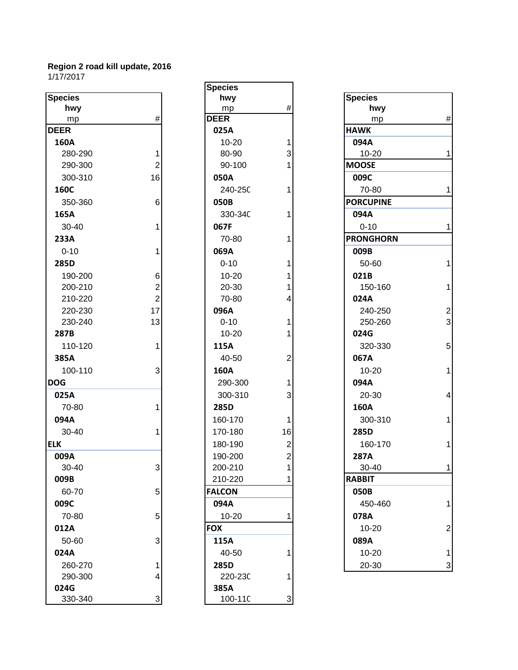|                 |                | upuunu          |                  |                  |                |
|-----------------|----------------|-----------------|------------------|------------------|----------------|
| <b>Species</b>  |                | hwy             |                  | <b>Species</b>   |                |
| hwy             |                | mp              | $\#$             | hwy              |                |
| mp              | $\#$           | <b>DEER</b>     |                  | mp               | #              |
| <b>DEER</b>     |                | 025A            |                  | <b>HAWK</b>      |                |
| 160A            |                | $10 - 20$       | 1                | 094A             |                |
| 280-290         | 1              | 80-90           | 3                | 10-20            | 1              |
| 290-300         | $\overline{2}$ | 90-100          |                  | <b>MOOSE</b>     |                |
| 300-310         | 16             | 050A            |                  | 009C             |                |
| 160C            |                | 240-250         |                  | 70-80            | 1              |
| 350-360         | 6              | 050B            |                  | <b>PORCUPINE</b> |                |
| 165A            |                | 330-34C         |                  | 094A             |                |
| 30-40           | 1              | 067F            |                  | $0 - 10$         | 1              |
| 233A            |                | 70-80           |                  | <b>PRONGHORN</b> |                |
| $0 - 10$        | 1              | 069A            |                  | 009B             |                |
| 285D            |                | $0 - 10$        |                  | 50-60            | 1              |
| 190-200         | $6 \mid$       | $10 - 20$       |                  | 021B             |                |
| 200-210         | $\overline{2}$ | 20-30           |                  | 150-160          | 1              |
| 210-220         | $\overline{2}$ | 70-80           | 4                | 024A             |                |
| 220-230         | 17             | 096A            |                  | 240-250          | $\overline{c}$ |
| 230-240         | 13             | $0 - 10$        |                  | 250-260          | 3              |
| 287B            |                | $10 - 20$       |                  | 024G             |                |
| 110-120         | 1              | 115A            |                  | 320-330          | 5              |
| 385A            |                | 40-50           | 2                | 067A             |                |
| 100-110         | $\mathbf{3}$   | 160A            |                  | $10 - 20$        | 1              |
| <b>DOG</b>      |                | 290-300         | 1                | 094A             |                |
| 025A            |                | 300-310         | 3                | 20-30            | 4              |
| 70-80           | 1              | 285D            |                  | 160A             |                |
| 094A            |                | 160-170         | 1                | 300-310          | 1              |
| 30-40           | 1              | 170-180         | 16               | 285D             |                |
| <b>ELK</b>      |                | 180-190         | $\overline{2}$   | 160-170          | 1              |
| 009A            |                | 190-200         | $\boldsymbol{2}$ | <b>287A</b>      |                |
| 30-40           | $\mathbf{R}$   | 200-210         | $\overline{1}$   | 30-40            | 1              |
| 009B            |                | 210-220         |                  | <b>RABBIT</b>    |                |
| 60-70           | 5 <sup>1</sup> | <b>FALCON</b>   |                  | 050B             |                |
| 009C            |                | 094A            |                  | 450-460          | 1              |
| 70-80           | 5 <sup>1</sup> | $10 - 20$       |                  | 078A             |                |
| 012A            |                | <b>FOX</b>      |                  | 10-20            | $\overline{2}$ |
| 50-60           | $\mathbf{3}$   | 115A            |                  | 089A             |                |
|                 |                |                 |                  |                  |                |
| 024A<br>260-270 |                | 40-50           |                  | 10-20<br>20-30   | 1              |
| 290-300         | 1<br>4         | 285D<br>220-230 |                  |                  | 3              |
| 024G            |                | 385A            |                  |                  |                |
| 330-340         | $\mathbf{3}$   | 100-11C         | 3                |                  |                |
|                 |                |                 |                  |                  |                |

| <b>Species</b> |                                             |
|----------------|---------------------------------------------|
| hwy            |                                             |
| mp             | #                                           |
| <b>DEER</b>    |                                             |
| 025A           |                                             |
| 10-20          |                                             |
| 80-90          | $\begin{array}{c} 1 \\ 3 \\ 1 \end{array}$  |
| 90-100         |                                             |
| 050A           |                                             |
| 240-250        | 1                                           |
| 050B           |                                             |
| 330-34C        | 1                                           |
| 067F           |                                             |
| 70-80          | 1                                           |
| 069A           |                                             |
| $0 - 10$       | $\overline{\mathbf{1}}$                     |
| 10-20          |                                             |
| 20-30          |                                             |
| 70-80          | $\begin{array}{c} 1 \\ 1 \\ 4 \end{array}$  |
| 096A           |                                             |
| $0 - 10$       |                                             |
| 10-20          | $\begin{array}{c} 1 \\ 1 \end{array}$       |
|                |                                             |
| 115A           |                                             |
| 40-50          | $\overline{c}$                              |
| 160A           |                                             |
| 290-300        | $\frac{1}{3}$                               |
| 300-310        |                                             |
| 285D           |                                             |
| 160-170        | 1                                           |
| 170-180        |                                             |
| 180-190        | $\begin{array}{c} 16 \\ 2 \\ 2 \end{array}$ |
| 190-200        |                                             |
| 200-210        | 1                                           |
| 210-220        | 1                                           |
| <b>FALCON</b>  |                                             |
| 094A           |                                             |
| 10-20          | 1                                           |
| <b>FOX</b>     |                                             |
| 115A           |                                             |
| 40-50          | 1                                           |
| 285D           |                                             |
| 220-230        | 1                                           |
| 385A           |                                             |
| 100-110        |                                             |

| cies     |                | hwy           |                         | <b>Species</b>   |                |
|----------|----------------|---------------|-------------------------|------------------|----------------|
| hwy      |                | mp            | $\#$                    | hwy              |                |
| mp       | $\#$           | <b>DEER</b>   |                         | mp               | $\#$           |
| ER.      |                | 025A          |                         | <b>HAWK</b>      |                |
| 50A      |                | $10 - 20$     |                         | 094A             |                |
| 280-290  | 1              | 80-90         | 3                       | 10-20            | 1              |
| 290-300  | $\mathbf 2$    | 90-100        |                         | <b>MOOSE</b>     |                |
| 300-310  | 16             | 050A          |                         | 009C             |                |
| 50C      |                | 240-25C       | 1                       | 70-80            | 1              |
| 350-360  | 6              | 050B          |                         | <b>PORCUPINE</b> |                |
| 55A      |                | 330-34C       |                         | 094A             |                |
| 30-40    | 1              | 067F          |                         | $0 - 10$         | 1              |
| 33A      |                | 70-80         |                         | <b>PRONGHORN</b> |                |
| $0 - 10$ | 1              | 069A          |                         | 009B             |                |
| 35D      |                | $0 - 10$      |                         | 50-60            | 1              |
| 190-200  | 6              | $10 - 20$     |                         | 021B             |                |
| 200-210  | $\overline{2}$ | 20-30         |                         | 150-160          | $\mathbf 1$    |
| 210-220  | $\mathbf{2}$   | 70-80         | 4                       | 024A             |                |
| 220-230  | 17             | 096A          |                         | 240-250          | $\overline{c}$ |
| 230-240  | 13             | $0 - 10$      |                         | 250-260          | 3              |
| 37B      |                | $10 - 20$     |                         | 024G             |                |
| 110-120  | 1              | 115A          |                         | 320-330          | 5              |
| 35A      |                | 40-50         | $\overline{2}$          | 067A             |                |
| 100-110  | 3              | 160A          |                         | 10-20            | $\mathbf{1}$   |
| G        |                | 290-300       |                         | 094A             |                |
| 25A      |                | 300-310       | 3                       | 20-30            | $\overline{4}$ |
| 70-80    | 1              | 285D          |                         | <b>160A</b>      |                |
| )4A      |                | 160-170       | 1                       | 300-310          | $\mathbf 1$    |
| 30-40    |                | 170-180       | 16                      | 285D             |                |
|          |                | 180-190       | $\mathbf 2$             | 160-170          | 1              |
| )9A      |                | 190-200       | $\overline{\mathbf{c}}$ | 287A             |                |
| 30-40    | 3 <sup>1</sup> | 200-210       | 1                       | 30-40            | 1              |
| )9B      |                | 210-220       | 1                       | <b>RABBIT</b>    |                |
| 60-70    | 5              | <b>FALCON</b> |                         | 050B             |                |
| )9C      |                | 094A          |                         | 450-460          | 1              |
| 70-80    | 5              | $10 - 20$     |                         | 078A             |                |
| L2A      |                | <b>FOX</b>    |                         | 10-20            | $\overline{2}$ |
| 50-60    | 3              | 115A          |                         | 089A             |                |
| 24A      |                | 40-50         |                         | 10-20            | 1              |
| 260-270  | 1              | 285D          |                         | 20-30            | 3              |
|          |                |               |                         |                  |                |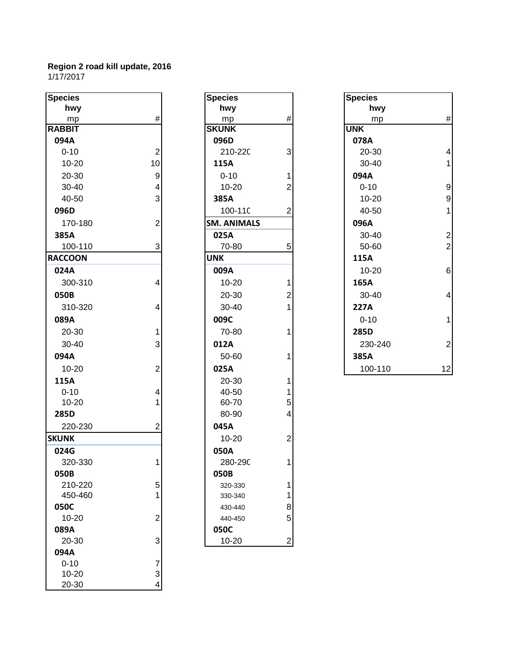| <b>Species</b> |                | <b>Species</b>     |                | <b>Species</b> |
|----------------|----------------|--------------------|----------------|----------------|
| hwy            |                | hwy                |                | hwy            |
| mp             | $\#$           | mp                 | $\#$           | mp             |
| <b>RABBIT</b>  |                | <b>SKUNK</b>       |                | <b>UNK</b>     |
| 094A           |                | 096D               |                | 078A           |
| $0 - 10$       | $\mathbf 2$    | 210-220            | 3              | 20-30          |
| $10 - 20$      | 10             | 115A               |                | 30-40          |
| 20-30          | 9              | $0 - 10$           | 1              | 094A           |
| 30-40          | 4              | $10 - 20$          | $\overline{2}$ | $0 - 10$       |
| 40-50          | 3              | 385A               |                | $10 - 20$      |
| 096D           |                | 100-11C            | $\overline{2}$ | 40-50          |
| 170-180        | $\overline{2}$ | <b>SM. ANIMALS</b> |                | 096A           |
| 385A           |                | 025A               |                | 30-40          |
| 100-110        | 3              | 70-80              | 5              | 50-60          |
| <b>RACCOON</b> |                | <b>UNK</b>         |                | 115A           |
| 024A           |                | 009A               |                | $10 - 20$      |
| 300-310        | 4              | $10 - 20$          | 1              | 165A           |
| 050B           |                | 20-30              | $\overline{2}$ | 30-40          |
| 310-320        | 4              | 30-40              | 1              | 227A           |
| 089A           |                | 009C               |                | $0 - 10$       |
| 20-30          | 1              | 70-80              | 1              | 285D           |
| 30-40          | 3              | 012A               |                | 230-24         |
|                |                |                    |                |                |
| 094A           |                | 50-60              | 1              | 385A           |
| $10 - 20$      | $\overline{c}$ | 025A               |                | 100-11         |
| 115A           |                | 20-30              | 1              |                |
| $0 - 10$       | 4              | 40-50              | 1              |                |
| 10-20          | 1              | 60-70              | 5              |                |
| 285D           |                | 80-90              | 4              |                |
| 220-230        | $\overline{2}$ | 045A               |                |                |
| <b>SKUNK</b>   |                | $10 - 20$          | $\overline{2}$ |                |
| 024G           |                | 050A               |                |                |
| 320-330        | 1              | 280-290            | 1              |                |
| 050B           |                | 050B               |                |                |
| 210-220        | 5              | 320-330            | 1              |                |
| 450-460        | 1              | 330-340            | 1              |                |
| 050C           |                | 430-440            | 8              |                |
| 10-20          | $\overline{c}$ | 440-450            | 5              |                |
| 089A           |                | 050C               |                |                |
| 20-30          | 3              | $10 - 20$          | $\overline{2}$ |                |
| 094A           |                |                    |                |                |
| $0 - 10$       | $\overline{7}$ |                    |                |                |
| $10 - 20$      | 3              |                    |                |                |
| 20-30          | 4              |                    |                |                |

| <b>Species</b>     |                                                 |
|--------------------|-------------------------------------------------|
| hwy                |                                                 |
| mp                 | #                                               |
| <b>SKUNK</b>       |                                                 |
| 096D               |                                                 |
| 210-220            | 3                                               |
| 115A               |                                                 |
| $0 - 10$           | $\frac{1}{2}$                                   |
| 10-20              |                                                 |
| 385A               |                                                 |
| $100 - 110$        | 2                                               |
| <b>SM. ANIMALS</b> |                                                 |
| 025A               |                                                 |
| 70-80              | 5                                               |
| UNK                |                                                 |
| 009A               |                                                 |
| 10-20              |                                                 |
| 20-30              | $\begin{array}{c} 1 \\ 2 \\ 1 \end{array}$      |
| 30-40              |                                                 |
| 009C               |                                                 |
| 70-80              | 1                                               |
| 012A               |                                                 |
| 50-60              | 1                                               |
| 025A               |                                                 |
| 20-30              |                                                 |
| 40-50              | $\begin{array}{c} 1 \\ 1 \\ 5 \\ 4 \end{array}$ |
| 60-70              |                                                 |
| 80-90              |                                                 |
| 045A               |                                                 |
| 10-20              | $\overline{c}$                                  |
| 050A               |                                                 |
| 280-290            | 1                                               |
| 050B               |                                                 |
| 320-330            | 1                                               |
| 330-340            | $\begin{array}{c} 1 \\ 8 \\ 5 \end{array}$      |
| 430-440            |                                                 |
| 440-450            |                                                 |
| 050C               |                                                 |
| 10-20              |                                                 |

| pecies        |                         | <b>Species</b>     |   | <b>Species</b> |                         |
|---------------|-------------------------|--------------------|---|----------------|-------------------------|
| hwy           |                         | hwy                |   | hwy            |                         |
| mp            | #                       | mp                 | # | mp             | $\#$                    |
| <b>ABBIT</b>  |                         | <b>SKUNK</b>       |   | <b>UNK</b>     |                         |
| 094A          |                         | 096D               |   | 078A           |                         |
| $0 - 10$      | $\overline{2}$          | 210-220            | 3 | 20-30          | $\overline{4}$          |
| $10 - 20$     | 10                      | 115A               |   | 30-40          | 1                       |
| 20-30         | 9                       | $0 - 10$           |   | 094A           |                         |
| 30-40         | 4                       | $10 - 20$          | 2 | $0 - 10$       | $\boldsymbol{9}$        |
| 40-50         | 3                       | 385A               |   | 10-20          | $\boldsymbol{9}$        |
| 096D          |                         | 100-11C            | 2 | 40-50          | 1                       |
| 170-180       | 2                       | <b>SM. ANIMALS</b> |   | 096A           |                         |
| 385A          |                         | 025A               |   | 30-40          | $\sqrt{2}$              |
| 100-110       | 3                       | 70-80              | 5 | 50-60          | $\overline{2}$          |
| <b>ACCOON</b> |                         | <b>UNK</b>         |   | 115A           |                         |
| 024A          |                         | 009A               |   | 10-20          | 6                       |
| 300-310       | 4                       | $10 - 20$          |   | 165A           |                         |
| 050B          |                         | 20-30              | 2 | 30-40          | $\overline{\mathbf{4}}$ |
| 310-320       | 4                       | 30-40              |   | 227A           |                         |
| 089A          |                         | 009C               |   | $0 - 10$       |                         |
| 20-30         |                         | 70-80              |   | 285D           |                         |
| 30-40         | 3                       | 012A               |   | 230-240        | $\overline{c}$          |
| 094A          |                         | 50-60              |   | 385A           |                         |
| $10 - 20$     | $\overline{\mathbf{c}}$ | 025A               |   | 100-110        | 12                      |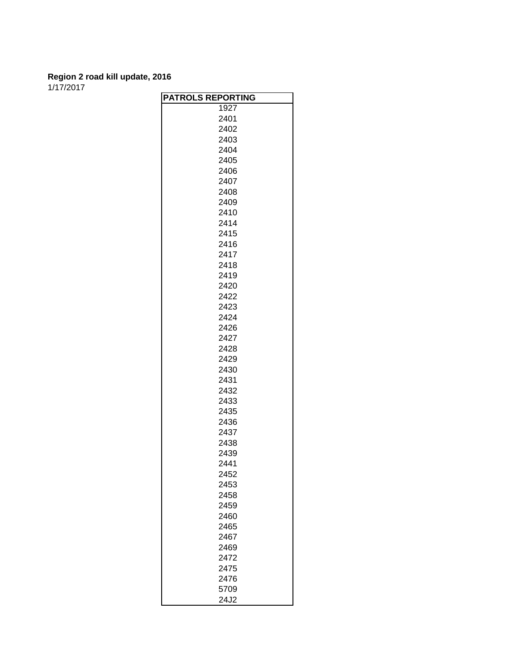1/17/2017

| <b>PATROLS REPORTING</b> |
|--------------------------|
| 1927                     |
| 2401                     |
| 2402                     |
| 2403                     |
| 2404                     |
| 2405                     |
| 2406                     |
| 2407                     |
| 2408                     |
| 2409                     |
| 2410                     |
| 2414                     |
| 2415                     |
| 2416                     |
| 2417                     |
| 2418                     |
| 2419                     |
| 2420                     |
| 2422                     |
| 2423                     |
| 2424                     |
| 2426                     |
| 2427                     |
| 2428                     |
| 2429                     |
| 2430                     |
| 2431                     |
| 2432                     |
| 2433                     |
| 2435                     |
| 2436                     |
| 2437                     |
| 2438                     |
| 2439                     |
| 2441                     |
| 2452                     |
| 2453                     |
| 2458                     |
| 2459                     |
| 2460                     |
| 2465                     |
| 2467                     |
| 2469                     |
| 2472                     |
| 2475                     |
| 2476                     |
| 5709                     |
| 24J2                     |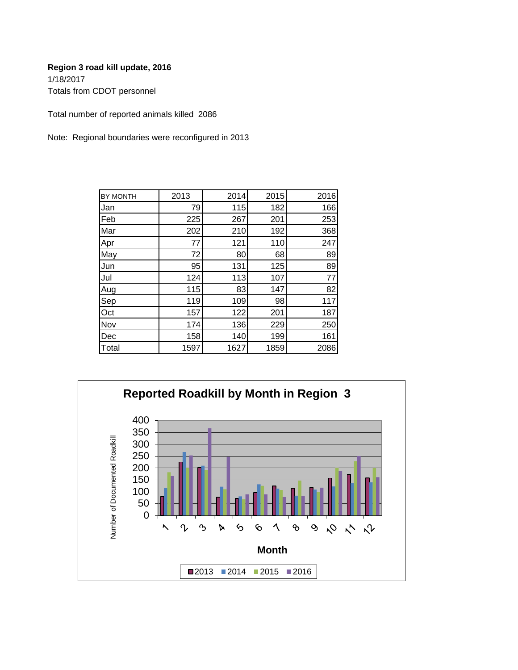Totals from CDOT personnel

Total number of reported animals killed 2086

Note: Regional boundaries were reconfigured in 2013

| BY MONTH | 2013 | 2014 | 2015 | 2016 |
|----------|------|------|------|------|
| Jan      | 79   | 115  | 182  | 166  |
| Feb      | 225  | 267  | 201  | 253  |
| Mar      | 202  | 210  | 192  | 368  |
| Apr      | 77   | 121  | 110  | 247  |
| May      | 72   | 80   | 68   | 89   |
| Jun      | 95   | 131  | 125  | 89   |
| Jul      | 124  | 113  | 107  | 77   |
| Aug      | 115  | 83   | 147  | 82   |
| Sep      | 119  | 109  | 98   | 117  |
| Oct      | 157  | 122  | 201  | 187  |
| Nov      | 174  | 136  | 229  | 250  |
| Dec      | 158  | 140  | 199  | 161  |
| Total    | 1597 | 1627 | 1859 | 2086 |

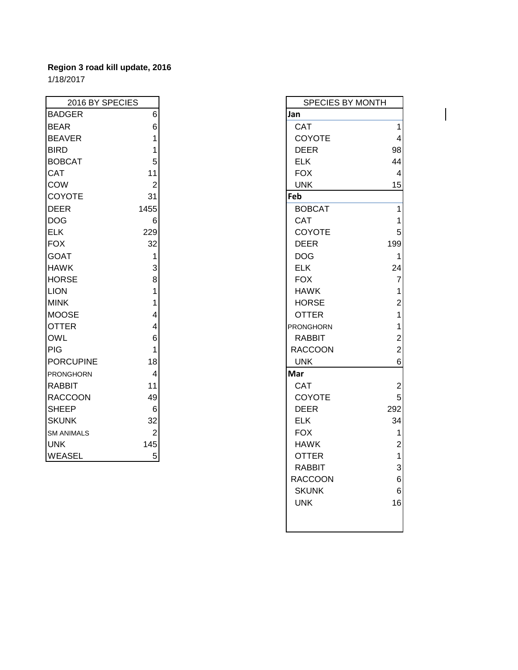| 2016 BY SPECIES   |                | SPECIES BY MONTH |                |
|-------------------|----------------|------------------|----------------|
| <b>BADGER</b>     | 6              | Jan              |                |
| <b>BEAR</b>       | 6              | <b>CAT</b>       | 1              |
| <b>BEAVER</b>     | 1              | <b>COYOTE</b>    | $\overline{4}$ |
| <b>BIRD</b>       |                | <b>DEER</b>      | 98             |
| <b>BOBCAT</b>     | 5              | <b>ELK</b>       | 44             |
| <b>CAT</b>        | 11             | <b>FOX</b>       | $\overline{4}$ |
| <b>COW</b>        | $\overline{2}$ | <b>UNK</b>       | 15             |
| <b>COYOTE</b>     | 31             | Feb              |                |
| <b>DEER</b>       | 1455           | <b>BOBCAT</b>    | $\mathbf{1}$   |
| DOG               | 6              | <b>CAT</b>       | $\mathbf{1}$   |
| <b>ELK</b>        | 229            | <b>COYOTE</b>    | 5              |
| <b>FOX</b>        | 32             | <b>DEER</b>      | 199            |
| <b>GOAT</b>       | 1              | <b>DOG</b>       | 1              |
| <b>HAWK</b>       | 3              | <b>ELK</b>       | 24             |
| <b>HORSE</b>      | 8              | <b>FOX</b>       | $\overline{7}$ |
| <b>LION</b>       | 1              | <b>HAWK</b>      | $\mathbf{1}$   |
| <b>MINK</b>       | 1              | <b>HORSE</b>     | $\overline{2}$ |
| <b>MOOSE</b>      | 4              | <b>OTTER</b>     | $\mathbf{1}$   |
| <b>OTTER</b>      | 4              | <b>PRONGHORN</b> | $\mathbf{1}$   |
| <b>OWL</b>        | 6              | <b>RABBIT</b>    | $\overline{c}$ |
| <b>PIG</b>        | 1              | <b>RACCOON</b>   | $\overline{2}$ |
| <b>PORCUPINE</b>  | 18             | <b>UNK</b>       | 6              |
| <b>PRONGHORN</b>  | 4              | Mar              |                |
| <b>RABBIT</b>     | 11             | <b>CAT</b>       | $\overline{2}$ |
| <b>RACCOON</b>    | 49             | <b>COYOTE</b>    | 5              |
| <b>SHEEP</b>      | 6              | <b>DEER</b>      | 292            |
| <b>SKUNK</b>      | 32             | <b>ELK</b>       | 34             |
| <b>SM ANIMALS</b> | $\overline{2}$ | <b>FOX</b>       | 1              |
| <b>UNK</b>        | 145            | <b>HAWK</b>      | $\overline{2}$ |
| <b>WEASEL</b>     | 5 <sup>1</sup> | <b>OTTER</b>     | $\mathbf{1}$   |

| 2016 BY SPECIES | SPECIES BY MONTH |  |                  |                         |
|-----------------|------------------|--|------------------|-------------------------|
| <b>GER</b>      | $6\phantom{1}$   |  | Jan              |                         |
| ₹               | $\,6$            |  | <b>CAT</b>       | $\mathbf{1}$            |
| /ER             | 1                |  | COYOTE           | $\overline{\mathbf{4}}$ |
|                 | 1                |  | <b>DEER</b>      | 98                      |
| CAT             | 5                |  | <b>ELK</b>       | 44                      |
|                 | 11               |  | <b>FOX</b>       | $\overline{4}$          |
|                 | $\overline{c}$   |  | <b>UNK</b>       | 15                      |
| <b>OTE</b>      | 31               |  | Feb              |                         |
| ₹               | 1455             |  | <b>BOBCAT</b>    | 1                       |
|                 | 6                |  | CAT              | 1                       |
|                 | 229              |  | COYOTE           | $\mathbf 5$             |
|                 | 32               |  | <b>DEER</b>      | 199                     |
| L               | $\mathbf{1}$     |  | <b>DOG</b>       | 1                       |
| K.              | 3                |  | <b>ELK</b>       | 24                      |
| SE              | 8                |  | <b>FOX</b>       | $\overline{\mathbf{7}}$ |
|                 | $\mathbf 1$      |  | <b>HAWK</b>      | $\mathbf{1}$            |
|                 | 1                |  | <b>HORSE</b>     | $\overline{\mathbf{c}}$ |
| <b>SE</b>       | 4                |  | <b>OTTER</b>     | $\overline{1}$          |
| ER.             | 4                |  | <b>PRONGHORN</b> | $\mathbf 1$             |
|                 | $\,6$            |  | <b>RABBIT</b>    | $\overline{\mathbf{c}}$ |
|                 | $\mathbf{1}$     |  | <b>RACCOON</b>   | $\overline{c}$          |
| <b>CUPINE</b>   | 18               |  | <b>UNK</b>       | $\,6$                   |
| GHORN           | $\overline{4}$   |  | Mar              |                         |
| 3IT             | 11               |  | <b>CAT</b>       | $\mathbf{2}$            |
| COON            | 49               |  | COYOTE           | 5 <sup>1</sup>          |
| EP.             | 6                |  | <b>DEER</b>      | 292                     |
| <b>JK</b>       | 32               |  | <b>ELK</b>       | 34                      |
| <b>IIMALS</b>   | $\overline{2}$   |  | <b>FOX</b>       | $\mathbf 1$             |
|                 | 145              |  | <b>HAWK</b>      | $\sqrt{2}$              |
| SEL             | $\sqrt{5}$       |  | <b>OTTER</b>     | $\mathbf{1}$            |
|                 |                  |  | <b>RABBIT</b>    | $\mathsf 3$             |
|                 |                  |  | <b>RACCOON</b>   | $\,$ 6 $\,$             |
|                 |                  |  | <b>SKUNK</b>     | $\,6$                   |
|                 |                  |  | <b>UNK</b>       | 16                      |
|                 |                  |  |                  |                         |
|                 |                  |  |                  |                         |

 $\mathbf{I}$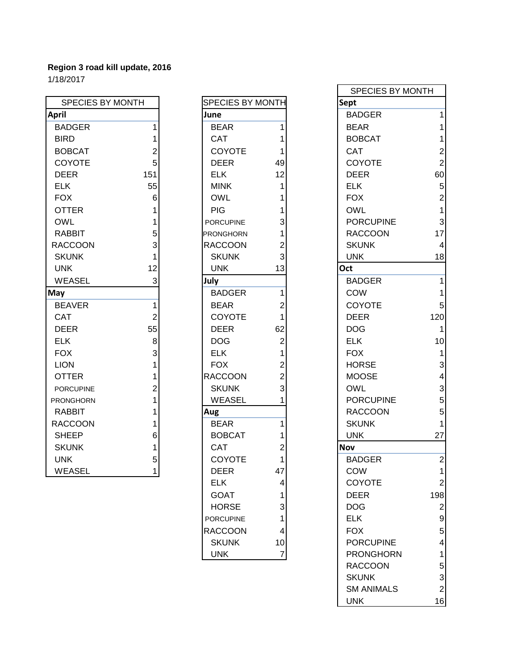| <b>SPECIES BY MONTH</b> |                | <b>SPECIES BY MONTH</b> |                | Sept             |                |
|-------------------------|----------------|-------------------------|----------------|------------------|----------------|
| <b>April</b>            |                | June                    |                | <b>BADGER</b>    | 1              |
| <b>BADGER</b>           |                | <b>BEAR</b>             | 1              | <b>BEAR</b>      |                |
| <b>BIRD</b>             |                | <b>CAT</b>              |                | <b>BOBCAT</b>    |                |
| <b>BOBCAT</b>           | 2              | <b>COYOTE</b>           |                | <b>CAT</b>       | $\overline{a}$ |
| <b>COYOTE</b>           | 5              | <b>DEER</b>             | 49             | <b>COYOTE</b>    | $\overline{2}$ |
| <b>DEER</b>             | 151            | <b>ELK</b>              | 12             | <b>DEER</b>      | 60             |
| <b>ELK</b>              | 55             | <b>MINK</b>             |                | <b>ELK</b>       | 5              |
| <b>FOX</b>              | 6              | <b>OWL</b>              |                | <b>FOX</b>       | $\overline{2}$ |
| <b>OTTER</b>            |                | <b>PIG</b>              |                | <b>OWL</b>       | 1              |
| <b>OWL</b>              |                | <b>PORCUPINE</b>        | 3              | <b>PORCUPINE</b> | 3              |
| <b>RABBIT</b>           | 5              | <b>PRONGHORN</b>        |                | <b>RACCOON</b>   | 17             |
| <b>RACCOON</b>          |                | <b>RACCOON</b>          | 2              | <b>SKUNK</b>     | $\overline{4}$ |
| <b>SKUNK</b>            |                | <b>SKUNK</b>            | 3              | <b>UNK</b>       | 18             |
| <b>UNK</b>              | 12             | <b>UNK</b>              | 13             | Oct              |                |
| <b>WEASEL</b>           | 3              | July                    |                | <b>BADGER</b>    | 1              |
| May                     |                | <b>BADGER</b>           | 1              | COW              | 1              |
| <b>BEAVER</b>           | 1              | <b>BEAR</b>             | 2              | <b>COYOTE</b>    | 5              |
| <b>CAT</b>              | $\overline{2}$ | <b>COYOTE</b>           | 1              | <b>DEER</b>      | 120            |
| <b>DEER</b>             | 55             | <b>DEER</b>             | 62             | <b>DOG</b>       | 1              |
| <b>ELK</b>              | 8              | <b>DOG</b>              | $\overline{2}$ | <b>ELK</b>       | 10             |
| <b>FOX</b>              | 3              | <b>ELK</b>              |                | <b>FOX</b>       | 1              |
| <b>LION</b>             |                | <b>FOX</b>              | $\overline{2}$ | <b>HORSE</b>     | 3              |
| <b>OTTER</b>            |                | <b>RACCOON</b>          | 2              | <b>MOOSE</b>     | 4              |
| <b>PORCUPINE</b>        | 2              | <b>SKUNK</b>            | 3              | <b>OWL</b>       | 3              |
| <b>PRONGHORN</b>        |                | <b>WEASEL</b>           |                | <b>PORCUPINE</b> | 5              |
| <b>RABBIT</b>           |                | Aug                     |                | <b>RACCOON</b>   | 5              |
| <b>RACCOON</b>          |                | <b>BEAR</b>             | 1              | <b>SKUNK</b>     | 1              |
| <b>SHEEP</b>            | 6              | <b>BOBCAT</b>           |                | <b>UNK</b>       | 27             |
| <b>SKUNK</b>            |                | CAT                     | 2              | <b>Nov</b>       |                |
| <b>UNK</b>              | 5              | <b>COYOTE</b>           |                | <b>BADGER</b>    | $\overline{2}$ |
| <b>WEASEL</b>           | 1              | <b>DEER</b>             | 47             | <b>COW</b>       | 1              |

| SPECIES BY MONTH |                                            |
|------------------|--------------------------------------------|
| June             |                                            |
| <b>BEAR</b>      | 1                                          |
| CAT              | 1                                          |
| <b>COYOTE</b>    | 1                                          |
| <b>DEER</b>      | 49                                         |
| <b>ELK</b>       | 12                                         |
| <b>MINK</b>      | 1                                          |
| <b>OWL</b>       |                                            |
| PIG              |                                            |
| <b>PORCUPINE</b> | 1 1 3 1 2 3                                |
| PRONGHORN        |                                            |
| <b>RACCOON</b>   |                                            |
| <b>SKUNK</b>     |                                            |
| UNK              | 13                                         |
| July             |                                            |
| <b>BADGER</b>    | 1                                          |
| BEAR             | $\overline{\mathbf{c}}$                    |
| COYOTE           |                                            |
| <b>DEER</b>      | $\begin{array}{c} 1 \\ 62 \end{array}$     |
| <b>DOG</b>       | 2 1 2 2 3 1                                |
| <b>ELK</b>       |                                            |
| <b>FOX</b>       |                                            |
| <b>RACCOON</b>   |                                            |
| <b>SKUNK</b>     |                                            |
| WEASEL           |                                            |
| Aug              |                                            |
| BEAR             | 1                                          |
| <b>BOBCAT</b>    | $\overline{\mathbf{1}}$                    |
| CAT              | $\overline{c}$                             |
| COYOTE           | 1                                          |
| DEER             | 47                                         |
| ELK              | 4                                          |
| <b>GOAT</b>      |                                            |
| HORSE            |                                            |
| <b>PORCUPINE</b> | $\begin{array}{c} 1 \\ 3 \\ 4 \end{array}$ |
| <b>RACCOON</b>   |                                            |
| SKUNK            | 10                                         |
| UNK              | 7                                          |

| . U Z U          |                |                         |                |                   |                |
|------------------|----------------|-------------------------|----------------|-------------------|----------------|
|                  |                |                         |                | SPECIES BY MONTH  |                |
| SPECIES BY MONTH |                | <b>SPECIES BY MONTH</b> |                | Sept              |                |
| pril             |                | June                    |                | <b>BADGER</b>     |                |
| <b>BADGER</b>    |                | <b>BEAR</b>             | 1              | <b>BEAR</b>       |                |
| <b>BIRD</b>      |                | <b>CAT</b>              |                | <b>BOBCAT</b>     |                |
| <b>BOBCAT</b>    | 2              | <b>COYOTE</b>           |                | <b>CAT</b>        |                |
| COYOTE           | 5              | <b>DEER</b>             | 49             | <b>COYOTE</b>     |                |
| DEER             | 151            | <b>ELK</b>              | 12             | <b>DEER</b>       | 60             |
| <b>ELK</b>       | 55             | <b>MINK</b>             |                | <b>ELK</b>        | 5              |
| <b>FOX</b>       | 6              | <b>OWL</b>              |                | <b>FOX</b>        | $\overline{2}$ |
| <b>OTTER</b>     |                | <b>PIG</b>              |                | <b>OWL</b>        |                |
| OWL              |                | <b>PORCUPINE</b>        | 3              | <b>PORCUPINE</b>  |                |
| RABBIT           | 5              | <b>PRONGHORN</b>        |                | <b>RACCOON</b>    | 17             |
| RACCOON          | 3              | <b>RACCOON</b>          | 2              | <b>SKUNK</b>      |                |
| <b>SKUNK</b>     |                | <b>SKUNK</b>            | 3              | <b>UNK</b>        | 18             |
| <b>UNK</b>       | 12             | <b>UNK</b>              | 13             | Oct               |                |
| WEASEL           | 3              | July                    |                | <b>BADGER</b>     |                |
| lay              |                | <b>BADGER</b>           | 1              | <b>COW</b>        |                |
| <b>BEAVER</b>    |                | <b>BEAR</b>             | 2              | <b>COYOTE</b>     |                |
| CAT              | $\overline{2}$ | COYOTE                  |                | <b>DEER</b>       | 120            |
| DEER             | 55             | <b>DEER</b>             | 62             | <b>DOG</b>        |                |
| ELK              | 8              | <b>DOG</b>              | $\overline{2}$ | <b>ELK</b>        | 10             |
| <b>FOX</b>       | 3              | <b>ELK</b>              | 1              | <b>FOX</b>        |                |
| <b>LION</b>      |                | <b>FOX</b>              | 2              | <b>HORSE</b>      | 3              |
| <b>OTTER</b>     |                | <b>RACCOON</b>          | $\overline{2}$ | <b>MOOSE</b>      | 4              |
| <b>PORCUPINE</b> |                | <b>SKUNK</b>            | 3              | <b>OWL</b>        | 3              |
| <b>RONGHORN</b>  |                | <b>WEASEL</b>           |                | <b>PORCUPINE</b>  | 5              |
| <b>RABBIT</b>    |                | Aug                     |                | <b>RACCOON</b>    | 5              |
| RACCOON          |                | <b>BEAR</b>             | 1              | <b>SKUNK</b>      |                |
| SHEEP            | 6              | <b>BOBCAT</b>           |                | <b>UNK</b>        | 27             |
| <b>SKUNK</b>     |                | <b>CAT</b>              | 2              | <b>Nov</b>        |                |
| <b>UNK</b>       | $5 \square$    | COYOTE                  | 1              | <b>BADGER</b>     | $\overline{2}$ |
| WEASEL           |                | <b>DEER</b>             | 47             | <b>COW</b>        |                |
|                  |                | <b>ELK</b>              | 4              | COYOTE            | 2              |
|                  |                | <b>GOAT</b>             |                | <b>DEER</b>       | 198            |
|                  |                | <b>HORSE</b>            | 3              | <b>DOG</b>        | 2              |
|                  |                | <b>PORCUPINE</b>        |                | <b>ELK</b>        | 9              |
|                  |                | <b>RACCOON</b>          | 4              | <b>FOX</b>        | 5              |
|                  |                | <b>SKUNK</b>            | 10             | <b>PORCUPINE</b>  |                |
|                  |                | <b>UNK</b>              | $\overline{7}$ | <b>PRONGHORN</b>  |                |
|                  |                |                         |                | <b>RACCOON</b>    | 5              |
|                  |                |                         |                | <b>SKUNK</b>      | 3              |
|                  |                |                         |                | <b>SM ANIMALS</b> | $\overline{2}$ |
|                  |                |                         |                | <b>UNK</b>        | 16             |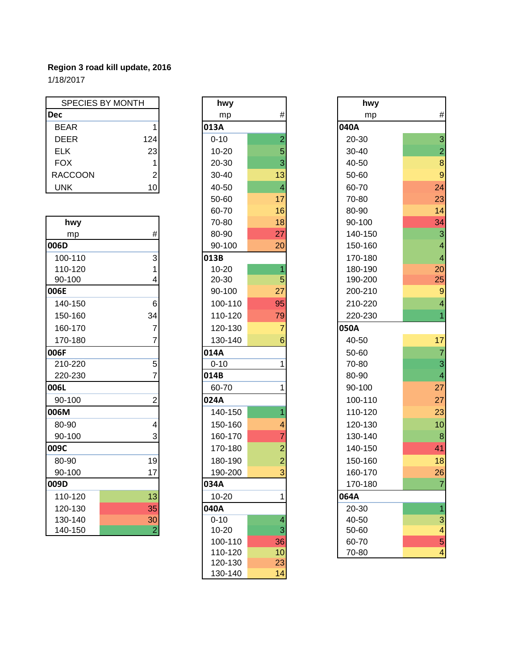1/18/2017

| <b>SPECIES BY MONTH</b> |                 | hwy       |                | hwy         |                |
|-------------------------|-----------------|-----------|----------------|-------------|----------------|
| <b>Dec</b>              |                 | mp        | #              | mp          | #              |
| <b>BEAR</b>             |                 | 013A      |                | <b>040A</b> |                |
| <b>DEER</b>             | 124             | $0 - 10$  | 2              | 20-30       | 3              |
| <b>ELK</b>              | 23              | $10 - 20$ | 5              | $30 - 40$   | $\overline{2}$ |
| <b>FOX</b>              |                 | 20-30     | $\overline{3}$ | 40-50       | 8              |
| <b>RACCOON</b>          | 2               | $30 - 40$ | 13             | 50-60       | 9              |
| <b>UNK</b>              | 10 <sup>1</sup> | 40-50     |                | 60-70       | 24             |

| hwy     |                | 70-80     | 18              | 90-100  | 34                       |
|---------|----------------|-----------|-----------------|---------|--------------------------|
| mp      | $\#$           | 80-90     | 27              | 140-150 | 3                        |
| 006D    |                | 90-100    | 20              | 150-160 | 4                        |
| 100-110 | 3              | 013B      |                 | 170-180 | $\overline{\mathcal{A}}$ |
| 110-120 |                | $10 - 20$ | 1               | 180-190 | 20                       |
| 90-100  | 4              | 20-30     | 5               | 190-200 | 25                       |
| 006E    |                | 90-100    | 27              | 200-210 | 9                        |
| 140-150 | 6              | 100-110   | 95              | 210-220 | $\overline{\mathcal{A}}$ |
| 150-160 | 34             | 110-120   | 79              | 220-230 | 1                        |
| 160-170 | 7              | 120-130   | $\overline{7}$  | 050A    |                          |
| 170-180 |                | 130-140   | $6\phantom{1}6$ | 40-50   | 17                       |
| 006F    |                | 014A      |                 | 50-60   | $\overline{7}$           |
| 210-220 | 5              | $0 - 10$  |                 | 70-80   | 3                        |
| 220-230 |                | 014B      |                 | 80-90   | $\overline{\mathcal{A}}$ |
| 006L    |                | 60-70     | 1               | 90-100  | 27                       |
| 90-100  | $\overline{2}$ | 024A      |                 | 100-110 | 27                       |
| 006M    |                | 140-150   |                 | 110-120 | 23                       |
| 80-90   | 4              | 150-160   | 4               | 120-130 | 10                       |
| 90-100  | 3              | 160-170   | $\overline{7}$  | 130-140 | 8                        |
| 009C    |                | 170-180   | $\overline{2}$  | 140-150 | 41                       |
| 80-90   | 19             | 180-190   | $\overline{c}$  | 150-160 | 18                       |
| 90-100  | 17             | 190-200   | 3               | 160-170 | 26                       |
| 009D    |                | 034A      |                 | 170-180 | $\overline{7}$           |
| 110-120 | 13             | $10 - 20$ | 1               | 064A    |                          |
| 120-130 | 35             | 040A      |                 | 20-30   | 1                        |
| 130-140 | 30             | $0 - 10$  | 4               | 40-50   | 3                        |
| 140-150 | $\overline{2}$ | 10-20     | 3               | 50-60   | 4                        |

| hwy       |                | hwy     |
|-----------|----------------|---------|
| mp        | #              | mp      |
| 013A      |                | 040A    |
| $0 - 10$  | $\overline{a}$ | 20-30   |
| 10-20     | 5              | 30-40   |
| 20-30     | 3              | 40-50   |
| 30-40     | 13             | 50-60   |
| 40-50     | 4              | 60-70   |
| 50-60     | 17             | 70-80   |
| 60-70     | 16             | 80-90   |
| 70-80     | 18             | 90-100  |
| 80-90     | 27             | 140-150 |
| 90-100    | 20             | 150-160 |
| 013B      |                | 170-180 |
| $10 - 20$ | 1              | 180-190 |
| 20-30     | 5              | 190-200 |
| 90-100    | 27             | 200-210 |
| 100-110   | 95             | 210-220 |
| 110-120   | 79             | 220-230 |
| 120-130   | $\overline{7}$ | 050A    |
| 130-140   | 6              | 40-50   |
| 014A      |                | 50-60   |
| $0 - 10$  | 1              | 70-80   |
| 014B      |                | 80-90   |
| 60-70     | 1              | 90-100  |
| 024A      |                | 100-110 |
| 140-150   | $\overline{1}$ | 110-120 |
| 150-160   | 4              | 120-130 |
| 160-170   | $\overline{7}$ | 130-140 |
| 170-180   | $\overline{c}$ | 140-150 |
| 180-190   | $\overline{c}$ | 150-160 |
| 190-200   | 3              | 160-170 |
| 034A      |                | 170-180 |
| 10-20     | 1              | 064A    |
| 040A      |                | 20-30   |
| $0 - 10$  | 4              | 40-50   |
| 10-20     | 3              | 50-60   |
| 100-110   | 36             | 60-70   |
| 110-120   | 10             | 70-80   |
| 120-130   | 23             |         |
| 130-140   | 14             |         |

| SPECIES BY MONTH |                 | hwy       |                | hwy     |                          |
|------------------|-----------------|-----------|----------------|---------|--------------------------|
| ec               |                 | mp        | #              | mp      | #                        |
| BEAR             | 1               | 013A      |                | 040A    |                          |
| <b>DEER</b>      | 124             | $0 - 10$  | $\overline{2}$ | 20-30   | 3                        |
| <b>ELK</b>       | 23              | $10 - 20$ | 5              | 30-40   | $\overline{2}$           |
| <b>FOX</b>       |                 | 20-30     | 3              | 40-50   | $\bf{8}$                 |
| RACCOON          | 2               | 30-40     | 13             | 50-60   | 9                        |
| <b>UNK</b>       | 10              | 40-50     | $\overline{4}$ | 60-70   | 24                       |
|                  |                 | 50-60     | 17             | 70-80   | 23                       |
|                  |                 | 60-70     | 16             | 80-90   | 14                       |
| hwy              |                 | 70-80     | 18             | 90-100  | 34                       |
| mp               | #               | 80-90     | 27             | 140-150 | 3                        |
| 06D              |                 | 90-100    | 20             | 150-160 | $\overline{\mathbf{4}}$  |
| 100-110          | 3               | 013B      |                | 170-180 | $\overline{\mathbf{4}}$  |
| 110-120          |                 | 10-20     |                | 180-190 | 20                       |
| 90-100           |                 | 20-30     | 5              | 190-200 | 25                       |
| )6E              |                 | 90-100    | 27             | 200-210 |                          |
| 140-150          | 6               | 100-110   | 95             | 210-220 | $\overline{4}$           |
| 150-160          | 34              | 110-120   | 79             | 220-230 |                          |
| 160-170          | 7               | 120-130   | 7              | 050A    |                          |
| 170-180          | 7               | 130-140   | 6              | 40-50   | 17                       |
| 06F              |                 | 014A      |                | 50-60   | $\overline{7}$           |
| 210-220          | 5               | $0 - 10$  |                | 70-80   | 3                        |
| 220-230          |                 | 014B      |                | 80-90   | $\overline{\mathcal{A}}$ |
| 06L              |                 | 60-70     |                | 90-100  | 27                       |
| 90-100           | $\overline{c}$  | 024A      |                | 100-110 | 27                       |
| 06M              |                 | 140-150   |                | 110-120 | 23                       |
| 80-90            | 4               | 150-160   |                | 120-130 | 10                       |
| 90-100           | 3               | 160-170   |                | 130-140 | $\boldsymbol{8}$         |
| )9C              |                 | 170-180   | $\overline{2}$ | 140-150 | 41                       |
| 80-90            | 19              | 180-190   | $\overline{c}$ | 150-160 | 18                       |
| 90-100           | 17              | 190-200   |                | 160-170 | 26                       |
| )9D              |                 | 034A      |                | 170-180 | 7                        |
| 110-120          | 13              | 10-20     | 1              | 064A    |                          |
| 120-130          | 35              | 040A      |                | 20-30   | 1                        |
| 130-140          | 30 <sup>°</sup> | $0 - 10$  | 4              | 40-50   | 3                        |
| 140-150          | $\overline{c}$  | 10-20     | 3              | 50-60   | $\overline{\mathcal{A}}$ |
|                  |                 | 100-110   | 36             | 60-70   | 5                        |
|                  |                 | 110-120   | 10             | 70-80   | $\overline{\mathbf{4}}$  |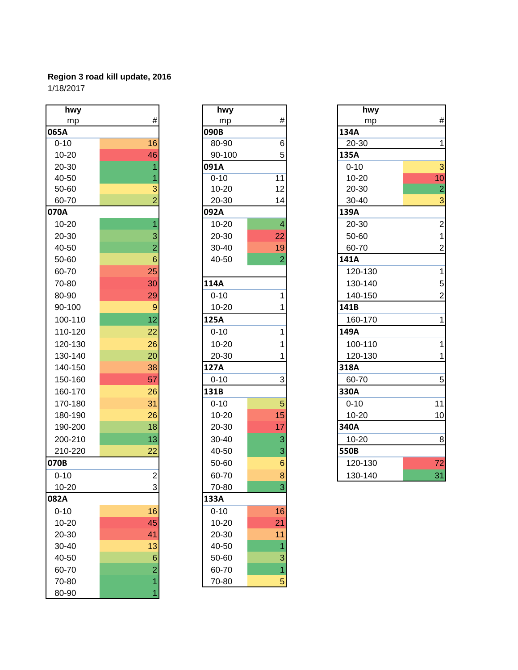| hwy       |                 | hwy       |                         | hwy       |                |
|-----------|-----------------|-----------|-------------------------|-----------|----------------|
| mp        | $\#$            | mp        | $\#$                    | mp        | #              |
| 065A      |                 | 090B      |                         | 134A      |                |
| $0 - 10$  | 16              | 80-90     | $\,6$                   | 20-30     | 1              |
| $10 - 20$ | 46              | 90-100    | 5                       | 135A      |                |
| 20-30     | 1               | 091A      |                         | $0 - 10$  | 3              |
| 40-50     |                 | $0 - 10$  | 11                      | $10 - 20$ | 10             |
| 50-60     | $\overline{3}$  | $10 - 20$ | 12                      | 20-30     | $\overline{2}$ |
| 60-70     | $\overline{2}$  | 20-30     | 14                      | 30-40     | 3              |
| 070A      |                 | 092A      |                         | 139A      |                |
| $10 - 20$ | $\overline{1}$  | $10 - 20$ | $\overline{\mathbf{4}}$ | 20-30     | $\overline{c}$ |
| 20-30     | 3               | 20-30     | 22                      | 50-60     | 1              |
| 40-50     | $\overline{2}$  | 30-40     | 19                      | 60-70     | $\overline{2}$ |
| 50-60     | $6\phantom{1}6$ | 40-50     | $\overline{c}$          | 141A      |                |
| 60-70     | 25              |           |                         | 120-130   | 1              |
| 70-80     | 30              | 114A      |                         | 130-140   | 5              |
| 80-90     | 29              | $0 - 10$  | 1                       | 140-150   | $\overline{2}$ |
| 90-100    | $\overline{9}$  | 10-20     | 1                       | 141B      |                |
| 100-110   | 12              | 125A      |                         | 160-170   | 1              |
| 110-120   | 22              | $0 - 10$  | 1                       | 149A      |                |
| 120-130   | 26              | $10 - 20$ | 1                       | 100-110   | 1              |
| 130-140   | 20              | 20-30     |                         | 120-130   | 1              |
| 140-150   | 38              | 127A      |                         | 318A      |                |
| 150-160   | 57              | $0 - 10$  | 3                       | 60-70     | 5              |
| 160-170   | 26              | 131B      |                         | 330A      |                |
| 170-180   | 31              | $0 - 10$  | 5                       | $0 - 10$  | 11             |
| 180-190   | 26              | $10 - 20$ | 15                      | $10 - 20$ | 10             |
| 190-200   | 18              | 20-30     | 17                      | 340A      |                |
| 200-210   | 13              | 30-40     | $\mathsf 3$             | 10-20     | 8              |
| 210-220   | 22              | 40-50     | 3                       | 550B      |                |
| 070B      |                 | 50-60     | $\mathbf 6$             | 120-130   | 72             |
| $0 - 10$  | $\overline{c}$  | 60-70     | $\bf{8}$                | 130-140   | 31             |
| 10-20     | 3               | 70-80     | 3                       |           |                |
| 082A      |                 | 133A      |                         |           |                |
| $0 - 10$  | 16              | $0 - 10$  | 16                      |           |                |
| 10-20     | 45              | $10 - 20$ | 21                      |           |                |
| 20-30     | 41              | 20-30     | 11                      |           |                |
| 30-40     | 13              | 40-50     | 1                       |           |                |
| 40-50     | $\,$ 6 $\,$     | 50-60     | 3                       |           |                |
| 60-70     | $\overline{a}$  | 60-70     | $\overline{1}$          |           |                |
| 70-80     | $\overline{1}$  | 70-80     | $\overline{5}$          |           |                |
| 80-90     | 1               |           |                         |           |                |

| hwy       |                 |
|-----------|-----------------|
| mp        | #               |
| 090B      |                 |
| 80-90     | 6               |
| 90-100    | 5               |
| 091A      |                 |
| $0 - 10$  | 11              |
| 10-20     | 12              |
| 20-30     | 14              |
| 092A      |                 |
| $10 - 20$ | 4               |
| 20-30     | 22              |
| 30-40     | 19              |
| 40-50     | $\overline{c}$  |
| 114A      |                 |
| $0 - 10$  | 1               |
| $10 - 20$ | 1               |
| 125A      |                 |
| $0 - 10$  | 1               |
| 10-20     | 1               |
| 20-30     | $\overline{1}$  |
| 127A      |                 |
| $0 - 10$  | 3               |
| 131B      |                 |
| $0 - 10$  | 5               |
| $10 - 20$ | 15              |
| 20-30     | 17              |
| 30-40     | $\overline{3}$  |
| 40-50     | $\frac{3}{2}$   |
| 50-60     | 6               |
| 60-70     | 8               |
| 70-80     | 3               |
| 133A      |                 |
| $0 - 10$  | 16              |
| 10-20     | $\overline{21}$ |
| 20-30     | 11              |
| 40-50     | 1               |
| 50-60     | 3               |
| 60-70     | 1               |
| 70-80     | 5               |

| hwy       |                | hwy       |                 | hwy       |                 |
|-----------|----------------|-----------|-----------------|-----------|-----------------|
| mp        | $\#$           | mp        | $\#$            | mp        | $\#$            |
| 55A       |                | 090B      |                 | 134A      |                 |
| $0 - 10$  | 16             | 80-90     | 6               | 20-30     | $\mathbf{1}$    |
| $10 - 20$ | 46             | 90-100    | 5               | 135A      |                 |
| 20-30     |                | 091A      |                 | $0 - 10$  | $\mathbf{3}$    |
| 40-50     |                | $0 - 10$  | 11              | 10-20     | 10              |
| 50-60     | 3              | $10 - 20$ | 12              | 20-30     | $\overline{2}$  |
| 60-70     | $\overline{2}$ | 20-30     | 14              | 30-40     | $\mathbf{3}$    |
| 70A       |                | 092A      |                 | 139A      |                 |
| 10-20     |                | $10 - 20$ | $\overline{4}$  | 20-30     | $\overline{2}$  |
| 20-30     | 3              | 20-30     | 22              | 50-60     | $\mathbf{1}$    |
| 40-50     | $\overline{2}$ | 30-40     | 19              | 60-70     | $\overline{2}$  |
| 50-60     | 6              | 40-50     | $\overline{2}$  | 141A      |                 |
| 60-70     | 25             |           |                 | 120-130   | 1               |
| 70-80     | 30             | 114A      |                 | 130-140   | $5\overline{)}$ |
| 80-90     | 29             | $0 - 10$  |                 | 140-150   | $\overline{2}$  |
| 90-100    | 9              | $10 - 20$ |                 | 141B      |                 |
| 100-110   | 12             | 125A      |                 | 160-170   | $\mathbf{1}$    |
| 110-120   | 22             | $0 - 10$  |                 | 149A      |                 |
| 120-130   | 26             | $10 - 20$ |                 | 100-110   | $\mathbf{1}$    |
| 130-140   | 20             | 20-30     |                 | 120-130   | $\mathbf 1$     |
| 140-150   | 38             | 127A      |                 | 318A      |                 |
| 150-160   | 57             | $0 - 10$  | 3               | 60-70     | 5               |
| 160-170   | 26             | 131B      |                 | 330A      |                 |
| 170-180   | 31             | $0 - 10$  | 5               | $0 - 10$  | 11              |
| 180-190   | 26             | $10 - 20$ | 15              | 10-20     | 10              |
| 190-200   | 18             | 20-30     | 17              | 340A      |                 |
| 200-210   | 13             | 30-40     | 3               | $10 - 20$ | 8               |
| 210-220   | 22             | 40-50     | 3               | 550B      |                 |
| 70B       |                | 50-60     | $6\phantom{1}6$ | 120-130   | 72              |
| $0 - 10$  | $\overline{2}$ | 60-70     | $\bf{8}$        | 130-140   | 31              |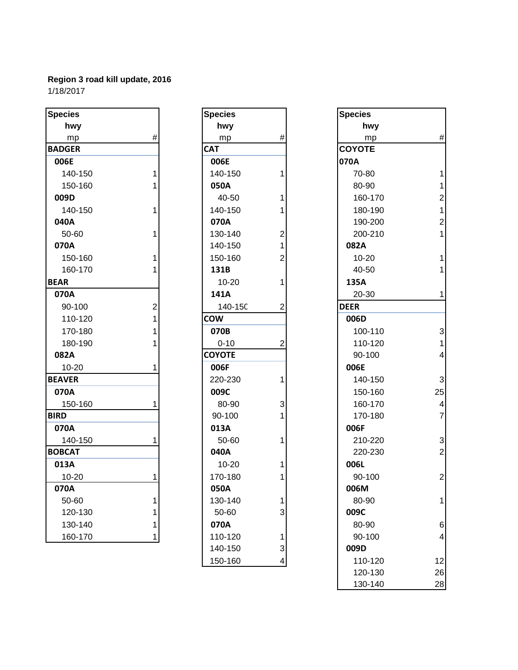| <b>Species</b> |                | <b>Species</b> |                | <b>Species</b> |                |
|----------------|----------------|----------------|----------------|----------------|----------------|
| hwy            |                | hwy            |                | hwy            |                |
| mp             | #              | mp             | #              | mp             | #              |
| <b>BADGER</b>  |                | <b>CAT</b>     |                | <b>COYOTE</b>  |                |
| 006E           |                | 006E           |                | 070A           |                |
| 140-150        | 1              | 140-150        | 1              | 70-80          | 1              |
| 150-160        |                | 050A           |                | 80-90          | 1              |
| 009D           |                | 40-50          | 1              | 160-170        | $\overline{a}$ |
| 140-150        | 1              | 140-150        | 1              | 180-190        | 1              |
| 040A           |                | 070A           |                | 190-200        | $\overline{a}$ |
| 50-60          | 1              | 130-140        | 2              | 200-210        | 1              |
| 070A           |                | 140-150        |                | 082A           |                |
| 150-160        | 1              | 150-160        | $\overline{2}$ | $10 - 20$      | $\overline{1}$ |
| 160-170        |                | 131B           |                | 40-50          | 1              |
| <b>BEAR</b>    |                | $10 - 20$      | 1              | 135A           |                |
| 070A           |                | 141A           |                | 20-30          | 1              |
| 90-100         | $\overline{c}$ | 140-15C        | $\overline{2}$ | <b>DEER</b>    |                |
| 110-120        | 1              | <b>COW</b>     |                | 006D           |                |
| 170-180        |                | 070B           |                | 100-110        | 3              |
| 180-190        |                | $0 - 10$       | $\overline{c}$ | 110-120        | 1              |
| 082A           |                | <b>COYOTE</b>  |                | 90-100         | 4              |
| $10 - 20$      | 1              | 006F           |                | 006E           |                |
| <b>BEAVER</b>  |                | 220-230        | 1              | 140-150        | 3              |
| 070A           |                | 009C           |                | 150-160        | 25             |
| 150-160        | 1              | 80-90          | 3              | 160-170        | 4              |
| <b>BIRD</b>    |                | 90-100         |                | 170-180        | $\overline{7}$ |
| 070A           |                | 013A           |                | 006F           |                |
| 140-150        | 1              | 50-60          | 1              | 210-220        | 3              |
| <b>BOBCAT</b>  |                | 040A           |                | 220-230        | $\overline{c}$ |
| 013A           |                | $10 - 20$      | 1              | 006L           |                |
| $10 - 20$      | 1              | 170-180        | 1              | 90-100         | $\overline{c}$ |
| 070A           |                | 050A           |                | 006M           |                |
| 50-60          | 1              | 130-140        |                | 80-90          | 1              |
| 120-130        |                | 50-60          | 3              | 009C           |                |
| 130-140        |                | 070A           |                | 80-90          | $\overline{6}$ |
| 160-170        | 1              | 110-120        | 1              | 90-100         | 4              |

| Species    |                         | <b>Specie</b> |
|------------|-------------------------|---------------|
| hwy        |                         | h             |
| mp         | #                       | I             |
| <b>CAT</b> |                         | <b>COYO</b>   |
| 006E       |                         | 070A          |
| 140-150    | 1                       | $70-$         |
| 050A       |                         | $80 -$        |
| 40-50      | 1                       | 160           |
| 140-150    | 1                       | 180           |
| 070A       |                         | 190           |
| 130-140    | $\overline{\mathbf{c}}$ | 200           |
| 140-150    | 1                       | 082A          |
| 150-160    | $\overline{2}$          | $10 - 1$      |
| 131B       |                         | $40 -$        |
| $10 - 20$  | 1                       | 135A          |
| 141A       |                         | $20 - 3$      |
| 140-150    | $\overline{2}$          | <b>DEER</b>   |
| cow        |                         | 006D          |
| 070B       |                         | 100           |
| $0 - 10$   | $\overline{2}$          | 110           |
| COYOTE     |                         | 90-           |
| 006F       |                         | 006E          |
| 220-230    | 1                       | 140           |
| 009C       |                         | 150           |
| 80-90      | 3                       | 160           |
| 90-100     | $\overline{1}$          | 170           |
| 013A       |                         | 006F          |
| 50-60      | 1                       | 210           |
| 040A       |                         | 220           |
| 10-20      | 1                       | 006L          |
| 170-180    | 1                       | 90-           |
| 050A       |                         | 006N          |
| 130-140    | 1                       | $80 -$        |
| 50-60      | 3                       | 009C          |
| 070A       |                         | $80 -$        |
| 110-120    | 1                       | 90-           |
| 140-150    | 3                       | 009D          |
| 150-160    | 4                       | 110           |

| cies        |   | <b>Species</b> |   | <b>Species</b> |                         |
|-------------|---|----------------|---|----------------|-------------------------|
| hwy         |   | hwy            |   | hwy            |                         |
| mp          | # | mp             | # | mp             | $\#$                    |
| <b>OGER</b> |   | <b>CAT</b>     |   | <b>COYOTE</b>  |                         |
| 06E         |   | 006E           |   | 070A           |                         |
| 140-150     |   | 140-150        |   | 70-80          |                         |
| 150-160     |   | 050A           |   | 80-90          |                         |
| )9D         |   | 40-50          |   | 160-170        |                         |
| 140-150     |   | 140-150        |   | 180-190        |                         |
| 10A         |   | 070A           |   | 190-200        | 2                       |
| 50-60       |   | 130-140        | 2 | 200-210        | 1                       |
| 70A         |   | 140-150        |   | 082A           |                         |
| 150-160     |   | 150-160        | 2 | $10 - 20$      |                         |
| 160-170     |   | 131B           |   | 40-50          |                         |
| <b>R</b>    |   | $10 - 20$      | 1 | 135A           |                         |
| 70A         |   | 141A           |   | 20-30          |                         |
| 90-100      | 2 | 140-15C        | 2 | <b>DEER</b>    |                         |
| 110-120     |   | <b>COW</b>     |   | 006D           |                         |
| 170-180     |   | 070B           |   | 100-110        | 3                       |
| 180-190     |   | $0 - 10$       | 2 | 110-120        |                         |
| 32A         |   | <b>COYOTE</b>  |   | 90-100         | $\overline{\mathbf{r}}$ |
| 10-20       |   | 006F           |   | 006E           |                         |
| VER         |   | 220-230        | 1 | 140-150        | $\mathbf{3}$            |
| 70A         |   | 009C           |   | 150-160        | 25                      |
| 150-160     |   | 80-90          | 3 | 160-170        | $\overline{4}$          |
| D           |   | 90-100         |   | 170-180        | $\overline{7}$          |
| 70A         |   | 013A           |   | 006F           |                         |
| 140-150     |   | 50-60          | 1 | 210-220        | $\mathbf{3}$            |
| <b>BCAT</b> |   | 040A           |   | 220-230        | $\mathbf{2}$            |
| L3A         |   | $10 - 20$      |   | 006L           |                         |
| 10-20       |   | 170-180        | 1 | 90-100         | $\mathbf{2}$            |
| 70A         |   | 050A           |   | 006M           |                         |
| 50-60       |   | 130-140        | 1 | 80-90          | 1                       |
| 120-130     |   | 50-60          | 3 | 009C           |                         |
| 130-140     |   | 070A           |   | 80-90          | 6                       |
| 160-170     | 1 | 110-120        | 1 | 90-100         | $\overline{4}$          |
|             |   | 140-150        | 3 | 009D           |                         |
|             |   | 150-160        | 4 | 110-120        | 12                      |
|             |   |                |   | 120-130        | 26                      |
|             |   |                |   | 130-140        | 28                      |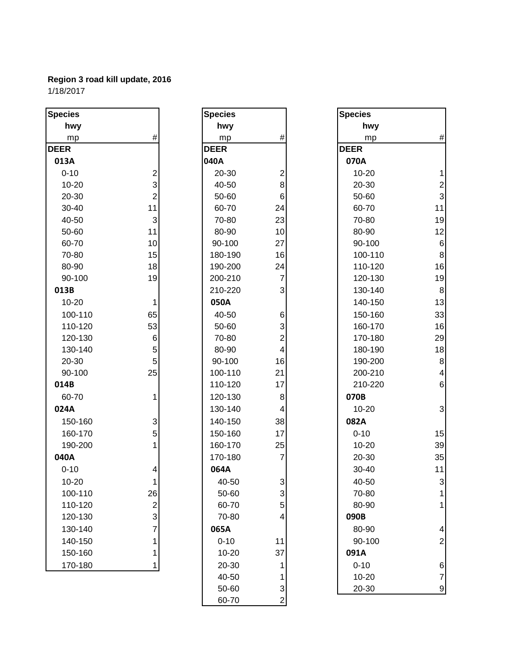1/18/2017

| <b>Species</b> |                           | <b>Species</b> |                           | <b>Species</b> |                         |
|----------------|---------------------------|----------------|---------------------------|----------------|-------------------------|
| hwy            |                           | hwy            |                           | hwy            |                         |
| mp             | $\#$                      | mp             | $\#$                      | mp             | $\#$                    |
| <b>DEER</b>    |                           | <b>DEER</b>    |                           | <b>DEER</b>    |                         |
| 013A           |                           | 040A           |                           | 070A           |                         |
| $0 - 10$       | $\overline{\mathbf{c}}$   | 20-30          | $\overline{\mathbf{c}}$   | $10 - 20$      | 1                       |
| $10 - 20$      | 3                         | 40-50          | $\bf 8$                   | 20-30          | $\mathbf{2}$            |
| 20-30          | $\overline{2}$            | 50-60          | $\,6$                     | 50-60          | $\overline{3}$          |
| 30-40          | 11                        | 60-70          | 24                        | 60-70          | 11                      |
| 40-50          | $\ensuremath{\mathsf{3}}$ | 70-80          | 23                        | 70-80          | 19                      |
| 50-60          | 11                        | 80-90          | 10                        | 80-90          | 12                      |
| 60-70          | 10                        | 90-100         | 27                        | 90-100         | $6 \overline{6}$        |
| 70-80          | 15                        | 180-190        | 16                        | 100-110        | $\bf{8}$                |
| 80-90          | 18                        | 190-200        | 24                        | 110-120        | 16                      |
| 90-100         | 19                        | 200-210        | $\overline{7}$            | 120-130        | 19                      |
| 013B           |                           | 210-220        | $\mathbf{3}$              | 130-140        | 8                       |
| 10-20          | 1                         | 050A           |                           | 140-150        | 13                      |
| 100-110        | 65                        | 40-50          | 6                         | 150-160        | 33                      |
| 110-120        | 53                        | 50-60          | 3                         | 160-170        | 16                      |
| 120-130        | 6                         | 70-80          | $\overline{\mathbf{c}}$   | 170-180        | 29                      |
| 130-140        | 5                         | 80-90          | $\overline{\mathbf{4}}$   | 180-190        | 18                      |
| 20-30          | 5                         | 90-100         | 16                        | 190-200        | $\bf 8$                 |
| 90-100         | 25                        | 100-110        | 21                        | 200-210        | $\vert 4 \vert$         |
| 014B           |                           | 110-120        | 17                        | 210-220        | $6 \overline{6}$        |
| 60-70          | 1                         | 120-130        | $\bf 8$                   | 070B           |                         |
| 024A           |                           | 130-140        | $\overline{\mathbf{4}}$   | $10 - 20$      | $\mathbf{3}$            |
| 150-160        | 3                         | 140-150        | 38                        | 082A           |                         |
| 160-170        | 5                         | 150-160        | 17                        | $0 - 10$       | 15                      |
| 190-200        | 1                         | 160-170        | 25                        | $10 - 20$      | 39                      |
| 040A           |                           | 170-180        | $\overline{7}$            | 20-30          | 35                      |
| $0 - 10$       | 4                         | 064A           |                           | 30-40          | 11                      |
| $10 - 20$      | 1                         | 40-50          | $\ensuremath{\mathsf{3}}$ | 40-50          | $\mathbf{3}$            |
| 100-110        | 26                        | 50-60          | $\ensuremath{\mathsf{3}}$ | 70-80          | 1                       |
| 110-120        | $\overline{\mathbf{c}}$   | 60-70          | 5                         | 80-90          | 1                       |
| 120-130        | 3                         | 70-80          | 4                         | 090B           |                         |
| 130-140        | 7                         | 065A           |                           | 80-90          | $\overline{\mathbf{r}}$ |
| 140-150        | 1                         | $0 - 10$       | 11                        | 90-100         | $\overline{c}$          |
| 150-160        | 1                         | 10-20          | 37                        | 091A           |                         |
| 170-180        | 1                         | 20-30          |                           | $0 - 10$       | $6 \,$                  |
|                |                           | 40-50          |                           | $10 - 20$      | $\overline{7}$          |
|                |                           | 50-60          | 3                         | 20-30          | $\overline{9}$          |
|                |                           | 60-70          | $\overline{c}$            |                |                         |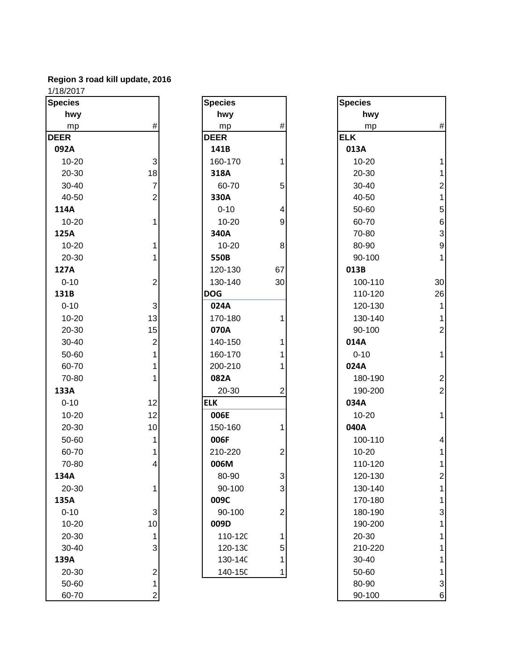| <b>Species</b> |                           | <b>Species</b> |                  | <b>Species</b> |                |
|----------------|---------------------------|----------------|------------------|----------------|----------------|
| hwy            |                           | hwy            |                  | hwy            |                |
| mp             | #                         | mp             | $\#$             | mp             | #              |
| <b>DEER</b>    |                           | <b>DEER</b>    |                  | <b>ELK</b>     |                |
| 092A           |                           | 141B           |                  | 013A           |                |
| $10 - 20$      | $\ensuremath{\mathsf{3}}$ | 160-170        | 1                | $10 - 20$      |                |
| 20-30          | 18                        | 318A           |                  | 20-30          | 1              |
| $30 - 40$      | $\overline{7}$            | 60-70          | 5                | 30-40          | $\overline{c}$ |
| 40-50          | $\overline{2}$            | 330A           |                  | 40-50          | 1              |
| 114A           |                           | $0 - 10$       | 4                | 50-60          | 5              |
| $10 - 20$      | 1                         | $10 - 20$      | $\boldsymbol{9}$ | 60-70          | 6              |
| 125A           |                           | 340A           |                  | 70-80          | 3              |
| $10 - 20$      | 1                         | $10 - 20$      | $\bf 8$          | 80-90          | 9              |
| 20-30          |                           | 550B           |                  | 90-100         | 1              |
| 127A           |                           | 120-130        | 67               | 013B           |                |
| $0 - 10$       | $\overline{c}$            | 130-140        | 30               | 100-110        | 30             |
| 131B           |                           | <b>DOG</b>     |                  | 110-120        | 26             |
| $0 - 10$       | $\ensuremath{\mathsf{3}}$ | 024A           |                  | 120-130        | 1              |
| $10 - 20$      | 13                        | 170-180        | 1                | 130-140        | 1              |
| 20-30          | 15                        | 070A           |                  | 90-100         | $\overline{c}$ |
| 30-40          | $\overline{c}$            | 140-150        | 1                | 014A           |                |
| 50-60          |                           | 160-170        |                  | $0 - 10$       | 1              |
| 60-70          | 1                         | 200-210        | 1                | 024A           |                |
| 70-80          |                           | 082A           |                  | 180-190        | $\overline{c}$ |
| 133A           |                           | 20-30          | 2                | 190-200        | $\overline{c}$ |
| $0 - 10$       | 12                        | <b>ELK</b>     |                  | 034A           |                |
| $10 - 20$      | 12                        | 006E           |                  | $10 - 20$      | 1              |
| 20-30          | 10                        | 150-160        | 1                | 040A           |                |
| 50-60          | 1                         | 006F           |                  | 100-110        | 4              |
| 60-70          |                           | 210-220        | 2                | $10 - 20$      | 1              |
| 70-80          | 4                         | 006M           |                  | 110-120        | 1              |
| 134A           |                           | 80-90          | 3                | 120-130        |                |
| 20-30          | 1                         | 90-100         | 3                | 130-140        |                |
| 135A           |                           | 009C           |                  | 170-180        |                |
| $0 - 10$       | 3                         | 90-100         | $\mathbf 2$      | 180-190        | 3              |
| 10-20          | 10                        | 009D           |                  | 190-200        |                |
| 20-30          | 1                         | 110-12C        | 1                | 20-30          |                |
| 30-40          | 3                         | 120-13C        | 5                | 210-220        |                |
| 139A           |                           | 130-14C        | 1                | 30-40          |                |
| 20-30          | $\overline{\mathbf{c}}$   | 140-15C        | 1                | 50-60          |                |
| 50-60          | 1                         |                |                  | 80-90          | 3              |
| 60-70          |                           |                |                  | $90 - 100$     | 6              |

| <b>Species</b><br>hwy |                                            |
|-----------------------|--------------------------------------------|
|                       |                                            |
|                       | #                                          |
| mp<br><b>DEER</b>     |                                            |
| 141B                  |                                            |
| 160-170               | 1                                          |
| 318A                  |                                            |
|                       | 5                                          |
| 60-70<br>330A         |                                            |
|                       | $\overline{\mathbf{r}}$                    |
| $0 - 10$              |                                            |
| 10-20                 | 9                                          |
| 340A                  |                                            |
| 10-20                 | 8                                          |
| 550B                  |                                            |
| 120-130               | 67                                         |
| 130-140               | 30                                         |
| <b>DOG</b>            |                                            |
| 024A                  |                                            |
| 170-180               | 1                                          |
| 070A                  |                                            |
| 140-150               | 1                                          |
| 160-170               | $\mathbf 1$                                |
| 200-210               | $\overline{1}$                             |
| 082A                  |                                            |
| 20-30                 | 2                                          |
| <b>ELK</b>            |                                            |
| 006E                  |                                            |
| 150-160               | 1                                          |
| 006F                  |                                            |
| 210-220               | 2                                          |
| 006M                  |                                            |
| 80-90                 |                                            |
| 90-100                | $\frac{3}{3}$                              |
| 009C                  |                                            |
| 90-100                | $\overline{c}$                             |
| 009D                  |                                            |
| 110-120               | $\begin{array}{c} 1 \\ 5 \\ 1 \end{array}$ |
| 120-130               |                                            |
| 130-14C               |                                            |
| 140-150               | 1                                          |
|                       |                                            |

| cies     |                           | <b>Species</b> |                | <b>Species</b> |                  |
|----------|---------------------------|----------------|----------------|----------------|------------------|
| hwy      |                           | hwy            |                | hwy            |                  |
| mp       | #                         | mp             | #              | mp             | $\#$             |
| ER.      |                           | <b>DEER</b>    |                | <b>ELK</b>     |                  |
| )2A      |                           | 141B           |                | 013A           |                  |
| 10-20    | $\ensuremath{\mathsf{3}}$ | 160-170        |                | 10-20          | $\mathbf{1}$     |
| 20-30    | 18                        | 318A           |                | 20-30          | $\mathbf{1}$     |
| 30-40    | $\overline{\mathbf{7}}$   | 60-70          | 5              | 30-40          | $\mathbf{2}$     |
| 40-50    | $\overline{2}$            | 330A           |                | 40-50          | $\mathbf{1}$     |
| L4A      |                           | $0 - 10$       | 4              | 50-60          | $5\overline{)}$  |
| 10-20    | 1                         | $10 - 20$      | 9              | 60-70          | $\sqrt{6}$       |
| 25A      |                           | 340A           |                | 70-80          | $\mathbf{3}$     |
| 10-20    |                           | $10 - 20$      | 8              | 80-90          | $\boldsymbol{9}$ |
| 20-30    |                           | 550B           |                | 90-100         | $\mathbf{1}$     |
| 27A      |                           | 120-130        | 67             | 013B           |                  |
| $0 - 10$ | $\overline{\mathbf{c}}$   | 130-140        | 30             | 100-110        | 30               |
| 31B      |                           | <b>DOG</b>     |                | 110-120        | 26               |
| $0 - 10$ | $\ensuremath{\mathsf{3}}$ | 024A           |                | 120-130        | $\mathbf{1}$     |
| 10-20    | 13                        | 170-180        |                | 130-140        | 1                |
| 20-30    | 15                        | 070A           |                | 90-100         | $\mathbf{2}$     |
| 30-40    | $\overline{c}$            | 140-150        |                | 014A           |                  |
| 50-60    |                           | 160-170        |                | $0 - 10$       | $\mathbf{1}$     |
| 60-70    |                           | 200-210        |                | 024A           |                  |
| 70-80    |                           | 082A           |                | 180-190        | $\mathbf{2}$     |
| 33A      |                           | 20-30          | 2              | 190-200        | $\overline{2}$   |
| $0 - 10$ | 12                        | <b>ELK</b>     |                | 034A           |                  |
| 10-20    | 12                        | 006E           |                | 10-20          | $\mathbf{1}$     |
| 20-30    | 10                        | 150-160        |                | 040A           |                  |
| 50-60    | 1                         | 006F           |                | 100-110        | $\overline{4}$   |
| 60-70    | 1                         | 210-220        | 2              | $10 - 20$      | $\mathbf{1}$     |
| 70-80    | 4                         | 006M           |                | 110-120        | $\mathbf{1}$     |
| 34A      |                           | 80-90          | 3              | 120-130        | 2                |
| 20-30    |                           | 90-100         | 3              | 130-140        | 1                |
| 35A      |                           | 009C           |                | 170-180        | 1                |
| 0-10     | $\sqrt{3}$                | 90-100         | $\overline{2}$ | 180-190        | 3                |
| 10-20    | 10                        | 009D           |                | 190-200        | 1                |
| 20-30    | 1                         | 110-12C        |                | 20-30          | 1                |
| 30-40    | 3                         | 120-13C        | 5              | 210-220        | 1                |
| 39A      |                           | 130-14C        |                | 30-40          | 1                |
| 20-30    | $\overline{\mathbf{c}}$   | 140-15C        | 1              | 50-60          | 1                |
| 50-60    | 1                         |                |                | 80-90          | $\mathbf{3}$     |
| 60-70    | $\overline{\mathbf{c}}$   |                |                | 90-100         | $6 \overline{6}$ |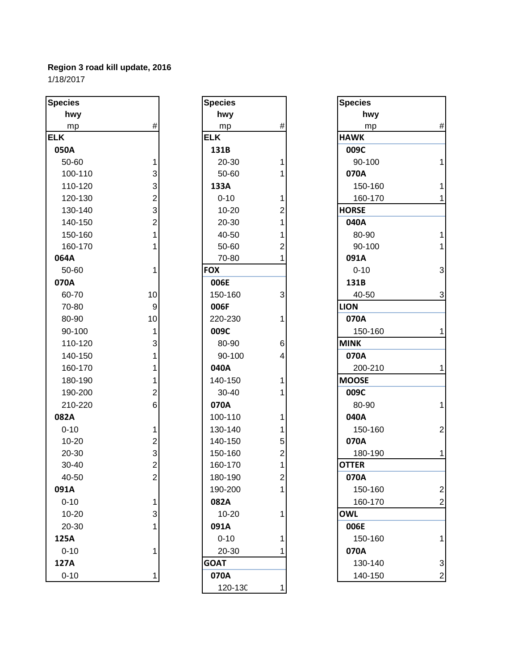| <b>Species</b> |                         | <b>Species</b> |                | <b>Species</b> |
|----------------|-------------------------|----------------|----------------|----------------|
| hwy            |                         | hwy            |                | hwy            |
| mp             | $\#$                    | mp             | #              | mp             |
| <b>ELK</b>     |                         | <b>ELK</b>     |                | <b>HAWK</b>    |
| 050A           |                         | 131B           |                | 009C           |
| 50-60          | 1                       | 20-30          | 1              | 90-100         |
| 100-110        | 3                       | 50-60          | 1              | 070A           |
| 110-120        | 3                       | 133A           |                | 150-16         |
| 120-130        | $\overline{2}$          | $0 - 10$       | 1              | 160-17         |
| 130-140        | 3                       | $10 - 20$      | 2              | <b>HORSE</b>   |
| 140-150        | $\overline{2}$          | 20-30          | 1              | 040A           |
| 150-160        | $\mathbf{1}$            | 40-50          | 1              | 80-90          |
| 160-170        | 1                       | 50-60          | $\overline{2}$ | 90-100         |
| 064A           |                         | 70-80          | 1              | 091A           |
| 50-60          | 1                       | <b>FOX</b>     |                | $0 - 10$       |
| 070A           |                         | 006E           |                | 131B           |
| 60-70          | 10                      | 150-160        | 3              | 40-50          |
| 70-80          | 9                       | 006F           |                | <b>LION</b>    |
| 80-90          | 10                      | 220-230        | 1              | 070A           |
| 90-100         | 1                       | 009C           |                | 150-16         |
| 110-120        | 3                       | 80-90          | 6              | <b>MINK</b>    |
| 140-150        | $\mathbf 1$             | 90-100         | 4              | 070A           |
| 160-170        | $\mathbf{1}$            | 040A           |                | 200-21         |
| 180-190        | 1                       | 140-150        | 1              | <b>MOOSE</b>   |
| 190-200        | $\overline{2}$          | 30-40          | 1              | 009C           |
| 210-220        | 6                       | 070A           |                | 80-90          |
| 082A           |                         | 100-110        | 1              | 040A           |
| $0 - 10$       | 1                       | 130-140        | 1              | 150-16         |
| 10-20          | $\overline{\mathbf{c}}$ | 140-150        | 5              | 070A           |
| 20-30          | 3                       | 150-160        | $\overline{2}$ | 180-19         |
| 30-40          | $\overline{2}$          | 160-170        | 1              | <b>OTTER</b>   |
| 40-50          | 2                       | 180-190        | $\overline{c}$ | 070A           |
| 091A           |                         | 190-200        | 1              | 150-16         |
| $0 - 10$       | 1                       | 082A           |                | 160-17         |
| $10 - 20$      | 3                       | $10 - 20$      | 1              | <b>OWL</b>     |
| 20-30          | 1                       | 091A           |                | 006E           |
| 125A           |                         | $0 - 10$       | 1              | 150-16         |
| $0 - 10$       | 1                       | 20-30          |                | 070A           |
| 127A           |                         | <b>GOAT</b>    |                | 130-14         |
| $0 - 10$       | 1                       | 070A           |                | 140-15         |

| <b>Species</b> |                                                 |
|----------------|-------------------------------------------------|
| hwy            |                                                 |
| mp             | #                                               |
| <b>ELK</b>     |                                                 |
| 131B           |                                                 |
| 20-30          | 1                                               |
| 50-60          | $\overline{\mathbf{1}}$                         |
| 133A           |                                                 |
| $0 - 10$       |                                                 |
| 10-20          |                                                 |
| 20-30          |                                                 |
| 40-50          |                                                 |
| 50-60          | 12112                                           |
| 70-80          |                                                 |
| <b>FOX</b>     |                                                 |
| 006E           |                                                 |
| 150-160        | 3                                               |
| 006F           |                                                 |
| 220-230        | $\overline{1}$                                  |
| 009C           |                                                 |
| 80-90          | 6                                               |
| 90-100         | 4                                               |
| 040A           |                                                 |
| 140-150        | 1                                               |
| 30-40          | $\overline{\mathbf{1}}$                         |
| 070A           |                                                 |
| 100-110        | $\mathbf{1}$                                    |
| 130-140        |                                                 |
| 140-150        |                                                 |
| 150-160        | $\begin{array}{c} 1 \\ 5 \\ 2 \\ 1 \end{array}$ |
| 160-170        |                                                 |
| 180-190        | $\overline{\mathbf{c}}$                         |
| 190-200        |                                                 |
| 082A           |                                                 |
| 10-20          | 1                                               |
| 091A           |                                                 |
| $0 - 10$       | 1                                               |
| 20-30          | 1                                               |
| <b>GOAT</b>    |                                                 |
| 070A           |                                                 |
| 120-130        |                                                 |

|                         | <b>Species</b> |                | <b>Species</b> |                 |
|-------------------------|----------------|----------------|----------------|-----------------|
|                         | hwy            |                | hwy            |                 |
| $\#$                    | mp             | $\#$           | mp             | $\#$            |
|                         | <b>ELK</b>     |                | <b>HAWK</b>    |                 |
|                         | 131B           |                | 009C           |                 |
| 1                       | 20-30          |                | 90-100         | 1               |
| 3                       | 50-60          |                | 070A           |                 |
| 3                       | 133A           |                | 150-160        | 1               |
| $\overline{\mathbf{c}}$ | $0 - 10$       | 1              | 160-170        | 1               |
| 3                       | $10 - 20$      | 2              | <b>HORSE</b>   |                 |
| $\overline{c}$          | 20-30          |                | 040A           |                 |
| 1                       | 40-50          |                | 80-90          | $\mathbf{1}$    |
|                         | 50-60          | $\overline{c}$ | 90-100         | $\mathbf{1}$    |
|                         | 70-80          | 1              | 091A           |                 |
| 1                       | <b>FOX</b>     |                | $0 - 10$       | $\mathbf{3}$    |
|                         | 006E           |                | 131B           |                 |
| 10                      | 150-160        | 3              | 40-50          | $\mathbf{3}$    |
| 9                       | 006F           |                | <b>LION</b>    |                 |
| 10                      | 220-230        | 1              | 070A           |                 |
| 1                       | 009C           |                | 150-160        | 1               |
| 3                       | 80-90          | 6              | <b>MINK</b>    |                 |
| 1                       | 90-100         | 4              | 070A           |                 |
|                         | 040A           |                | 200-210        | $\mathbf{1}$    |
| 1                       | 140-150        | 1              | <b>MOOSE</b>   |                 |
| $\overline{2}$          | 30-40          |                | 009C           |                 |
| 6                       | 070A           |                | 80-90          | $\mathbf{1}$    |
|                         | 100-110        | 1              | 040A           |                 |
| 1                       | 130-140        |                | 150-160        | $\overline{2}$  |
| 2                       | 140-150        | 5              | 070A           |                 |
| 3                       | 150-160        | 2              | 180-190        | 1               |
| $\overline{2}$          | 160-170        | 1              | <b>OTTER</b>   |                 |
| $\overline{c}$          | 180-190        |                | 070A           |                 |
|                         | 190-200        |                | 150-160        | $\mathbf{2}$    |
| 1                       | 082A           |                | 160-170        | $\overline{2}$  |
| 3                       | $10 - 20$      | 1              | <b>OWL</b>     |                 |
|                         | 091A           |                | 006E           |                 |
|                         | $0 - 10$       | 1              | 150-160        | 1               |
|                         |                |                |                |                 |
|                         | <b>GOAT</b>    |                | 130-140        | $\mathbf{3}$    |
|                         |                |                |                | $\mathbf{2}$    |
|                         |                | 20-30<br>070A  | 2              | 070A<br>140-150 |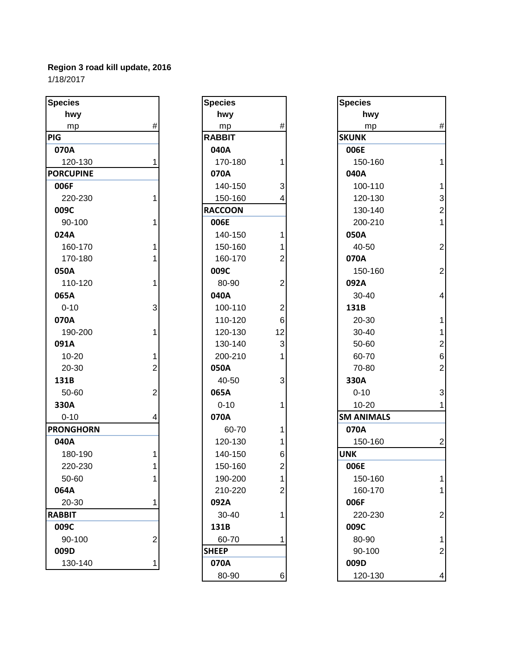| <b>Species</b>   |                | <b>Species</b> |                         | <b>Species</b>    |                         |
|------------------|----------------|----------------|-------------------------|-------------------|-------------------------|
| hwy              |                | hwy            |                         | hwy               |                         |
| mp               | #              | mp             | #                       | mp                | #                       |
| <b>PIG</b>       |                | <b>RABBIT</b>  |                         | <b>SKUNK</b>      |                         |
| 070A             |                | 040A           |                         | 006E              |                         |
| 120-130          | 1              | 170-180        | 1                       | 150-160           | 1                       |
| <b>PORCUPINE</b> |                | 070A           |                         | 040A              |                         |
| 006F             |                | 140-150        | 3                       | 100-110           | 1                       |
| 220-230          |                | 150-160        | 4                       | 120-130           | 3                       |
| 009C             |                | <b>RACCOON</b> |                         | 130-140           | $\overline{2}$          |
| 90-100           |                | 006E           |                         | 200-210           | 1                       |
| 024A             |                | 140-150        | 1                       | 050A              |                         |
| 160-170          |                | 150-160        |                         | 40-50             | $\overline{2}$          |
| 170-180          |                | 160-170        | 2                       | 070A              |                         |
| 050A             |                | 009C           |                         | 150-160           | $\overline{c}$          |
| 110-120          |                | 80-90          | $\overline{\mathbf{c}}$ | 092A              |                         |
| 065A             |                | 040A           |                         | 30-40             | 4                       |
| $0 - 10$         | 3              | 100-110        | $\overline{\mathbf{c}}$ | 131B              |                         |
| 070A             |                | 110-120        | $6\phantom{1}$          | 20-30             | 1                       |
| 190-200          | 1              | 120-130        | 12                      | 30-40             | 1                       |
| 091A             |                | 130-140        | 3                       | 50-60             | $\overline{\mathbf{c}}$ |
| $10 - 20$        | 1              | 200-210        | 1                       | 60-70             | 6                       |
| 20-30            | $\overline{2}$ | 050A           |                         | 70-80             | $\overline{c}$          |
| 131B             |                | 40-50          | 3                       | 330A              |                         |
| 50-60            | 2              | 065A           |                         | $0 - 10$          | 3                       |
| 330A             |                | $0 - 10$       | 1                       | $10 - 20$         | 1                       |
| $0 - 10$         | 4              | 070A           |                         | <b>SM ANIMALS</b> |                         |
| <b>PRONGHORN</b> |                | 60-70          | 1                       | 070A              |                         |
| 040A             |                | 120-130        | 1                       | 150-160           | $\overline{2}$          |
| 180-190          |                | 140-150        | 6                       | <b>UNK</b>        |                         |
| 220-230          |                | 150-160        | $\overline{c}$          | 006E              |                         |
| 50-60            | 1              | 190-200        | 1                       | 150-160           |                         |
| 064A             |                | 210-220        | 2                       | 160-170           |                         |
| 20-30            | 1              | 092A           |                         | 006F              |                         |
| <b>RABBIT</b>    |                | 30-40          | 1                       | 220-230           | $\overline{a}$          |
| 009C             |                | 131B           |                         | 009C              |                         |
| 90-100           | $\overline{2}$ | 60-70          | 1                       | 80-90             | 1                       |
| 009D             |                | <b>SHEEP</b>   |                         | 90-100            | $\overline{2}$          |
| 130-140          | 1              | 070A           |                         | 009D              |                         |
|                  |                |                |                         |                   |                         |

| <b>Species</b> |                |
|----------------|----------------|
| hwy            |                |
| mp             | #              |
| <b>RABBIT</b>  |                |
| 040A           |                |
| 170-180        | 1              |
| 070A           |                |
| 140-150        | 3              |
| 150-160        | 4              |
| <b>RACCOON</b> |                |
| 006E           |                |
| 140-150        | 1              |
| 150-160        | 1              |
| 160-170        | 2              |
| 009C           |                |
| 80-90          | 2              |
| 040A           |                |
| 100-110        | 2              |
| 110-120        | 6              |
| 120-130        | 12             |
| 130-140        | 3              |
| 200-210        | 1              |
| 050A           |                |
| 40-50          | 3              |
| 065A           |                |
| 0-10           | 1              |
| 070A           |                |
| 60-70          | 1              |
| 120-130        | 1              |
| 140-150        | 6              |
| 150-160        | $\overline{c}$ |
| 190-200        | 1              |
| 210-220        | 2              |
| 092A           |                |
| 30-40          | 1              |
| 131B           |                |
| 60-70          | 1              |
| <b>SHEEP</b>   |                |
| 070A           |                |
| RN-90          | ี่ค            |

| pecies          |   | <b>Species</b> |                         | <b>Species</b>    |                          |
|-----------------|---|----------------|-------------------------|-------------------|--------------------------|
| hwy             |   | hwy            |                         | hwy               |                          |
| mp              | # | mp             | $\#$                    | mp                | $\#$                     |
| G               |   | <b>RABBIT</b>  |                         | <b>SKUNK</b>      |                          |
| 070A            |   | 040A           |                         | 006E              |                          |
| 120-130         |   | 170-180        |                         | 150-160           | 1                        |
| <b>ORCUPINE</b> |   | 070A           |                         | 040A              |                          |
| 006F            |   | 140-150        | 3                       | 100-110           | 1                        |
| 220-230         |   | 150-160        | 4                       | 120-130           | 3                        |
| 009C            |   | <b>RACCOON</b> |                         | 130-140           | $\overline{\mathbf{c}}$  |
| 90-100          |   | 006E           |                         | 200-210           | $\mathbf{1}$             |
| 024A            |   | 140-150        | 1                       | 050A              |                          |
| 160-170         |   | 150-160        |                         | 40-50             | $\mathbf{2}$             |
| 170-180         |   | 160-170        | 2                       | 070A              |                          |
| 050A            |   | 009C           |                         | 150-160           | $\overline{2}$           |
| 110-120         |   | 80-90          | $\overline{2}$          | 092A              |                          |
| 065A            |   | 040A           |                         | 30-40             | $\overline{\mathcal{A}}$ |
| $0 - 10$        | 3 | 100-110        | $\overline{\mathbf{c}}$ | 131B              |                          |
| 070A            |   | 110-120        | 6                       | 20-30             |                          |
| 190-200         |   | 120-130        | 12                      | 30-40             | 1                        |
| 091A            |   | 130-140        | 3                       | 50-60             | $\overline{c}$           |
| $10 - 20$       |   | 200-210        | 1                       | 60-70             | $\,6$                    |
| 20-30           | 2 | 050A           |                         | 70-80             | $\overline{2}$           |
| 131B            |   | 40-50          | 3                       | 330A              |                          |
| 50-60           | 2 | 065A           |                         | $0 - 10$          | 3                        |
| 330A            |   | $0 - 10$       | 1                       | 10-20             | 1                        |
| $0 - 10$        | 4 | 070A           |                         | <b>SM ANIMALS</b> |                          |
| <b>RONGHORN</b> |   | 60-70          | 1                       | 070A              |                          |
| 040A            |   | 120-130        |                         | 150-160           | $\overline{2}$           |
| 180-190         |   | 140-150        | 6                       | <b>UNK</b>        |                          |
| 220-230         |   | 150-160        | $\overline{c}$          | 006E              |                          |
| 50-60           |   | 190-200        | $\mathbf{1}$            | 150-160           | 1                        |
| 064A            |   | 210-220        | $\overline{2}$          | 160-170           | 1                        |
| 20-30           |   | 092A           |                         | 006F              |                          |
| ABBIT           |   | 30-40          | 1                       | 220-230           | $\overline{c}$           |
| 009C            |   | 131B           |                         | 009C              |                          |
| 90-100          | 2 | 60-70          | 1                       | 80-90             | 1                        |
| 009D            |   | <b>SHEEP</b>   |                         | 90-100            | $\overline{c}$           |
| 130-140         | 1 | 070A           |                         | 009D              |                          |
|                 |   | 80-90          | 6                       | 120-130           | $\overline{4}$           |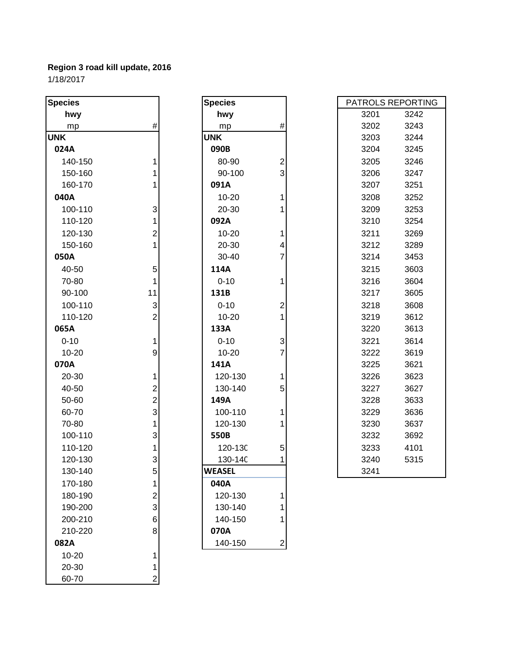**Species Species UNK UNK** 3203 3244 **024A 090B** 3204 3245 **040A** 10-20 1 3208 3252 **050A** 30-40 7 3214 3453 **065A 133A** 3220 3613 **070A 141A** 3225 3621 170-180 1 180-190 2<br>190-200 3 190-200 3<br>200-210 6 200-210 210-220 8 **070A 082A** 2 10-20 1 20-30 1 60-70 2

| cies     |                | <b>Species</b> |                | PATROLS REPORT |      |
|----------|----------------|----------------|----------------|----------------|------|
| hwy      |                | hwy            |                | 3201           | 3242 |
| mp       | #              | mp             | #              | 3202           | 3243 |
| ∢        |                | <b>UNK</b>     |                | 3203           | 3244 |
| 24A      |                | 090B           |                | 3204           | 3245 |
| 140-150  | 1              | 80-90          | $\overline{c}$ | 3205           | 3246 |
| 150-160  | 1              | 90-100         | 3              | 3206           | 3247 |
| 160-170  |                | 091A           |                | 3207           | 3251 |
| 10A      |                | $10 - 20$      | 1              | 3208           | 3252 |
| 100-110  | 3              | 20-30          | 1              | 3209           | 3253 |
| 110-120  | 1              | 092A           |                | 3210           | 3254 |
| 120-130  | $\mathbf{2}$   | 10-20          | 1              | 3211           | 3269 |
| 150-160  | 1              | 20-30          | 4              | 3212           | 3289 |
| 50A      |                | 30-40          | $\overline{7}$ | 3214           | 3453 |
| 40-50    | 5              | 114A           |                | 3215           | 3603 |
| 70-80    | 1              | $0 - 10$       | 1              | 3216           | 3604 |
| 90-100   | 11             | 131B           |                | 3217           | 3605 |
| 100-110  | 3              | $0 - 10$       | $\overline{c}$ | 3218           | 3608 |
| 110-120  | $\overline{2}$ | 10-20          | 1              | 3219           | 3612 |
| 55A      |                | 133A           |                | 3220           | 3613 |
| $0 - 10$ | 1              | $0 - 10$       | 3              | 3221           | 3614 |
| 10-20    | 9              | $10 - 20$      | $\overline{7}$ | 3222           | 3619 |
| 70A      |                | 141A           |                | 3225           | 3621 |
| 20-30    | 1              | 120-130        | 1              | 3226           | 3623 |
| 40-50    | $\mathbf{2}$   | 130-140        | 5              | 3227           | 3627 |
| 50-60    | $\overline{c}$ | 149A           |                | 3228           | 3633 |
| 60-70    | 3              | 100-110        | 1              | 3229           | 3636 |
| 70-80    | 1              | 120-130        | 1              | 3230           | 3637 |
| 100-110  | 3              | 550B           |                | 3232           | 3692 |
| 110-120  | 1              | 120-13C        | 5              | 3233           | 4101 |
| 120-130  | 3              | 130-14C        |                | 3240           | 5315 |
| 130-140  | 5              | <b>WEASEL</b>  |                | 3241           |      |
| 170-180  | 1              | 040A           |                |                |      |
| 180-190  | 2              | 120-130        | 1              |                |      |
| 190-200  | 3              | 130-140        | 1              |                |      |
| 200-210  | 6              | 140-150        |                |                |      |
| 210-220  | 8              | 070A           |                |                |      |
| 32A      |                | 140-150        | 2              |                |      |

| PATROLS REPORTING |      |  |  |  |  |
|-------------------|------|--|--|--|--|
| 3201              | 3242 |  |  |  |  |
| 3202              | 3243 |  |  |  |  |
| 3203              | 3244 |  |  |  |  |
| 3204              | 3245 |  |  |  |  |
| 3205              | 3246 |  |  |  |  |
| 3206              | 3247 |  |  |  |  |
| 3207              | 3251 |  |  |  |  |
| 3208              | 3252 |  |  |  |  |
| 3209              | 3253 |  |  |  |  |
| 3210              | 3254 |  |  |  |  |
| 3211              | 3269 |  |  |  |  |
| 3212              | 3289 |  |  |  |  |
| 3214              | 3453 |  |  |  |  |
| 3215              | 3603 |  |  |  |  |
| 3216              | 3604 |  |  |  |  |
| 3217              | 3605 |  |  |  |  |
| 3218              | 3608 |  |  |  |  |
| 3219              | 3612 |  |  |  |  |
| 3220              | 3613 |  |  |  |  |
| 3221              | 3614 |  |  |  |  |
| 3222              | 3619 |  |  |  |  |
| 3225              | 3621 |  |  |  |  |
| 3226              | 3623 |  |  |  |  |
| 3227              | 3627 |  |  |  |  |
| 3228              | 3633 |  |  |  |  |
| 3229              | 3636 |  |  |  |  |
| 3230              | 3637 |  |  |  |  |
| 3232              | 3692 |  |  |  |  |
| 3233              | 4101 |  |  |  |  |
| 3240              | 5315 |  |  |  |  |
| 3241              |      |  |  |  |  |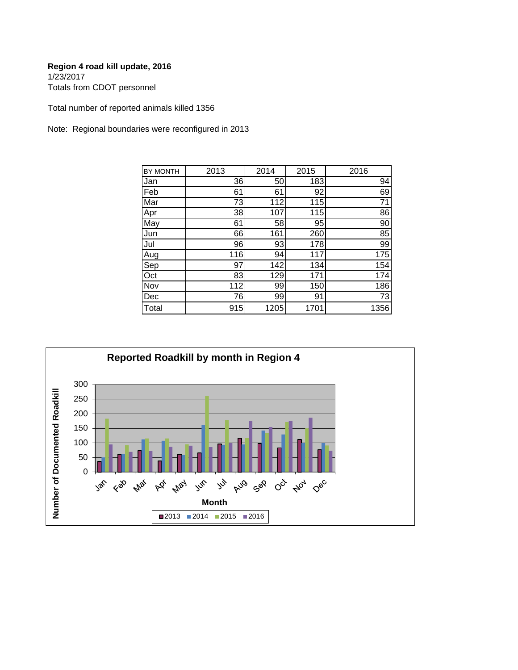Totals from CDOT personnel

Total number of reported animals killed 1356

Note: Regional boundaries were reconfigured in 2013

| BY MONTH | 2013 | 2014 | 2015 | 2016            |
|----------|------|------|------|-----------------|
| Jan      | 36   | 50   | 183  | 94              |
| Feb      | 61   | 61   | 92   | 69              |
| Mar      | 73   | 112  | 115  | $\overline{71}$ |
| Apr      | 38   | 107  | 115  | 86              |
| May      | 61   | 58   | 95   | 90              |
| Jun      | 66   | 161  | 260  | 85              |
| Jul      | 96   | 93   | 178  | 99              |
| Aug      | 116  | 94   | 117  | 175             |
| Sep      | 97   | 142  | 134  | 154             |
| Oct      | 83   | 129  | 171  | 174             |
| Nov      | 112  | 99   | 150  | 186             |
| Dec      | 76   | 99   | 91   | 73              |
| Total    | 915  | 1205 | 1701 | 1356            |

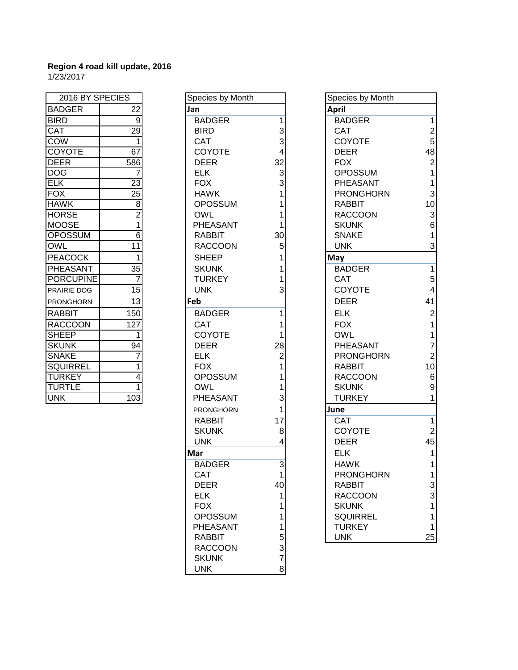| 2016 BY SPECIES    |                  |  |  |  |
|--------------------|------------------|--|--|--|
| <b>BADGER</b>      | 22               |  |  |  |
| <b>BIRD</b>        | 9                |  |  |  |
| <b>CAT</b>         | $\overline{29}$  |  |  |  |
| <b>COW</b>         | 1                |  |  |  |
| <b>COYOTE</b>      | $\overline{67}$  |  |  |  |
| <b>DEER</b>        | 586              |  |  |  |
| <b>DOG</b>         | 7                |  |  |  |
| <b>ELK</b>         | 23               |  |  |  |
| <b>FOX</b>         | 25               |  |  |  |
| <b>HAWK</b>        | $\frac{8}{2}$    |  |  |  |
| <b>HORSE</b>       |                  |  |  |  |
| <b>MOOSE</b>       |                  |  |  |  |
| <b>OPOSSUM</b>     | $\overline{6}$   |  |  |  |
| <b>OWL</b>         | 11               |  |  |  |
| <b>PEACOCK</b>     | 1                |  |  |  |
| PHEASANT           | 35               |  |  |  |
| <b>PORCUPINE</b>   | 7                |  |  |  |
| <b>PRAIRIE DOG</b> | $\overline{15}$  |  |  |  |
| <b>PRONGHORN</b>   | 13               |  |  |  |
| <b>RABBIT</b>      | 150              |  |  |  |
| <b>RACCOON</b>     | 127              |  |  |  |
| <b>SHEEP</b>       | 1                |  |  |  |
| <b>SKUNK</b>       | 94               |  |  |  |
| <b>SNAKE</b>       | 7                |  |  |  |
| <b>SQUIRREL</b>    | $\overline{1}$   |  |  |  |
| <b>TURKEY</b>      | 4                |  |  |  |
| <b>TURTLE</b>      | 1                |  |  |  |
| <b>UNK</b>         | $\overline{103}$ |  |  |  |

| 2016 BY SPECIES  |                 | Species by Month |                | Species by Month |
|------------------|-----------------|------------------|----------------|------------------|
| <b>BADGER</b>    | 22              | Jan              |                | <b>April</b>     |
| <b>BIRD</b>      | $\overline{9}$  | <b>BADGER</b>    | $\mathbf{1}$   | <b>BADGER</b>    |
| CAT              | 29              | <b>BIRD</b>      | 3              | CAT              |
| COW              | $\mathbf{1}$    | <b>CAT</b>       | 3              | <b>COYOTE</b>    |
| <b>COYOTE</b>    | 67              | COYOTE           | 4              | <b>DEER</b>      |
| <b>DEER</b>      | 586             | <b>DEER</b>      | 32             | <b>FOX</b>       |
| <b>DOG</b>       | 7               | <b>ELK</b>       | 3              | <b>OPOSSUM</b>   |
| $E$ K            | 23              | <b>FOX</b>       | 3              | PHEASANT         |
| <b>FOX</b>       | 25              | <b>HAWK</b>      | 1              | <b>PRONGHORN</b> |
| <b>HAWK</b>      | 8               | <b>OPOSSUM</b>   | 1              | <b>RABBIT</b>    |
| <b>HORSE</b>     | $\overline{2}$  | <b>OWL</b>       | 1              | <b>RACCOON</b>   |
| MOOSE            | 1               | PHEASANT         | 1              | <b>SKUNK</b>     |
| <b>OPOSSUM</b>   | $\overline{6}$  | <b>RABBIT</b>    | 30             | <b>SNAKE</b>     |
| OWL              | 11              | <b>RACCOON</b>   | 5              | <b>UNK</b>       |
| <b>PEACOCK</b>   | 1               | <b>SHEEP</b>     | 1              | May              |
| PHEASANT         | $\overline{35}$ | <b>SKUNK</b>     | 1              | <b>BADGER</b>    |
| <b>PORCUPINE</b> | 7               | <b>TURKEY</b>    |                | <b>CAT</b>       |
| PRAIRIE DOG      | 15              | <b>UNK</b>       | 3              | <b>COYOTE</b>    |
| PRONGHORN        | 13              | Feb              |                | <b>DEER</b>      |
| <b>RABBIT</b>    | 150             | <b>BADGER</b>    | 1              | <b>ELK</b>       |
| <b>RACCOON</b>   | 127             | <b>CAT</b>       | 1              | <b>FOX</b>       |
| <b>SHEEP</b>     | 1               | COYOTE           | 1              | <b>OWL</b>       |
| <b>SKUNK</b>     | 94              | <b>DEER</b>      | 28             | PHEASANT         |
| <b>SNAKE</b>     | 7               | <b>ELK</b>       | $\overline{2}$ | <b>PRONGHORN</b> |
| <b>SQUIRREL</b>  | 1               | <b>FOX</b>       | 1              | <b>RABBIT</b>    |
| <b>TURKEY</b>    | $\overline{4}$  | <b>OPOSSUM</b>   | 1              | <b>RACCOON</b>   |
| TURTLE           |                 | <b>OWL</b>       | 1              | <b>SKUNK</b>     |
| UNK              | 103             | PHEASANT         | 3              | <b>TURKEY</b>    |
|                  |                 | <b>PRONGHORN</b> | 1              | June             |
|                  |                 | <b>RABBIT</b>    | 17             | <b>CAT</b>       |
|                  |                 | <b>SKUNK</b>     | 8              | <b>COYOTE</b>    |
|                  |                 | <b>UNK</b>       | 4              | <b>DEER</b>      |
|                  |                 | Mar              |                | <b>ELK</b>       |
|                  |                 | <b>BADGER</b>    | 3              | <b>HAWK</b>      |
|                  |                 | CAT              |                | <b>PRONGHORN</b> |
|                  |                 | <b>DEER</b>      | 40             | RABBIT           |
|                  |                 | <b>ELK</b>       | 1              | <b>RACCOON</b>   |
|                  |                 | <b>FOX</b>       | 1              | <b>SKUNK</b>     |
|                  |                 | <b>OPOSSUM</b>   | 1              | <b>SQUIRREL</b>  |
|                  |                 | PHEASANT         | 1              | <b>TURKEY</b>    |
|                  |                 | <b>RABBIT</b>    | 5              | <b>UNK</b>       |
|                  |                 | <b>RACCOON</b>   | 3              |                  |
|                  |                 | <b>SKUNK</b>     | $\overline{7}$ |                  |
|                  |                 | <b>UNK</b>       | 8              |                  |

| 2016 BY SPECIES         |                         | Species by Month |    | Species by Month |                         |
|-------------------------|-------------------------|------------------|----|------------------|-------------------------|
| <b>BADGER</b>           | 22                      | Jan              |    | <b>April</b>     |                         |
| <b>BIRD</b>             | $9\,$                   | <b>BADGER</b>    |    | <b>BADGER</b>    | $\mathbf{1}$            |
| $\overline{\text{CAT}}$ | $\overline{29}$         | <b>BIRD</b>      | 3  | <b>CAT</b>       | $\overline{\mathbf{c}}$ |
| COW                     | $\mathbf{1}$            | <b>CAT</b>       | 3  | <b>COYOTE</b>    | 5                       |
| <b>COYOTE</b>           | 67                      | <b>COYOTE</b>    |    | <b>DEER</b>      | 48                      |
| DEER                    | 586                     | <b>DEER</b>      | 32 | <b>FOX</b>       | $\overline{2}$          |
| <b>DOG</b>              |                         | <b>ELK</b>       | 3  | <b>OPOSSUM</b>   | $\mathbf{1}$            |
| ELK                     | 23                      | <b>FOX</b>       | 3  | PHEASANT         | $\mathbf{1}$            |
| <b>FOX</b>              | $\overline{25}$         | <b>HAWK</b>      |    | <b>PRONGHORN</b> | 3                       |
| <b>HAWK</b>             | $\overline{8}$          | <b>OPOSSUM</b>   |    | <b>RABBIT</b>    | 10                      |
| <b>HORSE</b>            | $\overline{2}$          | <b>OWL</b>       |    | <b>RACCOON</b>   | 3                       |
| MOOSE                   | 1                       | PHEASANT         |    | <b>SKUNK</b>     | $\,6$                   |
| <b>OPOSSUM</b>          | 6                       | <b>RABBIT</b>    | 30 | <b>SNAKE</b>     | $\mathbf{1}$            |
| OWL                     | 11                      | <b>RACCOON</b>   | 5  | <b>UNK</b>       | 3                       |
| <b>PEACOCK</b>          | 1                       | <b>SHEEP</b>     |    | May              |                         |
| <b>PHEASANT</b>         | $\overline{35}$         | <b>SKUNK</b>     |    | <b>BADGER</b>    | $\overline{1}$          |
| <b>PORCUPINE</b>        | $\overline{7}$          | <b>TURKEY</b>    |    | <b>CAT</b>       | 5                       |
| PRAIRIE DOG             | 15                      | <b>UNK</b>       |    | <b>COYOTE</b>    | $\overline{\mathbf{4}}$ |
| PRONGHORN               | 13                      | Feb              |    | <b>DEER</b>      | 41                      |
| <b>RABBIT</b>           | 150                     | <b>BADGER</b>    |    | <b>ELK</b>       | $\boldsymbol{2}$        |
| <b>RACCOON</b>          | 127                     | <b>CAT</b>       |    | <b>FOX</b>       | $\mathbf{1}$            |
| <b>SHEEP</b>            | 1                       | <b>COYOTE</b>    |    | <b>OWL</b>       | $\mathbf{1}$            |
| <b>SKUNK</b>            | 94                      | <b>DEER</b>      | 28 | PHEASANT         | $\overline{7}$          |
| <b>SNAKE</b>            | 7                       | <b>ELK</b>       | 2  | <b>PRONGHORN</b> | $\overline{2}$          |
| SQUIRREL                | 1                       | <b>FOX</b>       |    | <b>RABBIT</b>    | 10                      |
| <b>TURKEY</b>           | $\overline{\mathbf{4}}$ | <b>OPOSSUM</b>   |    | <b>RACCOON</b>   | $\,6$                   |
| TURTLE                  | $\mathbf{1}$            | <b>OWL</b>       |    | <b>SKUNK</b>     | $\boldsymbol{9}$        |
| <b>UNK</b>              | 103                     | PHEASANT         | 3  | <b>TURKEY</b>    | $\mathbf{1}$            |
|                         |                         | <b>PRONGHORN</b> |    | June             |                         |
|                         |                         | <b>RABBIT</b>    | 17 | <b>CAT</b>       | $\overline{1}$          |
|                         |                         | <b>SKUNK</b>     | 8  | <b>COYOTE</b>    | $\overline{2}$          |
|                         |                         | <b>UNK</b>       |    | <b>DEER</b>      | 45                      |
|                         |                         | Mar              |    | <b>ELK</b>       | $\mathbf{1}$            |
|                         |                         | <b>BADGER</b>    | 3  | <b>HAWK</b>      | $\mathbf{1}$            |
|                         |                         | CAT              |    | <b>PRONGHORN</b> | 1                       |
|                         |                         | <b>DEER</b>      | 40 | <b>RABBIT</b>    | 3                       |
|                         |                         | <b>ELK</b>       |    | <b>RACCOON</b>   | 3                       |
|                         |                         | <b>FOX</b>       |    | <b>SKUNK</b>     | 1                       |
|                         |                         | <b>OPOSSUM</b>   |    | <b>SQUIRREL</b>  | 1                       |
|                         |                         | PHEASANT         | 1  | <b>TURKEY</b>    | $\mathbf{1}$            |
|                         |                         | <b>RABBIT</b>    | 5  | <b>UNK</b>       | 25                      |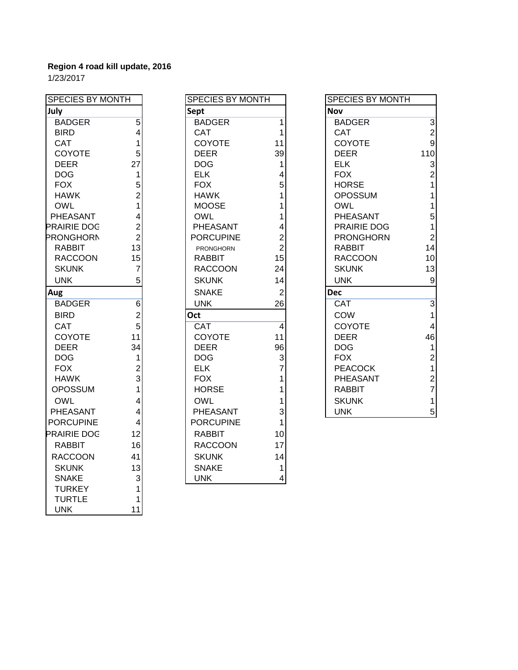| <b>SPECIES BY MONTH</b> |                         | <b>SPECIES BY MONTH</b> |                |
|-------------------------|-------------------------|-------------------------|----------------|
| July                    |                         | Sept                    |                |
| <b>BADGER</b>           | $\overline{5}$          | <b>BADGER</b>           | $\overline{1}$ |
| <b>BIRD</b>             | $\overline{\mathbf{4}}$ | CAT                     | $\overline{1}$ |
| CAT                     | 1                       | <b>COYOTE</b>           | 11             |
| COYOTE                  | 5                       | <b>DEER</b>             | 39             |
| <b>DEER</b>             | 27                      | <b>DOG</b>              | 1              |
| <b>DOG</b>              | 1                       | <b>ELK</b>              | $\overline{4}$ |
| <b>FOX</b>              | 5                       | <b>FOX</b>              | 5              |
| <b>HAWK</b>             | $\overline{2}$          | <b>HAWK</b>             | $\mathbf{1}$   |
| <b>OWL</b>              | $\overline{1}$          | <b>MOOSE</b>            | $\overline{1}$ |
| PHEASANT                | $\overline{4}$          | OWL                     | $\overline{1}$ |
| <b>PRAIRIE DOG</b>      | $\overline{2}$          | PHEASANT                | $\overline{4}$ |
| PRONGHORN               | $\overline{2}$          | <b>PORCUPINE</b>        | $\overline{2}$ |
| RABBIT                  | 13                      | <b>PRONGHORN</b>        | $\overline{2}$ |
| <b>RACCOON</b>          | 15                      | <b>RABBIT</b>           | 15             |
| <b>SKUNK</b>            | 7                       | RACCOON                 | 24             |
| <b>UNK</b>              | 5                       | <b>SKUNK</b>            | 14             |
| Aug                     |                         | <b>SNAKE</b>            | $\overline{2}$ |
| <b>BADGER</b>           | $\overline{6}$          | <b>UNK</b>              | 26             |
| <b>BIRD</b>             | $\overline{2}$          | Oct                     |                |
| <b>CAT</b>              | 5                       | <b>CAT</b>              | $\overline{4}$ |
| COYOTE                  | 11                      | <b>COYOTE</b>           | 11             |
| <b>DEER</b>             | 34                      | <b>DEER</b>             | 96             |
| <b>DOG</b>              | 1                       | <b>DOG</b>              | 3              |
| <b>FOX</b>              | $\overline{2}$          | ELK.                    | $\overline{7}$ |
| <b>HAWK</b>             | 3                       | <b>FOX</b>              | $\overline{1}$ |
| <b>OPOSSUM</b>          | $\overline{1}$          | <b>HORSE</b>            | $\overline{1}$ |
| <b>OWL</b>              | $\overline{4}$          | OWL                     | $\overline{1}$ |
| <b>PHEASANT</b>         | $\overline{\mathbf{4}}$ | PHEASANT                | 3              |
| <b>PORCUPINE</b>        | $\overline{4}$          | <b>PORCUPINE</b>        | $\mathbf 1$    |
| <b>PRAIRIE DOG</b>      | 12                      | <b>RABBIT</b>           | 10             |
| <b>RABBIT</b>           | 16                      | <b>RACCOON</b>          | 17             |
| <b>RACCOON</b>          | 41                      | <b>SKUNK</b>            | 14             |
| <b>SKUNK</b>            | 13                      | <b>SNAKE</b>            | 1              |
| <b>SNAKE</b>            | 3                       | <b>UNK</b>              | 4              |
| <b>TURKEY</b>           | $\mathbf{1}$            |                         |                |
| <b>TURTLE</b>           | 1                       |                         |                |
| <b>UNK</b>              | 11                      |                         |                |

| <b>SPECIES BY MONTH</b> |                | <b>SPECIES BY MONTH</b> |                | <b>SPECIES BY MONTH</b> |
|-------------------------|----------------|-------------------------|----------------|-------------------------|
| July                    |                | Sept                    |                | <b>Nov</b>              |
| <b>BADGER</b>           | $\overline{5}$ | <b>BADGER</b>           | 1              | <b>BADGER</b>           |
| <b>BIRD</b>             | 4              | CAT                     | 1              | <b>CAT</b>              |
| <b>CAT</b>              | 1              | <b>COYOTE</b>           | 11             | <b>COYOTE</b>           |
| <b>COYOTE</b>           | 5              | <b>DEER</b>             | 39             | <b>DEER</b>             |
| <b>DEER</b>             | 27             | <b>DOG</b>              | 1              | <b>ELK</b>              |
| <b>DOG</b>              | 1              | <b>ELK</b>              | 4              | <b>FOX</b>              |
| <b>FOX</b>              | 5              | <b>FOX</b>              | 5              | <b>HORSE</b>            |
| <b>HAWK</b>             | $\overline{2}$ | <b>HAWK</b>             |                | <b>OPOSSUM</b>          |
| <b>OWL</b>              | 1              | <b>MOOSE</b>            |                | <b>OWL</b>              |
| PHEASANT                | 4              | <b>OWL</b>              |                | <b>PHEASANT</b>         |
| PRAIRIE DOG             | $\overline{2}$ | PHEASANT                | 4              | <b>PRAIRIE DOG</b>      |
| <b>PRONGHORN</b>        | $\overline{2}$ | <b>PORCUPINE</b>        | $\overline{2}$ | <b>PRONGHORN</b>        |
| <b>RABBIT</b>           | 13             | <b>PRONGHORN</b>        | $\overline{2}$ | <b>RABBIT</b>           |
| <b>RACCOON</b>          | 15             | <b>RABBIT</b>           | 15             | <b>RACCOON</b>          |
| <b>SKUNK</b>            | 7              | <b>RACCOON</b>          | 24             | <b>SKUNK</b>            |
| <b>UNK</b>              | 5              | <b>SKUNK</b>            | 14             | <b>UNK</b>              |
| Aug                     |                | <b>SNAKE</b>            | $\overline{2}$ | <b>Dec</b>              |
| <b>BADGER</b>           | 6              | <b>UNK</b>              | 26             | <b>CAT</b>              |
| <b>BIRD</b>             | $\overline{2}$ | Oct                     |                | COW                     |
| <b>CAT</b>              | 5              | CAT                     | $\overline{4}$ | <b>COYOTE</b>           |
| <b>COYOTE</b>           | 11             | COYOTE                  | 11             | <b>DEER</b>             |
| <b>DEER</b>             | 34             | <b>DEER</b>             | 96             | <b>DOG</b>              |
| <b>DOG</b>              | 1              | <b>DOG</b>              | 3              | <b>FOX</b>              |
| <b>FOX</b>              | $\overline{2}$ | <b>ELK</b>              | 7              | <b>PEACOCK</b>          |
| <b>HAWK</b>             | 3              | <b>FOX</b>              |                | PHEASANT                |
| <b>OPOSSUM</b>          | 1              | <b>HORSE</b>            |                | <b>RABBIT</b>           |
| <b>OWL</b>              | 4              | <b>OWL</b>              | 1              | <b>SKUNK</b>            |
| PHEASANT                | 4              | PHEASANT                | 3              | <b>UNK</b>              |
| <b>PORCUPINE</b>        | 4              | <b>PORCUPINE</b>        | 1              |                         |
| <b>PRAIRIE DOG</b>      | 12             | <b>RABBIT</b>           | 10             |                         |
| <b>RABBIT</b>           | 16             | <b>RACCOON</b>          | 17             |                         |
| <b>RACCOON</b>          | 41             | <b>SKUNK</b>            | 14             |                         |
| <b>SKUNK</b>            | 13             | <b>SNAKE</b>            | 1              |                         |
| <b>SNAKE</b>            | $\overline{3}$ | <b>UNK</b>              | 4              |                         |

| SPECIES BY MONTH |                | <b>SPECIES BY MONTH</b> |                | <b>SPECIES BY MONTH</b> |                           |
|------------------|----------------|-------------------------|----------------|-------------------------|---------------------------|
| July             |                | <b>Sept</b>             |                | <b>Nov</b>              |                           |
| <b>BADGER</b>    | 5              | <b>BADGER</b>           | 1              | <b>BADGER</b>           | 3                         |
| <b>BIRD</b>      | 4              | <b>CAT</b>              |                | <b>CAT</b>              | $\overline{c}$            |
| <b>CAT</b>       |                | <b>COYOTE</b>           | 11             | <b>COYOTE</b>           | 9                         |
| <b>COYOTE</b>    | 5              | <b>DEER</b>             | 39             | <b>DEER</b>             | 110                       |
| <b>DEER</b>      | 27             | <b>DOG</b>              |                | <b>ELK</b>              | 3                         |
| <b>DOG</b>       | 1              | <b>ELK</b>              |                | <b>FOX</b>              | $\overline{2}$            |
| <b>FOX</b>       | 5              | <b>FOX</b>              | 5              | <b>HORSE</b>            |                           |
| <b>HAWK</b>      |                | <b>HAWK</b>             |                | <b>OPOSSUM</b>          |                           |
| <b>OWL</b>       |                | <b>MOOSE</b>            |                | <b>OWL</b>              |                           |
| PHEASANT         |                | <b>OWL</b>              |                | PHEASANT                | 5                         |
| PRAIRIE DOG      | 2              | <b>PHEASANT</b>         | 4              | <b>PRAIRIE DOG</b>      | 1                         |
| PRONGHORN        | $\overline{2}$ | <b>PORCUPINE</b>        | $\overline{2}$ | <b>PRONGHORN</b>        | $\overline{2}$            |
| <b>RABBIT</b>    | 13             | <b>PRONGHORN</b>        | $\overline{2}$ | <b>RABBIT</b>           | 14                        |
| <b>RACCOON</b>   | 15             | <b>RABBIT</b>           | 15             | <b>RACCOON</b>          | 10                        |
| <b>SKUNK</b>     | 7              | <b>RACCOON</b>          | 24             | <b>SKUNK</b>            | 13                        |
| <b>UNK</b>       | 5              | <b>SKUNK</b>            | 14             | <b>UNK</b>              | $\boldsymbol{9}$          |
| Aug              |                | <b>SNAKE</b>            | $\overline{2}$ | <b>Dec</b>              |                           |
| <b>BADGER</b>    | 6              | <b>UNK</b>              | 26             | CAT                     | $\ensuremath{\mathsf{3}}$ |
| <b>BIRD</b>      | $\overline{c}$ | Oct                     |                | COW                     | 1                         |
| <b>CAT</b>       | 5              | <b>CAT</b>              | 4              | <b>COYOTE</b>           | 4                         |
| <b>COYOTE</b>    | 11             | COYOTE                  | 11             | <b>DEER</b>             | 46                        |
| <b>DEER</b>      | 34             | <b>DEER</b>             | 96             | <b>DOG</b>              |                           |
| <b>DOG</b>       | 1              | <b>DOG</b>              | 3              | <b>FOX</b>              | $\overline{2}$            |
| <b>FOX</b>       | 2              | <b>ELK</b>              |                | <b>PEACOCK</b>          | 1                         |
| <b>HAWK</b>      | 3              | <b>FOX</b>              |                | PHEASANT                | $\overline{2}$            |
| <b>OPOSSUM</b>   |                | <b>HORSE</b>            |                | <b>RABBIT</b>           | 7                         |
| <b>OWL</b>       |                | OWL                     |                | <b>SKUNK</b>            | 1                         |
| <b>PHEASANT</b>  | 4              | <b>PHEASANT</b>         | $\overline{3}$ | <b>UNK</b>              | 5                         |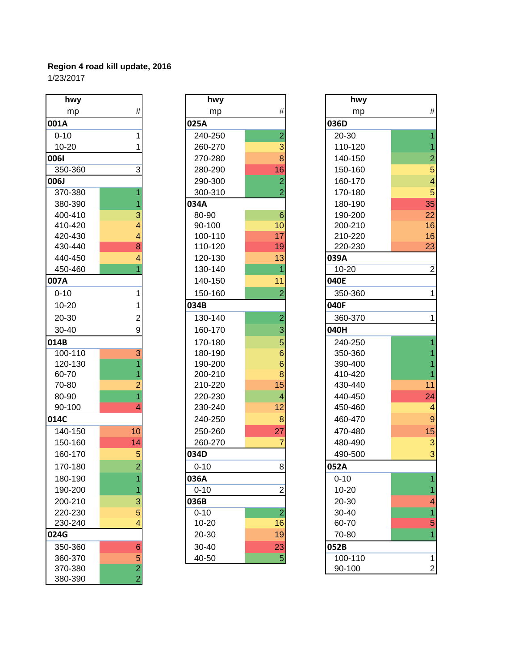| .<br>hwy    |                                            |
|-------------|--------------------------------------------|
| mp          | #                                          |
| 001A        |                                            |
| $0 - 10$    | 1                                          |
| 10-20       | 1                                          |
| 0061        |                                            |
| 350-360     | 3                                          |
| <b>006J</b> |                                            |
| 370-380     | 1                                          |
| 380-390     | 1                                          |
| 400-410     | $\begin{array}{c} 3 \\ 4 \\ 4 \end{array}$ |
| 410-420     |                                            |
| 420-430     |                                            |
| 430-440     | 8                                          |
| 440-450     | $\overline{\mathbf{4}}$                    |
| 450-460     | $\overline{1}$                             |
| 007A        |                                            |
| $0 - 10$    | 1                                          |
| 10-20       | 1                                          |
| 20-30       | $\overline{c}$                             |
| 30-40       | 9                                          |
| 014B        |                                            |
| 100-110     |                                            |
| 120-130     |                                            |
| 60-70       |                                            |
| 70-80       | 31121                                      |
| 80-90       |                                            |
| 90-100      | 4                                          |
| 014C        |                                            |
| 140-150     | 10                                         |
| 150-160     | 14                                         |
| 160-170     | $\frac{5}{2}$                              |
| 170-180     |                                            |
| 180-190     | 1                                          |
| 190-200     |                                            |
| 200-210     | $\frac{1}{3}$ $\frac{1}{5}$                |
| 220-230     |                                            |
| 230-240     |                                            |
| 024G        |                                            |
| 350-360     |                                            |
| 360-370     |                                            |
| 370-380     | $6/5$<br>$2/2$                             |
| 380-390     |                                            |

| hwy         |                         | hwy       |                 | hwy       |
|-------------|-------------------------|-----------|-----------------|-----------|
| mp          | #                       | mp        | #               | mp        |
| 001A        |                         | 025A      |                 | 036D      |
| $0 - 10$    | 1                       | 240-250   | $\overline{2}$  | 20-30     |
| $10 - 20$   | 1                       | 260-270   | 3               | 110-120   |
| 0061        |                         | 270-280   | 8               | 140-150   |
| 350-360     | $\overline{3}$          | 280-290   | 16              | 150-160   |
| <b>LaOO</b> |                         | 290-300   | $\overline{2}$  | 160-170   |
| 370-380     |                         | 300-310   | $\overline{2}$  | 170-180   |
| 380-390     | 1                       | 034A      |                 | 180-190   |
| 400-410     | 3                       | 80-90     | $6\phantom{1}6$ | 190-200   |
| 410-420     | 4                       | 90-100    | 10              | 200-210   |
| 420-430     | 4                       | 100-110   | 17              | 210-220   |
| 430-440     | 8                       | 110-120   | 19              | 220-230   |
| 440-450     | $\overline{4}$          | 120-130   | 13              | 039A      |
| 450-460     | 1                       | 130-140   | 1               | $10 - 20$ |
| 007A        |                         | 140-150   | 11              | 040E      |
| $0 - 10$    | 1                       | 150-160   | $\overline{2}$  | 350-360   |
| $10 - 20$   | 1                       | 034B      |                 | 040F      |
| 20-30       | $\overline{2}$          | 130-140   | $\overline{2}$  | 360-370   |
| 30-40       | 9                       | 160-170   | 3               | 040H      |
| 014B        |                         | 170-180   | 5               | 240-250   |
| 100-110     | $\overline{3}$          | 180-190   | 6               | 350-360   |
| 120-130     | $\overline{\mathbf{1}}$ | 190-200   | 6               | 390-400   |
| 60-70       | 1                       | 200-210   | 8               | 410-420   |
| 70-80       | $\overline{2}$          | 210-220   | 15              | 430-440   |
| 80-90       | $\overline{1}$          | 220-230   | 4               | 440-450   |
| 90-100      |                         | 230-240   | 12              | 450-460   |
| 014C        |                         | 240-250   | 8               | 460-470   |
| 140-150     | 10                      | 250-260   | 27              | 470-480   |
| 150-160     | 14                      | 260-270   | $\overline{7}$  | 480-490   |
| 160-170     | 5                       | 034D      |                 | 490-500   |
| 170-180     | $\overline{2}$          | $0 - 10$  | 8               | 052A      |
| 180-190     |                         | 036A      |                 | $0 - 10$  |
| 190-200     |                         | $0 - 10$  | $\overline{2}$  | 10-20     |
| 200-210     | 3                       | 036B      |                 | 20-30     |
| 220-230     | 5                       | $0 - 10$  | $\overline{2}$  | 30-40     |
| 230-240     | 4                       | 10-20     | 16              | 60-70     |
| 024G        |                         | 20-30     | 19              | 70-80     |
| 350-360     | 6                       | 30-40     | 23              | 052B      |
| 360-370     | 5                       | $40 - 50$ | $\overline{5}$  | 100-110   |

| hwy         |                 | hwy      |                 | hwy       |                         |
|-------------|-----------------|----------|-----------------|-----------|-------------------------|
| mp          | $\#$            | mp       | $\#$            | mp        | $\#$                    |
| 001A        |                 | 025A     |                 | 036D      |                         |
| $0 - 10$    | 1               | 240-250  | $\overline{2}$  | 20-30     |                         |
| $10 - 20$   |                 | 260-270  | 3               | 110-120   | $\overline{1}$          |
| 0061        |                 | 270-280  | 8               | 140-150   | $\overline{\mathbf{c}}$ |
| 350-360     | 3               | 280-290  | 16              | 150-160   | $\overline{5}$          |
| <b>006J</b> |                 | 290-300  | 2               | 160-170   | $\overline{\mathbf{4}}$ |
| 370-380     |                 | 300-310  | 2               | 170-180   | 5                       |
| 380-390     |                 | 034A     |                 | 180-190   | 35                      |
| 400-410     | 3               | 80-90    | $6\phantom{1}6$ | 190-200   | 22                      |
| 410-420     | 4               | 90-100   | 10              | 200-210   | 16                      |
| 420-430     | 4               | 100-110  | 17              | 210-220   | 16                      |
| 430-440     | 8               | 110-120  | 19              | 220-230   | 23                      |
| 440-450     | 4               | 120-130  | 13              | 039A      |                         |
| 450-460     |                 | 130-140  |                 | $10 - 20$ | $\overline{2}$          |
| 007A        |                 | 140-150  | 11              | 040E      |                         |
| $0 - 10$    |                 | 150-160  | $\overline{2}$  | 350-360   | 1                       |
| $10 - 20$   |                 | 034B     |                 | 040F      |                         |
| 20-30       | 2               | 130-140  | $\overline{2}$  | 360-370   | 1                       |
| 30-40       | 9               | 160-170  | 3               | 040H      |                         |
| 014B        |                 | 170-180  | 5               | 240-250   |                         |
| 100-110     | 3               | 180-190  | 6               | 350-360   |                         |
| 120-130     |                 | 190-200  | 6               | 390-400   |                         |
| 60-70       |                 | 200-210  | 8               | 410-420   |                         |
| 70-80       | $\overline{2}$  | 210-220  | 15              | 430-440   | 11                      |
| 80-90       |                 | 220-230  | 4               | 440-450   | 24                      |
| 90-100      | 4               | 230-240  | 12              | 450-460   | $\overline{4}$          |
| 014C        |                 | 240-250  | 8               | 460-470   | $\overline{9}$          |
| 140-150     | 10              | 250-260  | 27              | 470-480   | 15                      |
| 150-160     | 14              | 260-270  |                 | 480-490   | 3                       |
| 160-170     | 5               | 034D     |                 | 490-500   | 3                       |
| 170-180     | $\overline{2}$  | $0 - 10$ | 8 <sup>1</sup>  | 052A      |                         |
| 180-190     |                 | 036A     |                 | $0 - 10$  |                         |
| 190-200     |                 | $0 - 10$ | $\overline{2}$  | 10-20     |                         |
| 200-210     | 3               | 036B     |                 | 20-30     | 4                       |
| 220-230     | 5               | $0 - 10$ | $\overline{a}$  | 30-40     | 1                       |
| 230-240     | 4               | 10-20    | 16              | 60-70     | 5                       |
| 024G        |                 | 20-30    | 19              | 70-80     | 1                       |
| 350-360     | $6\phantom{1}6$ | 30-40    | 23              | 052B      |                         |
| 360-370     | 5               | 40-50    | 5               | 100-110   | 1                       |
| 370-380     | $\overline{2}$  |          |                 | 90-100    | $\mathbf 2$             |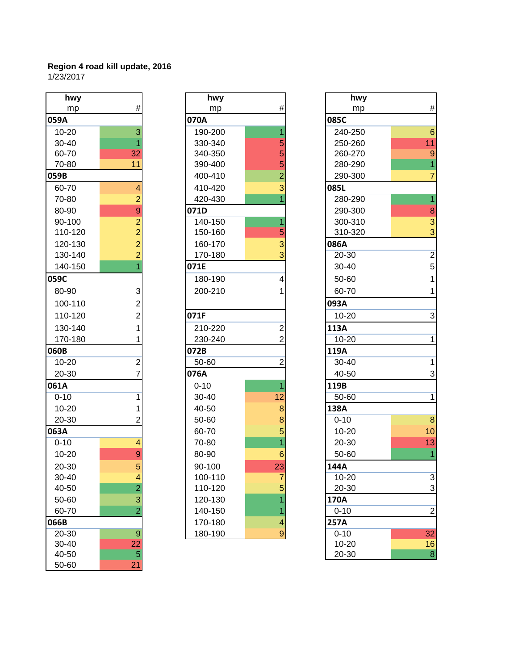| hwy       |                                                      |
|-----------|------------------------------------------------------|
| mp        | #                                                    |
| 059A      |                                                      |
| 10-20     | 3                                                    |
| 30-40     | 1                                                    |
| 60-70     | 32                                                   |
| 70-80     | 11                                                   |
| 059B      |                                                      |
| 60-70     | 4                                                    |
| 70-80     | 292221                                               |
| 80-90     |                                                      |
| 90-100    |                                                      |
| 110-120   |                                                      |
| 120-130   |                                                      |
| 130-140   |                                                      |
| 140-150   |                                                      |
| 059C      |                                                      |
| 80-90     |                                                      |
| 100-110   |                                                      |
| 110-120   | $\begin{array}{c} 3 \\ 2 \\ 2 \\ 1 \\ 1 \end{array}$ |
| 130-140   |                                                      |
| 170-180   |                                                      |
| 060B      |                                                      |
| $10 - 20$ |                                                      |
| 20-30     | $\frac{2}{7}$                                        |
| 061A      |                                                      |
| $0 - 10$  | 1                                                    |
| 10-20     | $\overline{\mathbf{1}}$                              |
| 20-30     | $\overline{2}$                                       |
| 063A      |                                                      |
| $0 - 10$  | 4                                                    |
| 10-20     |                                                      |
| 20-30     | $\frac{9}{5}$                                        |
| 30-40     |                                                      |
| 40-50     | $\frac{4}{2}$ $\frac{3}{2}$                          |
| 50-60     |                                                      |
| 60-70     |                                                      |
| 066B      |                                                      |
| 20-30     | $\overline{9}$                                       |
| 30-40     | <u>22</u>                                            |
| 40-50     | 5                                                    |
| 50-60     | $\overline{21}$                                      |

| hwy       |                | hwy      |                | hwy       |
|-----------|----------------|----------|----------------|-----------|
| mp        | #              | mp       | $\#$           | mp        |
| 059A      |                | 070A     |                | 085C      |
| $10 - 20$ | 3              | 190-200  | 1              | 240-250   |
| 30-40     | 1              | 330-340  | 5              | 250-260   |
| 60-70     | 32             | 340-350  | 5              | 260-270   |
| 70-80     | 11             | 390-400  | 5              | 280-290   |
| 059B      |                | 400-410  | $\overline{2}$ | 290-300   |
| 60-70     | 4              | 410-420  | 3              | 085L      |
| 70-80     | $\overline{2}$ | 420-430  |                | 280-290   |
| 80-90     | 9              | 071D     |                | 290-300   |
| 90-100    | $\overline{2}$ | 140-150  | 1              | 300-310   |
| 110-120   | $\overline{2}$ | 150-160  | 5              | 310-320   |
| 120-130   | $\overline{2}$ | 160-170  | 3              | 086A      |
| 130-140   | $\overline{2}$ | 170-180  | 3              | 20-30     |
| 140-150   |                | 071E     |                | 30-40     |
| 059C      |                | 180-190  | 4              | 50-60     |
| 80-90     | $\mathbf{3}$   | 200-210  | 1              | 60-70     |
| 100-110   | $\overline{2}$ |          |                | 093A      |
| 110-120   | $\overline{2}$ | 071F     |                | $10 - 20$ |
| 130-140   | 1              | 210-220  | $\overline{2}$ | 113A      |
| 170-180   | 1              | 230-240  | $\overline{2}$ | 10-20     |
| 060B      |                | 072B     |                | 119A      |
| $10 - 20$ | $\overline{2}$ | 50-60    | $\overline{2}$ | 30-40     |
| 20-30     | $\overline{7}$ | 076A     |                | 40-50     |
| 061A      |                | $0 - 10$ | 1              | 119B      |
| $0 - 10$  | $\mathbf{1}$   | 30-40    | 12             | 50-60     |
| $10 - 20$ | 1              | 40-50    | 8              | 138A      |
| 20-30     | $\overline{2}$ | 50-60    | 8              | $0 - 10$  |
| 063A      |                | 60-70    | 5              | $10 - 20$ |
| $0 - 10$  | $\overline{4}$ | 70-80    | 1              | 20-30     |
| $10 - 20$ | 9              | 80-90    | 6              | 50-60     |
| 20-30     | 5              | 90-100   | 23             | 144A      |
| 30-40     | 4              | 100-110  | $\overline{7}$ | 10-20     |
| 40-50     | $\overline{2}$ | 110-120  | 5              | 20-30     |
| 50-60     | 3              | 120-130  |                | 170A      |
| 60-70     | $\overline{2}$ | 140-150  | 1              | $0 - 10$  |
| 066B      |                | 170-180  | 4              | 257A      |
| 20-30     | 9              | 180-190  | 9              | $0 - 10$  |

| hwy       |                  | hwy      |                  | hwy      |                           |
|-----------|------------------|----------|------------------|----------|---------------------------|
| mp        | $\#$             | mp       | $\#$             | mp       | $\#$                      |
| 059A      |                  | 070A     |                  | 085C     |                           |
| $10 - 20$ | 3                | 190-200  |                  | 240-250  | $6\phantom{1}6$           |
| 30-40     |                  | 330-340  | 5                | 250-260  | 11                        |
| 60-70     | 32               | 340-350  | 5                | 260-270  | $\overline{9}$            |
| 70-80     | 11               | 390-400  | 5                | 280-290  | $\overline{1}$            |
| 059B      |                  | 400-410  | $\overline{2}$   | 290-300  | $\overline{7}$            |
| 60-70     | 4                | 410-420  | 3                | 085L     |                           |
| 70-80     | $\overline{2}$   | 420-430  |                  | 280-290  | 1                         |
| 80-90     | 9                | 071D     |                  | 290-300  | $\bf 8$                   |
| 90-100    | $\overline{c}$   | 140-150  |                  | 300-310  | $\mathsf 3$               |
| 110-120   | $\overline{2}$   | 150-160  | 5                | 310-320  | 3                         |
| 120-130   | $\overline{2}$   | 160-170  | 3                | 086A     |                           |
| 130-140   | $\overline{2}$   | 170-180  | 3                | 20-30    | $\overline{2}$            |
| 140-150   |                  | 071E     |                  | 30-40    | $\sqrt{5}$                |
| 059C      |                  | 180-190  | 4                | 50-60    | 1                         |
| 80-90     | 3                | 200-210  |                  | 60-70    | 1                         |
| 100-110   | $\overline{c}$   |          |                  | 093A     |                           |
| 110-120   | $\overline{2}$   | 071F     |                  | 10-20    | 3                         |
| 130-140   | 1                | 210-220  | $\overline{c}$   | 113A     |                           |
| 170-180   |                  | 230-240  | 2                | 10-20    | 1                         |
| 060B      |                  | 072B     |                  | 119A     |                           |
| 10-20     | $\overline{c}$   | 50-60    | 2                | 30-40    | 1                         |
| 20-30     | 7                | 076A     |                  | 40-50    | 3                         |
| 061A      |                  | $0 - 10$ |                  | 119B     |                           |
| $0 - 10$  | 1                | 30-40    | 12               | 50-60    | 1                         |
| $10 - 20$ | 1                | 40-50    | 8                | 138A     |                           |
| 20-30     | 2                | 50-60    | 8                | $0 - 10$ | $\overline{8}$            |
| 063A      |                  | 60-70    | 5                | 10-20    | 10                        |
| $0 - 10$  | 4                | 70-80    |                  | 20-30    | 13                        |
| $10 - 20$ | 9                | 80-90    | 6                | 50-60    |                           |
| 20-30     | 5                | 90-100   | 23               | 144A     |                           |
| 30-40     | 4                | 100-110  | 7                | 10-20    | $\overline{3}$            |
| 40-50     | $\overline{2}$   | 110-120  | 5                | 20-30    | $\ensuremath{\mathsf{3}}$ |
| 50-60     | 3                | 120-130  |                  | 170A     |                           |
| 60-70     | $\overline{2}$   | 140-150  |                  | $0 - 10$ | $\overline{2}$            |
| 066B      |                  | 170-180  | 4                | 257A     |                           |
| 20-30     | $\boldsymbol{9}$ | 180-190  | $\boldsymbol{9}$ | $0 - 10$ | 32                        |
| 30-40     | 22               |          |                  | 10-20    | 16                        |
| 40-50     | $\overline{5}$   |          |                  | 20-30    | $\bf 8$                   |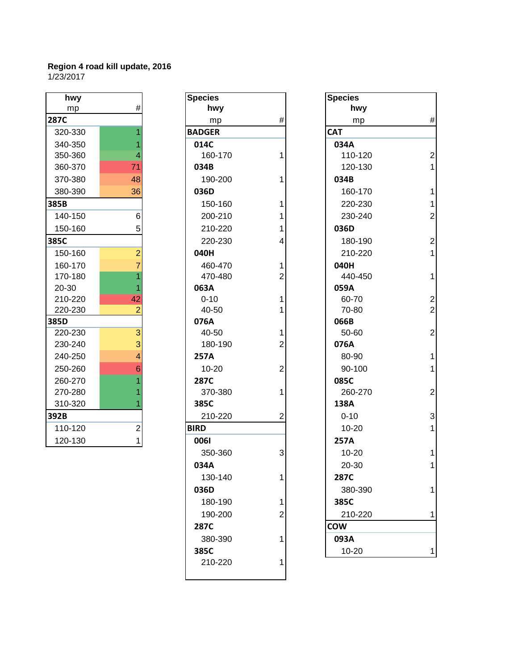| hwy     |                                                    |
|---------|----------------------------------------------------|
| mp      | #                                                  |
| 287C    |                                                    |
| 320-330 | $\overline{1}$                                     |
| 340-350 | $\overline{\mathbf{1}}$                            |
| 350-360 | $\overline{4}$                                     |
| 360-370 | 71                                                 |
| 370-380 | 48                                                 |
| 380-390 | 36                                                 |
| 385B    |                                                    |
| 140-150 | 6                                                  |
| 150-160 | 5                                                  |
| 385C    |                                                    |
| 150-160 |                                                    |
| 160-170 | $\begin{array}{c}\n 2 \\  7 \\  1 \\  \end{array}$ |
| 170-180 |                                                    |
| 20-30   |                                                    |
| 210-220 | $\overline{42}$                                    |
| 220-230 | $\overline{c}$                                     |
| 385D    |                                                    |
| 220-230 |                                                    |
| 230-240 | $\begin{array}{c} 3 \\ 3 \\ 4 \end{array}$         |
| 240-250 |                                                    |
| 250-260 | $\overline{6}$                                     |
| 260-270 |                                                    |
| 270-280 | $\begin{array}{c} 1 \\ 1 \\ 1 \end{array}$         |
| 310-320 |                                                    |
| 392B    |                                                    |
| 110-120 | $\frac{2}{1}$                                      |
| 120-130 |                                                    |

| hwy     |                | <b>Species</b> |                | <b>Species</b> |
|---------|----------------|----------------|----------------|----------------|
| mp      | #              | hwy            |                | hwy            |
| 287C    |                | mp             | $\#$           | mp             |
| 320-330 |                | <b>BADGER</b>  |                | <b>CAT</b>     |
| 340-350 | 1              | 014C           |                | 034A           |
| 350-360 | 4              | 160-170        | 1              | 110-12         |
| 360-370 | 71             | 034B           |                | 120-13         |
| 370-380 | 48             | 190-200        | 1              | 034B           |
| 380-390 | 36             | 036D           |                | 160-17         |
| 385B    |                | 150-160        | 1              | 220-23         |
| 140-150 | 6              | 200-210        | 1              | 230-24         |
| 150-160 | 5              | 210-220        | 1              | 036D           |
| 385C    |                | 220-230        | 4              | 180-19         |
| 150-160 | $\overline{2}$ | 040H           |                | 210-22         |
| 160-170 | $\overline{7}$ | 460-470        | 1              | 040H           |
| 170-180 | $\overline{1}$ | 470-480        | $\overline{2}$ | 440-45         |
| 20-30   |                | 063A           |                | 059A           |
| 210-220 | 42             | $0 - 10$       | 1              | 60-70          |
| 220-230 | $\overline{2}$ | 40-50          | 1              | 70-80          |
| 385D    |                | 076A           |                | 066B           |
| 220-230 | $\overline{3}$ | 40-50          | 1              | 50-60          |
| 230-240 | 3              | 180-190        | 2              | 076A           |
| 240-250 | $\overline{4}$ | 257A           |                | 80-90          |
| 250-260 | 6              | $10 - 20$      | $\overline{2}$ | 90-100         |
| 260-270 |                | <b>287C</b>    |                | 085C           |
| 270-280 |                | 370-380        | 1              | 260-27         |
| 310-320 |                | 385C           |                | 138A           |
| 392B    |                | 210-220        | 2              | $0 - 10$       |
| 110-120 | $\overline{c}$ | <b>BIRD</b>    |                | $10 - 20$      |
| 120-130 | $\mathbf{1}$   | 0061           |                | 257A           |
|         |                | 350-360        | 3              | $10 - 20$      |
|         |                | 034A           |                | 20-30          |
|         |                | 130-140        | 1              | 287C           |
|         |                | 036D           |                | 380-39         |
|         |                | 180-190        | 1              | 385C           |
|         |                | 190-200        | 2              | 210-22         |
|         |                | 287C           |                | <b>COW</b>     |
|         |                | 380-390        | 1              | 093A           |
|         |                | 385C           |                | $10 - 20$      |
|         |                | 210-220        | 1              |                |
|         |                |                |                |                |
|         |                |                |                |                |

| hwy     |                | <b>Species</b> |      | <b>Species</b> |
|---------|----------------|----------------|------|----------------|
| mp      | $\#$           |                | hwy  |                |
| 287C    |                | mp             | $\#$ | hwy<br>mp      |
| 320-330 |                | <b>BADGER</b>  |      | <b>CAT</b>     |
| 340-350 |                | 014C           |      | 034A           |
| 350-360 | 4              | 160-170        |      | 110-120        |
| 360-370 | 71             | 034B           |      | 120-130        |
| 370-380 | 48             | 190-200        |      | 034B           |
| 380-390 | 36             | 036D           |      | 160-170        |
| 385B    |                | 150-160        |      | 220-230        |
| 140-150 | 6              | 200-210        |      | 230-240        |
| 150-160 | 5              | 210-220        |      | 036D           |
| 385C    |                | 220-230        | 4    | 180-190        |
| 150-160 | $\overline{2}$ | 040H           |      | 210-220        |
| 160-170 | $\overline{7}$ | 460-470        |      | 040H           |
| 170-180 |                | 470-480        | 2    | 440-450        |
| 20-30   |                | 063A           |      | 059A           |
| 210-220 | 42             | $0 - 10$       |      | 60-70          |
| 220-230 | $\overline{2}$ | 40-50          |      | 70-80          |
| 385D    |                | 076A           |      | 066B           |
| 220-230 | $\overline{3}$ | 40-50          |      | 50-60          |
| 230-240 | 3              | 180-190        | 2    | 076A           |
| 240-250 | 4              | 257A           |      | 80-90          |
| 250-260 | 6              | $10 - 20$      | 2    | 90-100         |
| 260-270 |                | 287C           |      | 085C           |
| 270-280 |                | 370-380        |      | 260-270        |
| 310-320 |                | 385C           |      | 138A           |
| 392B    |                | 210-220        | 2    | $0 - 10$       |
| 110-120 | $\mathbf{2}$   | <b>BIRD</b>    |      | $10 - 20$      |
| 120-130 | $\mathbf{1}$   | 0061           |      | 257A           |
|         |                | 350-360        | 3    | $10 - 20$      |
|         |                | 034A           |      | 20-30          |
|         |                | 130-140        | 1    | 287C           |
|         |                | 036D           |      | 380-390        |
|         |                | 180-190        |      | 385C           |
|         |                | 190-200        | 2    | 210-220        |
|         |                | 287C           |      | <b>COW</b>     |
|         |                | 380-390        |      | 093A           |
|         |                | 385C           |      | 10-20          |
|         |                |                |      |                |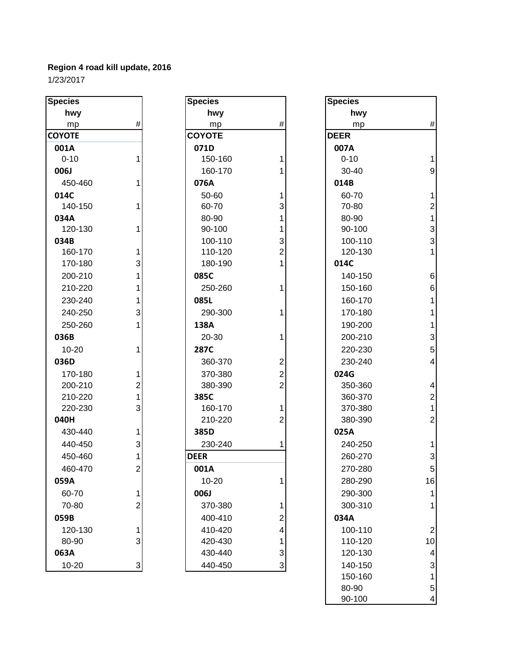| <b>Species</b>     |                |
|--------------------|----------------|
| hwy                |                |
| mp                 | #              |
| <b>COYOTE</b>      |                |
| 001A               |                |
| $0 - 10$           | 1              |
| 006J               |                |
| 450-460            | 1              |
| 014C               |                |
| 140-150            | 1              |
| 034A               |                |
| 120-130            | 1              |
| 034B               |                |
| 160-170<br>170-180 |                |
| 200-210            | 1311131        |
|                    |                |
| 210-220            |                |
| 230-240            |                |
| 240-250            |                |
| 250-260            |                |
| 036B               | 1              |
| 10-20              |                |
| 036D               |                |
| 170-180<br>200-210 |                |
| 210-220            |                |
| 220-230            |                |
| 040H               |                |
| 430-440            | $1213$ $1312$  |
| 440-450            |                |
| 450-460            |                |
| 460-470            |                |
| 059A               |                |
| 60-70              | 1              |
| 70-80              | $\overline{c}$ |
| 059B               |                |
| 120-130            |                |
| 80-90              | 1<br>3         |
| 063A               |                |
| 10-20              |                |

| <b>Species</b> |                | <b>Species</b> |                | <b>Species</b> |
|----------------|----------------|----------------|----------------|----------------|
| hwy            |                | hwy            |                | hwy            |
| mp             | #              | mp             | $\#$           | mp             |
| <b>COYOTE</b>  |                | <b>COYOTE</b>  |                | <b>DEER</b>    |
| 001A           |                | 071D           |                | 007A           |
| $0 - 10$       | 1              | 150-160        | 1              | $0 - 10$       |
| 006J           |                | 160-170        | 1              | $30 - 40$      |
| 450-460        | 1              | 076A           |                | 014B           |
| 014C           |                | 50-60          | 1              | 60-70          |
| 140-150        | 1              | 60-70          | 3              | 70-80          |
| 034A           |                | 80-90          | 1              | 80-90          |
| 120-130        | 1              | 90-100         | 1              | 90-100         |
| 034B           |                | 100-110        | 3              | 100-11         |
| 160-170        | 1              | 110-120        | $\overline{2}$ | 120-13         |
| 170-180        | 3              | 180-190        | 1              | 014C           |
| 200-210        | 1              | 085C           |                | 140-15         |
| 210-220        | 1              | 250-260        | 1              | 150-16         |
| 230-240        | 1              | 085L           |                | 160-17         |
| 240-250        | 3              | 290-300        | 1              | 170-18         |
| 250-260        | 1              | 138A           |                | 190-20         |
| 036B           |                | 20-30          | 1              | 200-21         |
| 10-20          | 1              | <b>287C</b>    |                | 220-23         |
| 036D           |                | 360-370        | 2              | 230-24         |
| 170-180        | 1              | 370-380        | $\overline{c}$ | 024G           |
| 200-210        | $\overline{2}$ | 380-390        | $\overline{2}$ | 350-36         |
| 210-220        | $\mathbf{1}$   | 385C           |                | 360-37         |
| 220-230        | 3              | 160-170        | 1              | 370-38         |
| 040H           |                | 210-220        | $\overline{2}$ | 380-39         |
| 430-440        | 1              | 385D           |                | 025A           |
| 440-450        | 3              | 230-240        | 1              | 240-25         |
| 450-460        | 1              | <b>DEER</b>    |                | 260-27         |
| 460-470        | $\overline{c}$ | 001A           |                | 270-28         |
| 059A           |                | $10 - 20$      | 1              | 280-29         |
| 60-70          | 1              | 006J           |                | 290-30         |
| 70-80          | $\overline{c}$ | 370-380        | 1              | 300-31         |
| 059B           |                | 400-410        | 2              | 034A           |
| 120-130        | 1              | 410-420        | 4              | 100-11         |
| 80-90          | 3              | 420-430        | 1              | 110-12         |
| 063A           |                | 430-440        | 3              | 120-13         |
| 10-20          | $\mathbf{3}$   | 440-450        | 3              | 140-15         |
|                |                |                |                | 15012          |

| pecies    |                | <b>Species</b> |                         | <b>Species</b> |                           |
|-----------|----------------|----------------|-------------------------|----------------|---------------------------|
| hwy       |                | hwy            |                         | hwy            |                           |
| mp        | #              | mp             | $\#$                    | mp             | $\#$                      |
| ϽϒΟΤΕ     |                | <b>COYOTE</b>  |                         | <b>DEER</b>    |                           |
| 001A      |                | 071D           |                         | 007A           |                           |
| $0 - 10$  | 1              | 150-160        | 1                       | $0 - 10$       | $\mathbf{1}$              |
| 006J      |                | 160-170        |                         | 30-40          | 9                         |
| 450-460   | 1              | 076A           |                         | 014B           |                           |
| 014C      |                | 50-60          | 1                       | 60-70          | $\mathbf{1}$              |
| 140-150   | 1              | 60-70          | 3                       | 70-80          | $\overline{c}$            |
| 034A      |                | 80-90          | 1                       | 80-90          | 1                         |
| 120-130   | 1              | 90-100         | 1                       | 90-100         | $\mathbf{3}$              |
| 034B      |                | 100-110        | 3                       | 100-110        | $\mathsf 3$               |
| 160-170   | 1              | 110-120        | $\overline{2}$          | 120-130        | $\mathbf{1}$              |
| 170-180   | 3              | 180-190        | 1                       | 014C           |                           |
| 200-210   | 1              | 085C           |                         | 140-150        | $\,6$                     |
| 210-220   | 1              | 250-260        | 1                       | 150-160        | $\,6$                     |
| 230-240   | 1              | 085L           |                         | 160-170        |                           |
| 240-250   | 3              | 290-300        | 1                       | 170-180        |                           |
| 250-260   | 1              | 138A           |                         | 190-200        |                           |
| 036B      |                | 20-30          | 1                       | 200-210        | $\mathbf{3}$              |
| $10 - 20$ | 1              | <b>287C</b>    |                         | 220-230        | $\overline{5}$            |
| 036D      |                | 360-370        | $\overline{2}$          | 230-240        | $\overline{\mathbf{4}}$   |
| 170-180   | 1              | 370-380        | $\overline{c}$          | 024G           |                           |
| 200-210   | $\overline{2}$ | 380-390        | $\overline{2}$          | 350-360        | 4                         |
| 210-220   | 1              | 385C           |                         | 360-370        | $\overline{\mathbf{c}}$   |
| 220-230   | 3              | 160-170        | 1                       | 370-380        | $\mathbf{1}$              |
| 040H      |                | 210-220        | $\overline{2}$          | 380-390        | $\overline{c}$            |
| 430-440   | 1              | 385D           |                         | 025A           |                           |
| 440-450   | 3              | 230-240        |                         | 240-250        | $\mathbf{1}$              |
| 450-460   | 1              | <b>DEER</b>    |                         | 260-270        | $\ensuremath{\mathsf{3}}$ |
| 460-470   | $\mathbf{2}$   | 001A           |                         | 270-280        | $\sqrt{5}$                |
| 059A      |                | $10 - 20$      | 1                       | 280-290        | 16                        |
| 60-70     | 1              | 006J           |                         | 290-300        | 1                         |
| 70-80     | 2              | 370-380        | 1                       | 300-310        | 1                         |
| 059B      |                | 400-410        | $\overline{\mathbf{c}}$ | 034A           |                           |
| 120-130   | 1              | 410-420        | 4                       | 100-110        | $\overline{2}$            |
| 80-90     | 3              | 420-430        | 1                       | 110-120        | 10                        |
| 063A      |                | 430-440        | 3                       | 120-130        | 4                         |
| 10-20     | 3              | 440-450        | 3                       | 140-150        | 3                         |
|           |                |                |                         | 150-160        | 1                         |
|           |                |                |                         | 80-90          | 5                         |
|           |                |                |                         | 90-100         | 4                         |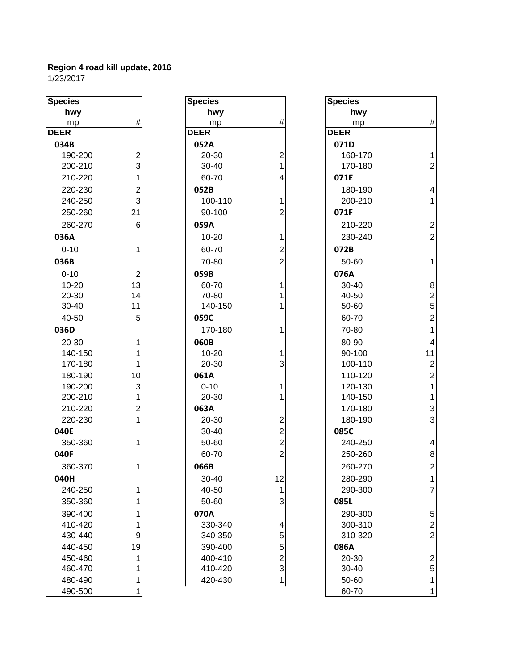| <b>Species</b> |                | <b>Species</b> |                         | <b>Species</b> |                |
|----------------|----------------|----------------|-------------------------|----------------|----------------|
| hwy            |                | hwy            |                         | hwy            |                |
| mp             | #              | mp             | $\#$                    | mp             | #              |
| <b>DEER</b>    |                | <b>DEER</b>    |                         | <b>DEER</b>    |                |
| 034B           |                | 052A           |                         | 071D           |                |
| 190-200        | 2              | 20-30          | $\mathbf 2$             | 160-170        | 1              |
| 200-210        | $\overline{3}$ | 30-40          | 1                       | 170-180        | $\overline{2}$ |
| 210-220        | 1              | 60-70          | 4                       | 071E           |                |
| 220-230        | 2              | 052B           |                         | 180-190        | 4              |
| 240-250        | 3              | 100-110        | 1                       | 200-210        | 1              |
| 250-260        | 21             | 90-100         | $\overline{2}$          | 071F           |                |
| 260-270        | 6              | 059A           |                         | 210-220        | $\overline{a}$ |
| 036A           |                | $10 - 20$      | 1                       | 230-240        | $\overline{2}$ |
| $0 - 10$       | 1              | 60-70          | $\overline{2}$          | 072B           |                |
| 036B           |                | 70-80          | $\overline{2}$          | 50-60          | 1              |
| $0 - 10$       | $\mathbf 2$    | 059B           |                         | 076A           |                |
| $10 - 20$      | 13             | 60-70          | 1                       | 30-40          | 8              |
| 20-30          | 14             | 70-80          | 1                       | 40-50          |                |
| 30-40          | 11             | 140-150        | 1                       | 50-60          | $\frac{2}{5}$  |
| 40-50          | 5              | 059C           |                         | 60-70          | $\overline{2}$ |
| 036D           |                | 170-180        | 1                       | 70-80          | 1              |
| 20-30          | 1              | 060B           |                         | 80-90          | 4              |
| 140-150        | 1              | $10 - 20$      | 1                       | 90-100         | 11             |
| 170-180        | 1              | 20-30          | 3                       | 100-110        | $\overline{c}$ |
| 180-190        | 10             | 061A           |                         | 110-120        | $\overline{a}$ |
| 190-200        | 3              | $0 - 10$       | 1                       | 120-130        | 1              |
| 200-210        | 1              | 20-30          | 1                       | 140-150        | 1              |
| 210-220        | $\overline{c}$ | 063A           |                         | 170-180        | 3              |
| 220-230        | 1              | 20-30          | $\overline{c}$          | 180-190        | 3              |
| 040E           |                | 30-40          | $\overline{2}$          | 085C           |                |
| 350-360        | 1              | 50-60          | $\overline{2}$          | 240-250        | 4              |
| 040F           |                | 60-70          | $\overline{2}$          | 250-260        | 8              |
| 360-370        | 1              | 066B           |                         | 260-270        | $\overline{c}$ |
| 040H           |                | 30-40          | 12                      | 280-290        |                |
| 240-250        | 1              | 40-50          | 1                       | 290-300        | 7              |
| 350-360        | 1              | 50-60          | 3                       | 085L           |                |
| 390-400        | 1              | 070A           |                         | 290-300        | 5              |
| 410-420        | 1              | 330-340        | $\overline{\mathbf{4}}$ | 300-310        | $\overline{a}$ |
| 430-440        | 9              | 340-350        | 5                       | 310-320        | $\overline{2}$ |
| 440-450        | 19             | 390-400        | 5                       | 086A           |                |
| 450-460        | 1              | 400-410        | $\overline{c}$          | 20-30          | $\overline{2}$ |
| 460-470        | 1              | 410-420        | 3                       | 30-40          | 5              |
| 480-490        | 1              | 420-430        | $\mathbf{1}$            | 50-60          | 1              |
| 490-500        | 1              |                |                         | 60-70          | 1              |

| <b>Species</b> |                         |
|----------------|-------------------------|
| hwy            |                         |
| mp             | #                       |
| <b>DEER</b>    |                         |
| 071D           |                         |
| 160-170        | 1                       |
| 170-180        | $\overline{c}$          |
| 071E           |                         |
| 180-190        | 4                       |
| 200-210        | 1                       |
| 071F           |                         |
| 210-220        | 2                       |
| 230-240        | $\overline{2}$          |
| 072B           |                         |
| 50-60          | 1                       |
| 076A           |                         |
| 30-40          | 8                       |
| 40-50          |                         |
| 50-60          | $\frac{2}{5}$           |
| 60-70          | $\overline{c}$          |
| 70-80          | 1                       |
| 80-90          | 4                       |
| 90-100         | 11                      |
| 100-110        | $\overline{\mathbf{c}}$ |
| 110-120        | $\overline{\mathbf{c}}$ |
| 120-130        | $\overline{1}$          |
| 140-150        | $\overline{1}$          |
| 170-180        | 3                       |
| 180-190        | 3                       |
| 085C           |                         |
| 240-250        | 4                       |
| 250-260        | 8                       |
| 260-270        | $\overline{c}$          |
| 280-290        | 1                       |
| 290-300        | 7                       |
| 085L           |                         |
| 290-300        |                         |
| 300-310        |                         |
| 310-320        | $\frac{5}{2}$           |
| 086A           |                         |
| 20-30          | $\frac{2}{5}$           |
| 30-40          |                         |
| 50-60          | $\overline{\mathbf{1}}$ |
| 60-70          | 1                       |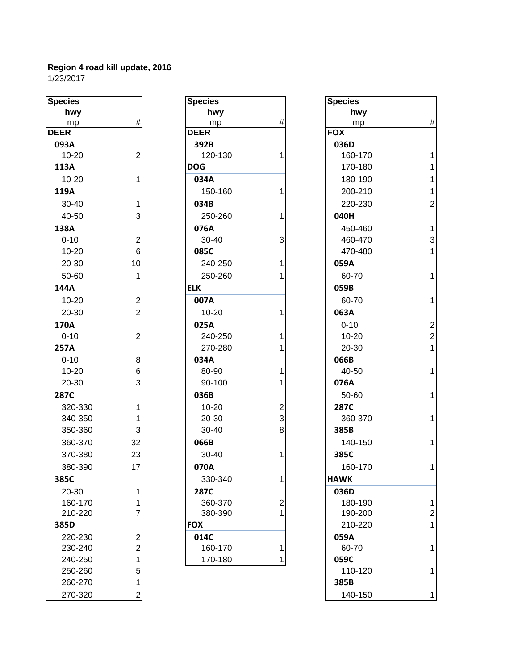| <b>Species</b> |                | <b>Species</b> |                | <b>Specie</b>   |
|----------------|----------------|----------------|----------------|-----------------|
| hwy            |                | hwy            |                |                 |
| mp             | #              | mp             | $\#$           |                 |
| <b>DEER</b>    |                | <b>DEER</b>    |                | <b>FOX</b>      |
| 093A           |                | 392B           |                | 036D            |
| $10 - 20$      | $\overline{2}$ | 120-130        | 1              | 160             |
| 113A           |                | <b>DOG</b>     |                | 170             |
| $10 - 20$      | 1              | 034A           |                | 180             |
| 119A           |                | 150-160        | 1              | 200             |
| 30-40          | 1              | 034B           |                | 220             |
| 40-50          | 3              | 250-260        | $\mathbf{1}$   | 040H            |
| 138A           |                | 076A           |                | 45 <sub>C</sub> |
| $0 - 10$       | $\overline{2}$ | 30-40          | 3              | 460             |
| $10 - 20$      | $6\phantom{1}$ | 085C           |                | 470             |
| 20-30          | 10             | 240-250        | 1              | 059A            |
| 50-60          | 1              | 250-260        | 1              | 60-             |
| 144A           |                | <b>ELK</b>     |                | 059B            |
| $10 - 20$      | $\overline{c}$ | 007A           |                | 60-             |
| 20-30          | $\overline{2}$ | $10 - 20$      | 1              | 063A            |
| 170A           |                | 025A           |                | $0 - 1$         |
| $0 - 10$       | $\overline{c}$ | 240-250        | 1              | $10-$           |
| 257A           |                | 270-280        | 1              | $20 -$          |
| $0 - 10$       | 8              | 034A           |                | 066B            |
| 10-20          | 6              | 80-90          | 1              | 40-             |
| 20-30          | 3              | 90-100         | 1              | 076A            |
| 287C           |                | 036B           |                | $50-$           |
| 320-330        | 1              | 10-20          | $\overline{c}$ | <b>287C</b>     |
| 340-350        | 1              | 20-30          | 3              | 360             |
| 350-360        | 3              | 30-40          | 8              | 385B            |
| 360-370        | 32             | 066B           |                | 140             |
| 370-380        | 23             | 30-40          | 1              | 385C            |
| 380-390        | 17             | 070A           |                | 160             |
| 385C           |                | 330-340        | 1              | <b>HAWK</b>     |
| 20-30          | 1              | 287C           |                | 036D            |
| 160-170        | 1              | 360-370        | $\overline{2}$ | 180             |
| 210-220        | $\overline{7}$ | 380-390        | $\mathbf{1}$   | 190             |
| 385D           |                | <b>FOX</b>     |                | 21C             |
| 220-230        | $\overline{2}$ | 014C           |                | 059A            |
| 230-240        | $\overline{2}$ | 160-170        | 1              | 60-             |
| 240-250        | 1              | 170-180        | 1              | 059C            |
| 250-260        | 5              |                |                | 11C             |
| 260-270        | 1              |                |                | 385B            |
| 270-320        | $\overline{2}$ |                |                | 140             |

| <b>Species</b> |                         | <b>Species</b> |                         | <b>Species</b> |                |
|----------------|-------------------------|----------------|-------------------------|----------------|----------------|
| hwy            |                         | hwy            |                         | hwy            |                |
| mp             | $\#$                    | mp             | #                       | mp             | #              |
| <b>DEER</b>    |                         | <b>DEER</b>    |                         | <b>FOX</b>     |                |
| 093A           |                         | 392B           |                         | 036D           |                |
| $10 - 20$      | $\overline{2}$          | 120-130        | 1                       | 160-170        | 1              |
| 113A           |                         | <b>DOG</b>     |                         | 170-180        | 1              |
| $10 - 20$      | 1                       | 034A           |                         | 180-190        | 1              |
| 119A           |                         | 150-160        | 1                       | 200-210        | 1              |
| 30-40          | 1                       | 034B           |                         | 220-230        | $\overline{2}$ |
| 40-50          | 3                       | 250-260        | 1                       | 040H           |                |
| 138A           |                         | 076A           |                         | 450-460        | 1              |
| $0 - 10$       | $\boldsymbol{2}$        | 30-40          | 3                       | 460-470        | 3              |
| $10 - 20$      | $6 \mid$                | 085C           |                         | 470-480        | $\mathbf 1$    |
| 20-30          | 10                      | 240-250        | 1                       | 059A           |                |
| 50-60          | 1                       | 250-260        | 1                       | 60-70          | $\overline{1}$ |
| 144A           |                         | <b>ELK</b>     |                         | 059B           |                |
| $10 - 20$      | $\overline{\mathbf{c}}$ | 007A           |                         | 60-70          | $\mathbf 1$    |
| 20-30          | $\overline{2}$          | $10 - 20$      | 1                       | 063A           |                |
| 170A           |                         | 025A           |                         | $0 - 10$       | $\overline{c}$ |
| $0 - 10$       | $\overline{c}$          | 240-250        | 1                       | $10 - 20$      | $\overline{a}$ |
| 257A           |                         | 270-280        |                         | 20-30          | $\overline{1}$ |
| $0 - 10$       | 8                       | 034A           |                         | 066B           |                |
| $10 - 20$      | $6 \overline{6}$        | 80-90          | 1                       | 40-50          | 1              |
| 20-30          | 3                       | 90-100         |                         | 076A           |                |
| 287C           |                         | 036B           |                         | 50-60          | $\overline{1}$ |
| 320-330        | 1                       | $10 - 20$      | $\overline{\mathbf{c}}$ | 287C           |                |
| 340-350        | 1                       | 20-30          | $\overline{3}$          | 360-370        | 1              |
| 350-360        | $\mathbf{3}$            | 30-40          | 8                       | 385B           |                |
| 360-370        | 32                      | 066B           |                         | 140-150        | 1              |
| 370-380        | 23                      | 30-40          | 1                       | 385C           |                |
| 380-390        | 17                      | 070A           |                         | 160-170        | 1              |
| 385C           |                         | 330-340        | 1                       | <b>HAWK</b>    |                |
| 20-30          | 1                       | 287C           |                         | 036D           |                |
| 160-170        | 1                       | 360-370        | $\mathbf 2$             | 180-190        | 1              |
| 210-220        | 7                       | 380-390        | 1                       | 190-200        | $\overline{c}$ |
| 385D           |                         | <b>FOX</b>     |                         | 210-220        | 1              |
| 220-230        | $\boldsymbol{2}$        | 014C           |                         | 059A           |                |
| 230-240        | $\overline{2}$          | 160-170        | 1                       | 60-70          | 1              |
| 240-250        | $\mathbf{1}$            | 170-180        | 1                       | 059C           |                |
| 250-260        | 5 <sup>1</sup>          |                |                         | 110-120        | 1              |

| $\overline{\text{cies}}$ |                  | <b>Species</b> |                | <b>Species</b> |                |
|--------------------------|------------------|----------------|----------------|----------------|----------------|
| hwy                      |                  | hwy            |                | hwy            |                |
| mp                       | $\#$             | mp             | $\#$           | mp             | $\#$           |
| ER.                      |                  | <b>DEER</b>    |                | <b>FOX</b>     |                |
| 93A                      |                  | 392B           |                | 036D           |                |
| $10 - 20$                | $\overline{2}$   | 120-130        |                | 160-170        | $\mathbf{1}$   |
| L3A                      |                  | <b>DOG</b>     |                | 170-180        | $\mathbf{1}$   |
| 10-20                    | 1                | 034A           |                | 180-190        | 1              |
| L9A                      |                  | 150-160        | 1              | 200-210        | $\mathbf{1}$   |
| 30-40                    | 1                | 034B           |                | 220-230        | $\overline{2}$ |
| 40-50                    | 3                | 250-260        | 1              | 040H           |                |
| 38A                      |                  | 076A           |                | 450-460        | $\mathbf{1}$   |
| $0 - 10$                 | $\overline{2}$   | 30-40          | 3              | 460-470        | $\overline{3}$ |
| 10-20                    | $6 \overline{6}$ | 085C           |                | 470-480        | $\mathbf{1}$   |
| 20-30                    | 10               | 240-250        | 1              | 059A           |                |
| 50-60                    | 1                | 250-260        |                | 60-70          | $\mathbf{1}$   |
| 14A                      |                  | <b>ELK</b>     |                | 059B           |                |
| 10-20                    | $\overline{2}$   | 007A           |                | 60-70          | $\mathbf{1}$   |
| 20-30                    | $\overline{2}$   | $10 - 20$      | 1              | 063A           |                |
| 70A                      |                  | 025A           |                | $0 - 10$       | $\overline{c}$ |
| $0 - 10$                 | $\overline{2}$   | 240-250        |                | $10 - 20$      | $\mathbf{2}$   |
| 57A                      |                  | 270-280        | 1              | 20-30          | $\overline{1}$ |
| $0 - 10$                 | 8                | 034A           |                | 066B           |                |
| 10-20                    | $6 \overline{6}$ | 80-90          | 1              | 40-50          | $\mathbf{1}$   |
| 20-30                    | 3                | 90-100         |                | 076A           |                |
| 37C                      |                  | 036B           |                | 50-60          | $\mathbf{1}$   |
| 320-330                  | 1                | $10 - 20$      | $\overline{2}$ | 287C           |                |
| 340-350                  | 1                | 20-30          | 3              | 360-370        | $\mathbf{1}$   |
| 350-360                  | $\mathbf{3}$     | 30-40          | 8              | 385B           |                |
| 360-370                  | 32               | 066B           |                | 140-150        | $\mathbf{1}$   |
| 370-380                  | 23               | 30-40          | 1              | 385C           |                |
| 380-390                  | 17               | 070A           |                | 160-170        | $\mathbf{1}$   |
| 35C                      |                  | 330-340        | 1              | <b>HAWK</b>    |                |
| 20-30                    | 1                | 287C           |                | 036D           |                |
| 160-170                  | 1                | 360-370        | $\overline{c}$ | 180-190        | 1              |
| 210-220                  | 7                | 380-390        | 1              | 190-200        | $\overline{c}$ |
| 35D                      |                  | <b>FOX</b>     |                | 210-220        | 1              |
| 220-230                  | 2                | 014C           |                | 059A           |                |
| 230-240                  | $\overline{2}$   | 160-170        | 1              | 60-70          | $\mathbf{1}$   |
| 240-250                  | 1                | 170-180        | 1              | 059C           |                |
| 250-260                  | 5                |                |                | 110-120        | 1              |
| 260-270                  | 1                |                |                | 385B           |                |
| 270-320                  | $\overline{2}$   |                |                | 140-150        | $\mathbf 1$    |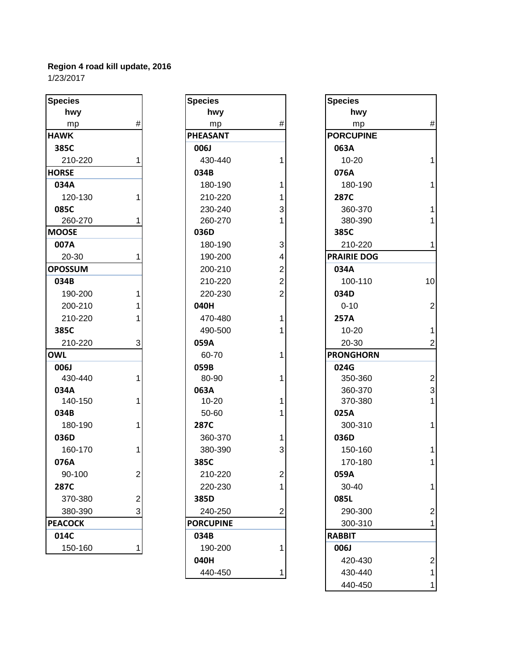| <b>Species</b> |                | <b>Species</b>   |                | <b>Species</b>     |
|----------------|----------------|------------------|----------------|--------------------|
| hwy            |                | hwy              |                | hwy                |
| mp             | #              | mp               | $\#$           | mp                 |
| <b>HAWK</b>    |                | <b>PHEASANT</b>  |                | <b>PORCUPINE</b>   |
| 385C           |                | 006J             |                | 063A               |
| 210-220        | 1              | 430-440          | 1              | $10 - 20$          |
| <b>HORSE</b>   |                | 034B             |                | 076A               |
| 034A           |                | 180-190          | 1              | 180-190            |
| 120-130        | 1              | 210-220          | 1              | 287C               |
| 085C           |                | 230-240          | 3              | 360-370            |
| 260-270        |                | 260-270          | 1              | 380-390            |
| <b>IMOOSE</b>  |                | 036D             |                | 385C               |
| 007A           |                | 180-190          | 3              | 210-220            |
| 20-30          | 1              | 190-200          | 4              | <b>PRAIRIE DOG</b> |
| <b>OPOSSUM</b> |                | 200-210          | $\overline{c}$ | 034A               |
| 034B           |                | 210-220          | $\overline{2}$ | 100-110            |
| 190-200        | 1              | 220-230          | $\overline{2}$ | 034D               |
| 200-210        | 1              | 040H             |                | $0 - 10$           |
| 210-220        |                | 470-480          | 1              | 257A               |
| 385C           |                | 490-500          | 1              | $10 - 20$          |
| 210-220        | 3              | 059A             |                | 20-30              |
| <b>OWL</b>     |                | 60-70            | 1              | <b>PRONGHORN</b>   |
| 006J           |                | 059B             |                | 024G               |
| 430-440        | 1              | 80-90            | 1              | 350-360            |
| 034A           |                | 063A             |                | 360-370            |
| 140-150        | 1              | $10 - 20$        | 1              | 370-380            |
| 034B           |                | 50-60            | 1              | 025A               |
| 180-190        | 1              | 287C             |                | 300-310            |
| 036D           |                | 360-370          | 1              | 036D               |
| 160-170        | 1              | 380-390          | 3              | 150-160            |
| 076A           |                | 385C             |                | 170-180            |
| 90-100         | $\mathbf{2}$   | 210-220          | $\overline{2}$ | 059A               |
| 287C           |                | 220-230          | 1              | 30-40              |
| 370-380        | $\overline{2}$ | 385D             |                | 085L               |
| 380-390        | 3              | 240-250          | $\overline{2}$ | 290-300            |
| <b>PEACOCK</b> |                | <b>PORCUPINE</b> |                | 300-310            |
| 014C           |                | 034B             |                | <b>RABBIT</b>      |
| 150-160        | 1              | 190-200          | 1              | 006J               |

| pecies        |                | <b>Species</b>   |                | <b>Species</b>     |
|---------------|----------------|------------------|----------------|--------------------|
| hwy           |                | hwy              |                | hwy                |
| mp            | $\#$           | mp               | $\#$           | mp                 |
| <b>AWK</b>    |                | <b>PHEASANT</b>  |                | <b>PORCUPINE</b>   |
| 385C          |                | 006J             |                | 063A               |
| 210-220       | 1              | 430-440          | 1              | $10 - 20$          |
| <b>ORSE</b>   |                | 034B             |                | 076A               |
| 034A          |                | 180-190          | 1              | 180-190            |
| 120-130       | 1              | 210-220          | 1              | <b>287C</b>        |
| 085C          |                | 230-240          | 3              | 360-370            |
| 260-270       | 1              | 260-270          | 1              | 380-390            |
| <b>IOOSE</b>  |                | 036D             |                | 385C               |
| 007A          |                | 180-190          | 3              | 210-220            |
| 20-30         | 1              | 190-200          | 4              | <b>PRAIRIE DOG</b> |
| <b>POSSUM</b> |                | 200-210          | $\overline{c}$ | 034A               |
| 034B          |                | 210-220          | $\overline{2}$ | 100-110            |
| 190-200       | 1              | 220-230          | $\overline{2}$ | 034D               |
| 200-210       | 1              | 040H             |                | $0 - 10$           |
| 210-220       | 1              | 470-480          | 1              | 257A               |
| 385C          |                | 490-500          | 1              | $10 - 20$          |
| 210-220       | 3              | 059A             |                | 20-30              |
| WL            |                | 60-70            | 1              | <b>PRONGHORN</b>   |
| <b>006J</b>   |                | 059B             |                | 024G               |
| 430-440       | 1              | 80-90            | 1              | 350-360            |
| 034A          |                | 063A             |                | 360-370            |
| 140-150       | 1              | $10 - 20$        | 1              | 370-380            |
| 034B          |                | 50-60            | 1              | 025A               |
| 180-190       | 1              | 287C             |                | 300-310            |
| 036D          |                | 360-370          | 1              | 036D               |
| 160-170       | 1              | 380-390          | 3              | 150-160            |
| 076A          |                | 385C             |                | 170-180            |
| 90-100        | ۷              | 210-220          | ۷              | 059A               |
| 287C          |                | 220-230          | 1              | 30-40              |
| 370-380       | $\overline{2}$ | 385D             |                | 085L               |
| 380-390       | 3              | 240-250          | $\overline{c}$ | 290-300            |
| EACOCK        |                | <b>PORCUPINE</b> |                | 300-310            |
| 014C          |                | 034B             |                | <b>RABBIT</b>      |
| 150-160       | 1              | 190-200          | 1              | 006J               |
|               |                | 040H             |                | 420-430            |
|               |                | 440-450          | 1              | 430-440            |

| <b>Species</b> |                | <b>Species</b>   |                         | <b>Species</b>     |                         |
|----------------|----------------|------------------|-------------------------|--------------------|-------------------------|
| hwy            |                | hwy              |                         | hwy                |                         |
| mp             | #              | mp               | #                       | mp                 | $\#$                    |
| <b>HAWK</b>    |                | PHEASANT         |                         | <b>PORCUPINE</b>   |                         |
| 385C           |                | 006J             |                         | 063A               |                         |
| 210-220        | 1              | 430-440          |                         | $10 - 20$          | $\mathbf{1}$            |
| <b>HORSE</b>   |                | 034B             |                         | 076A               |                         |
| 034A           |                | 180-190          |                         | 180-190            | $\mathbf{1}$            |
| 120-130        | 1              | 210-220          |                         | 287C               |                         |
| 085C           |                | 230-240          | 3                       | 360-370            | $\overline{1}$          |
| 260-270        | 1              | 260-270          |                         | 380-390            | $\mathbf{1}$            |
| <b>MOOSE</b>   |                | 036D             |                         | 385C               |                         |
| 007A           |                | 180-190          | 3                       | 210-220            | $\mathbf{1}$            |
| 20-30          | 1              | 190-200          | 4                       | <b>PRAIRIE DOG</b> |                         |
| <b>OPOSSUM</b> |                | 200-210          | $\overline{\mathbf{c}}$ | 034A               |                         |
| 034B           |                | 210-220          | $\overline{2}$          | 100-110            | 10                      |
| 190-200        | 1              | 220-230          | $\overline{2}$          | 034D               |                         |
| 200-210        | 1              | 040H             |                         | $0 - 10$           | $\mathbf 2$             |
| 210-220        |                | 470-480          |                         | 257A               |                         |
| 385C           |                | 490-500          |                         | $10 - 20$          | $\mathbf{1}$            |
| 210-220        | 3              | 059A             |                         | 20-30              | $\overline{2}$          |
| <b>OWL</b>     |                | 60-70            |                         | <b>PRONGHORN</b>   |                         |
| 006J           |                | 059B             |                         | 024G               |                         |
| 430-440        | 1              | 80-90            |                         | 350-360            | $\overline{2}$          |
| 034A           |                | 063A             |                         | 360-370            | 3                       |
| 140-150        | 1              | $10 - 20$        |                         | 370-380            | $\overline{1}$          |
| 034B           |                | 50-60            |                         | 025A               |                         |
| 180-190        | 1              | <b>287C</b>      |                         | 300-310            | $\mathbf{1}$            |
| 036D           |                | 360-370          |                         | 036D               |                         |
| 160-170        | 1              | 380-390          | 3                       | 150-160            | $\mathbf{1}$            |
| 076A           |                | 385C             |                         | 170-180            | $\mathbf{1}$            |
| 90-100         | 2              | 210-220          | 2                       | 059A               |                         |
| 287C           |                | 220-230          |                         | $30 - 40$          | 1                       |
| 370-380        | 2              | 385D             |                         | 085L               |                         |
| 380-390        | $\overline{3}$ | 240-250          | 2                       | 290-300            | $\overline{2}$          |
| <b>PEACOCK</b> |                | <b>PORCUPINE</b> |                         | 300-310            | $\mathbf{1}$            |
| 014C           |                | 034B             |                         | <b>RABBIT</b>      |                         |
| 150-160        | 1              | 190-200          |                         | 006J               |                         |
|                |                | 040H             |                         | 420-430            | $\overline{\mathbf{c}}$ |
|                |                | 440-450          |                         | 430-440            | $\mathbf{1}$            |
|                |                |                  |                         | 440-450            | $\mathbf{1}$            |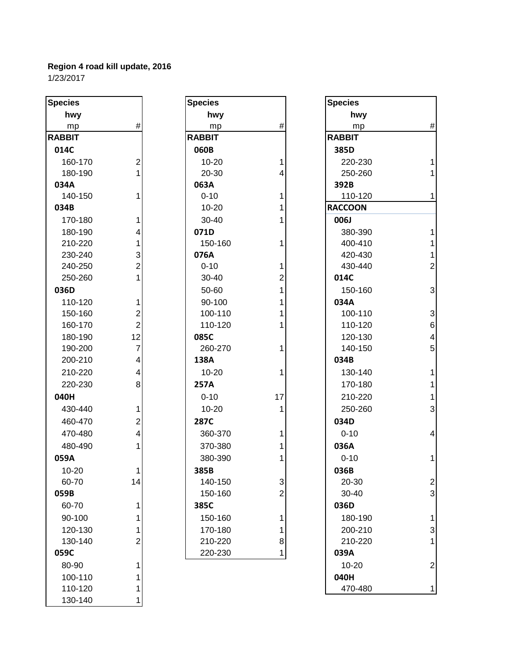| <b>Species</b> |                         | <b>Species</b> |                | <b>Species</b> |                |
|----------------|-------------------------|----------------|----------------|----------------|----------------|
| hwy            |                         | hwy            |                | hwy            |                |
| mp             | $\#$                    | mp             | $\#$           | mp             | #              |
| <b>RABBIT</b>  |                         | <b>RABBIT</b>  |                | <b>RABBIT</b>  |                |
| 014C           |                         | 060B           |                | 385D           |                |
| 160-170        | $\mathbf 2$             | $10 - 20$      | 1              | 220-230        | 1              |
| 180-190        | 1                       | 20-30          | 4              | 250-260        | 1              |
| 034A           |                         | 063A           |                | 392B           |                |
| 140-150        | 1                       | $0 - 10$       | 1              | 110-120        | 1              |
| 034B           |                         | 10-20          | 1              | <b>RACCOON</b> |                |
| 170-180        | 1                       | $30 - 40$      |                | 006J           |                |
| 180-190        | 4                       | 071D           |                | 380-390        | 1              |
| 210-220        | 1                       | 150-160        | 1              | 400-410        | 1              |
| 230-240        | $\mathbf{3}$            | 076A           |                | 420-430        | 1              |
| 240-250        | $\overline{2}$          | $0 - 10$       | 1              | 430-440        | $\overline{2}$ |
| 250-260        | 1                       | 30-40          | $\overline{2}$ | 014C           |                |
| 036D           |                         | 50-60          | 1              | 150-160        | 3              |
| 110-120        | 1                       | 90-100         | 1              | 034A           |                |
| 150-160        | $\overline{2}$          | 100-110        | 1              | 100-110        | 3              |
| 160-170        | $\overline{2}$          | 110-120        | 1              | 110-120        | 6              |
| 180-190        | 12                      | 085C           |                | 120-130        | $\overline{4}$ |
| 190-200        | $\overline{7}$          | 260-270        | 1              | 140-150        | 5              |
| 200-210        | 4                       | 138A           |                | 034B           |                |
| 210-220        | $\overline{\mathbf{4}}$ | $10 - 20$      | 1              | 130-140        | 1              |
| 220-230        | 8                       | 257A           |                | 170-180        | 1              |
| 040H           |                         | $0 - 10$       | 17             | 210-220        | 1              |
| 430-440        | 1                       | $10 - 20$      | 1              | 250-260        | 3              |
| 460-470        | $\mathbf 2$             | 287C           |                | 034D           |                |
| 470-480        | $\overline{\mathbf{4}}$ | 360-370        | 1              | $0 - 10$       | 4              |
| 480-490        | 1                       | 370-380        | 1              | 036A           |                |
| 059A           |                         | 380-390        |                | $0 - 10$       | 1              |
| $10 - 20$      | 1                       | 385B           |                | 036B           |                |
| 60-70          | 14                      | 140-150        | 3              | 20-30          | $\overline{a}$ |
| 059B           |                         | 150-160        | $\overline{c}$ | 30-40          | 3              |
| 60-70          | 1                       | 385C           |                | 036D           |                |
| 90-100         | 1                       | 150-160        | 1              | 180-190        | 1              |
| 120-130        | 1                       | 170-180        | 1              | 200-210        | 3              |
| 130-140        | $\overline{2}$          | 210-220        | 8              | 210-220        | 1              |
| 059C           |                         | 220-230        | 1              | 039A           |                |
| 80-90          | 1                       |                |                | $10 - 20$      | $\overline{c}$ |
| 100-110        | 1                       |                |                | 040H           |                |
| 110-120        | 1                       |                |                | 470-480        | 1              |
| 130-140        | 1                       |                |                |                |                |

| hwy<br>#<br>mp<br>RABBIT<br>060B<br>1<br>10-20        |  |
|-------------------------------------------------------|--|
|                                                       |  |
|                                                       |  |
|                                                       |  |
|                                                       |  |
|                                                       |  |
| 4<br>20-30                                            |  |
| 063A                                                  |  |
| $\mathbf{1}$<br>$0 - 10$                              |  |
| $\overline{\mathbf{1}}$<br>10-20                      |  |
| $\overline{1}$<br>30-40                               |  |
| 071D                                                  |  |
| 1<br>150-160                                          |  |
| 076A                                                  |  |
| $0 - 10$                                              |  |
| $1211$<br>$111$<br>30-40                              |  |
| 50-60                                                 |  |
| 90-100                                                |  |
| 100-110                                               |  |
| $\overline{1}$<br>110-120                             |  |
| 085C                                                  |  |
| 260-270<br>1                                          |  |
| 138A                                                  |  |
| 1<br>10-20                                            |  |
| 257A                                                  |  |
| $0 - 10$<br>17                                        |  |
| 1<br>$10 - 20$                                        |  |
| 287C                                                  |  |
| 1<br>360-370                                          |  |
| $\overline{\mathbf{1}}$<br>370-380                    |  |
| 1<br>380-390                                          |  |
| 385B                                                  |  |
| 140-150                                               |  |
| $\begin{array}{c} 3 \\ 2 \\ 1 \end{array}$<br>150-160 |  |
| 385C                                                  |  |
| 150-160                                               |  |
| 170-180                                               |  |
| $\frac{1}{8}$<br>210-220                              |  |
| 220-230                                               |  |
|                                                       |  |

| cies        |                         | <b>Species</b> |                         | <b>Species</b> |                         |
|-------------|-------------------------|----------------|-------------------------|----------------|-------------------------|
| hwy         |                         | hwy            |                         | hwy            |                         |
| mp          | $\#$                    | mp             | #                       | mp             | $\#$                    |
| <b>BBIT</b> |                         | <b>RABBIT</b>  |                         | <b>RABBIT</b>  |                         |
| L4C         |                         | 060B           |                         | 385D           |                         |
| 160-170     | $\overline{c}$          | $10 - 20$      | 1                       | 220-230        | 1                       |
| 180-190     | 1                       | 20-30          | 4                       | 250-260        | $\mathbf{1}$            |
| 34A         |                         | 063A           |                         | 392B           |                         |
| 140-150     | 1                       | $0 - 10$       | 1                       | 110-120        | $\mathbf{1}$            |
| 34B         |                         | $10 - 20$      | 1                       | <b>RACCOON</b> |                         |
| 170-180     | 1                       | 30-40          | 1                       | 006J           |                         |
| 180-190     | 4                       | 071D           |                         | 380-390        | 1                       |
| 210-220     | 1                       | 150-160        | 1                       | 400-410        | 1                       |
| 230-240     | 3                       | 076A           |                         | 420-430        | $\mathbf{1}$            |
| 240-250     | $\overline{2}$          | $0 - 10$       | 1                       | 430-440        | $\overline{2}$          |
| 250-260     | 1                       | 30-40          | 2                       | 014C           |                         |
| 36D         |                         | 50-60          | 1                       | 150-160        | 3                       |
| 110-120     | 1                       | 90-100         |                         | 034A           |                         |
| 150-160     | $\overline{2}$          | 100-110        |                         | 100-110        | 3                       |
| 160-170     | $\overline{2}$          | 110-120        |                         | 110-120        | $6\phantom{1}6$         |
| 180-190     | 12                      | 085C           |                         | 120-130        | $\overline{\mathbf{4}}$ |
| 190-200     | $\overline{7}$          | 260-270        |                         | 140-150        | 5                       |
| 200-210     | 4                       | 138A           |                         | 034B           |                         |
| 210-220     | $\overline{4}$          | $10 - 20$      | 1                       | 130-140        | 1                       |
| 220-230     | 8                       | 257A           |                         | 170-180        | $\mathbf{1}$            |
| HOH         |                         | $0 - 10$       | 17                      | 210-220        | $\mathbf{1}$            |
| 430-440     | 1                       | $10 - 20$      | 1                       | 250-260        | 3                       |
| 460-470     | $\overline{2}$          | 287C           |                         | 034D           |                         |
| 470-480     | $\overline{\mathbf{4}}$ | 360-370        | 1                       | $0 - 10$       | $\overline{4}$          |
| 480-490     | 1                       | 370-380        |                         | 036A           |                         |
| 59A         |                         | 380-390        |                         | $0 - 10$       | $\mathbf{1}$            |
| 10-20       | 1                       | 385B           |                         | 036B           |                         |
| 60-70       | 14                      | 140-150        | 3                       | 20-30          | 2                       |
| 59B         |                         | 150-160        | $\overline{\mathbf{c}}$ | 30-40          | 3                       |
| 60-70       | 1                       | 385C           |                         | 036D           |                         |
| 90-100      | 1                       | 150-160        | 1                       | 180-190        | 1                       |
| 120-130     | 1                       | 170-180        | 1                       | 200-210        | 3                       |
| 130-140     | 2                       | 210-220        | 8                       | 210-220        | 1                       |
| 59C         |                         | 220-230        | 1                       | 039A           |                         |
| 80-90       | 1                       |                |                         | $10 - 20$      | $\overline{2}$          |
| 100-110     | 1                       |                |                         | 040H           |                         |
| 110-120     | 1                       |                |                         | 470-480        | 1                       |
|             |                         |                |                         |                |                         |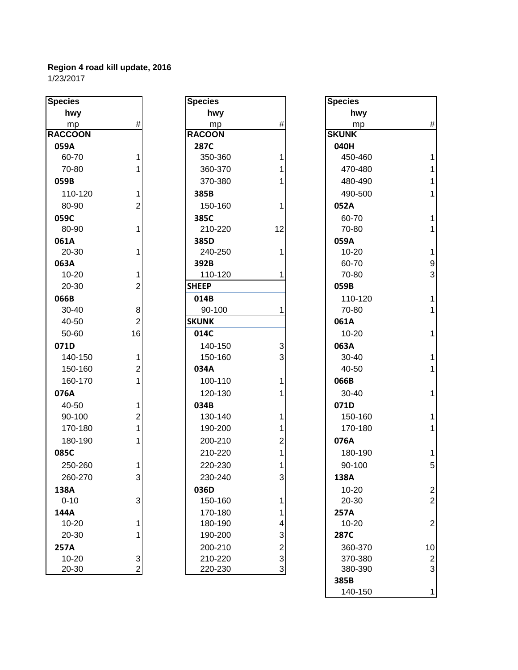| <b>Species</b> |                | <b>Species</b> |                | <b>Species</b> |
|----------------|----------------|----------------|----------------|----------------|
| hwy            |                | hwy            |                | h۷             |
| mp             | $\#$           | mp             | #              | m              |
| <b>RACCOON</b> |                | <b>RACOON</b>  |                | <b>SKUNK</b>   |
| 059A           |                | 287C           |                | 040H           |
| 60-70          | 1              | 350-360        | 1              | 450-           |
| 70-80          | 1              | 360-370        | 1              | 470-           |
| 059B           |                | 370-380        | 1              | 480-           |
| 110-120        | 1              | 385B           |                | 490-           |
| 80-90          | $\overline{2}$ | 150-160        | 1              | 052A           |
| 059C           |                | 385C           |                | $60 - 7$       |
| 80-90          | 1              | 210-220        | 12             | $70-8$         |
| 061A           |                | 385D           |                | 059A           |
| 20-30          | 1              | 240-250        | 1              | $10 - 2$       |
| 063A           |                | 392B           |                | $60 - 7$       |
| 10-20          | 1              | 110-120        | 1              | $70-8$         |
| 20-30          | $\overline{2}$ | <b>SHEEP</b>   |                | 059B           |
| 066B           |                | 014B           |                | $110 -$        |
| $30 - 40$      | 8              | 90-100         | 1              | $70 - 8$       |
| 40-50          | $\overline{2}$ | <b>SKUNK</b>   |                | 061A           |
| 50-60          | 16             | 014C           |                | $10 - 2$       |
| 071D           |                | 140-150        | 3              | 063A           |
| 140-150        | 1              | 150-160        | 3              | $30 - 4$       |
| 150-160        | $\overline{2}$ | 034A           |                | $40 - 5$       |
| 160-170        | 1              | 100-110        | 1              | 066B           |
| 076A           |                | 120-130        | 1              | $30 - 4$       |
| 40-50          | 1              | 034B           |                | 071D           |
| 90-100         | $\overline{2}$ | 130-140        | 1              | $150 -$        |
| 170-180        | 1              | 190-200        | 1              | $170 -$        |
| 180-190        | 1              | 200-210        | $\overline{2}$ | 076A           |
| 085C           |                | 210-220        | $\overline{1}$ | 180-           |
| 250-260        | 1              | 220-230        | 1              | $90 - 1$       |
| 260-270        | 3              | 230-240        | 3              | 138A           |
| 138A           |                | 036D           |                | $10 - 2$       |
| $0 - 10$       | $\mathbf{3}$   | 150-160        | 1              | $20 - 3$       |
| 144A           |                | 170-180        | 1              | 257A           |
| 10-20          | 1              | 180-190        | 4              | $10-2$         |
| 20-30          | 1              | 190-200        | 3              | 287C           |
| 257A           |                | 200-210        | $\overline{2}$ | $360 -$        |
| 10-20          | 3              | 210-220        | 3              | 370-           |
| 20-30          | $\overline{2}$ | 220-230        | 3              | 380-           |

| cies        |                | <b>Species</b> |              | <b>Species</b> |
|-------------|----------------|----------------|--------------|----------------|
| hwy         |                | hwy            |              | hwy            |
| mp          | #              | mp             | $\#$         | mp             |
| <b>COON</b> |                | <b>RACOON</b>  |              | <b>SKUNK</b>   |
| 59A         |                | 287C           |              | 040H           |
| 60-70       | $\mathbf{1}$   | 350-360        | $\mathbf{1}$ | 450-46         |
| 70-80       | 1              | 360-370        | 1            | 470-48         |
| 59B         |                | 370-380        | 1            | 480-49         |
| 110-120     | 1              | 385B           |              | 490-50         |
| 80-90       | $\overline{2}$ | 150-160        | 1            | 052A           |
| 59C         |                | 385C           |              | 60-70          |
| 80-90       | 1              | 210-220        | 12           | 70-80          |
| 51A         |                | 385D           |              | 059A           |
| 20-30       | $\mathbf{1}$   | 240-250        | 1            | $10 - 20$      |
| 53A         |                | 392B           |              | 60-70          |
| 10-20       | 1              | 110-120        | 1            | 70-80          |
| 20-30       | $\overline{2}$ | <b>SHEEP</b>   |              | 059B           |
| 56B         |                | 014B           |              | 110-12         |
| 30-40       | 8              | 90-100         | 1            | 70-80          |
| 40-50       | $\overline{2}$ | <b>SKUNK</b>   |              | 061A           |
| 50-60       | 16             | 014C           |              | $10 - 20$      |
| 71D         |                | 140-150        | 3            | 063A           |
| 140-150     | 1              | 150-160        | 3            | $30 - 40$      |
| 150-160     | $\overline{2}$ | 034A           |              | 40-50          |
| 160-170     | $\mathbf{1}$   | 100-110        | 1            | 066B           |
| 76A         |                | 120-130        | 1            | $30 - 40$      |
| 40-50       | $\mathbf{1}$   | 034B           |              | 071D           |
| 90-100      | 2              | 130-140        | 1            | 150-16         |
| 170-180     | $\mathbf{1}$   | 190-200        | 1            | 170-18         |
| 180-190     | 1              | 200-210        | 2            | 076A           |
| 35C         |                | 210-220        | 1            | 180-19         |
| 250-260     | 1              | 220-230        | $\mathbf{1}$ | 90-100         |
| 260-270     | 3              | 230-240        | 3            | 138A           |
| 38A         |                | 036D           |              | 10-20          |
| $0 - 10$    | 3              | 150-160        | 1            | 20-30          |
| 14A         |                | 170-180        | 1            | 257A           |
| 10-20       | 1              | 180-190        | 4            | $10 - 20$      |
| 20-30       | 1              | 190-200        | 3            | 287C           |
| 57A         |                | 200-210        | 2            | 360-37         |
| 10-20       | 3              | 210-220        | 3            | 370-38         |
| 20-30       | $\overline{2}$ | 220-230        | 3            | 380-39         |
|             |                |                |              | 385R           |

| pecies        |                | <b>Species</b> |                         | <b>Species</b> |                  |
|---------------|----------------|----------------|-------------------------|----------------|------------------|
| hwy           |                | hwy            |                         | hwy            |                  |
| mp            | $\#$           | mp             | $\#$                    | mp             | $\#$             |
| <b>ACCOON</b> |                | <b>RACOON</b>  |                         | <b>SKUNK</b>   |                  |
| 059A          |                | <b>287C</b>    |                         | 040H           |                  |
| 60-70         | 1              | 350-360        | 1                       | 450-460        | $\mathbf{1}$     |
| 70-80         | 1              | 360-370        | 1                       | 470-480        | $\mathbf{1}$     |
| 059B          |                | 370-380        | 1                       | 480-490        | $\mathbf{1}$     |
| 110-120       | 1              | 385B           |                         | 490-500        | $\mathbf{1}$     |
| 80-90         | $\overline{2}$ | 150-160        | 1                       | 052A           |                  |
| 059C          |                | 385C           |                         | 60-70          | $\mathbf{1}$     |
| 80-90         | 1              | 210-220        | 12                      | 70-80          | $\mathbf{1}$     |
| 061A          |                | 385D           |                         | 059A           |                  |
| 20-30         | 1              | 240-250        | 1                       | $10 - 20$      | $\mathbf{1}$     |
| 063A          |                | 392B           |                         | 60-70          | $\boldsymbol{9}$ |
| $10 - 20$     | 1              | 110-120        | 1                       | 70-80          | 3                |
| 20-30         | $\overline{2}$ | <b>SHEEP</b>   |                         | 059B           |                  |
| 066B          |                | 014B           |                         | 110-120        | $\mathbf{1}$     |
| 30-40         | 8              | 90-100         | 1                       | 70-80          | $\mathbf{1}$     |
| 40-50         | $\overline{2}$ | <b>SKUNK</b>   |                         | 061A           |                  |
| 50-60         | 16             | 014C           |                         | $10 - 20$      | $\mathbf{1}$     |
| 071D          |                | 140-150        | 3                       | 063A           |                  |
| 140-150       | 1              | 150-160        | 3                       | 30-40          | $\mathbf{1}$     |
| 150-160       | $\overline{2}$ | 034A           |                         | 40-50          | $\mathbf{1}$     |
| 160-170       | $\mathbf{1}$   | 100-110        | 1                       | 066B           |                  |
| 076A          |                | 120-130        | 1                       | 30-40          | $\mathbf{1}$     |
| 40-50         | 1              | 034B           |                         | 071D           |                  |
| 90-100        | $\overline{c}$ | 130-140        | 1                       | 150-160        | $\mathbf{1}$     |
| 170-180       | 1              | 190-200        |                         | 170-180        | $\mathbf{1}$     |
| 180-190       | 1              | 200-210        | 2                       | 076A           |                  |
| 085C          |                | 210-220        | 1                       | 180-190        | $\mathbf{1}$     |
| 250-260       | 1              | 220-230        | 1                       | 90-100         | 5                |
| 260-270       | 3              | 230-240        | 3                       | 138A           |                  |
| 138A          |                | 036D           |                         | $10 - 20$      | $\boldsymbol{2}$ |
| $0 - 10$      | 3              | 150-160        | 1                       | 20-30          | $\overline{2}$   |
| 144A          |                | 170-180        | 1                       | 257A           |                  |
| $10 - 20$     | 1              | 180-190        | 4                       | $10 - 20$      | $\overline{c}$   |
| 20-30         | 1              | 190-200        | 3                       | 287C           |                  |
| 257A          |                | 200-210        | $\overline{\mathbf{c}}$ | 360-370        | 10               |
| 10-20         | 3              | 210-220        | 3                       | 370-380        | $\boldsymbol{2}$ |
| 20-30         | $\overline{2}$ | 220-230        | 3                       | 380-390        | 3                |
|               |                |                |                         | 385B           |                  |
|               |                |                |                         | 140-150        | $\mathbf{1}$     |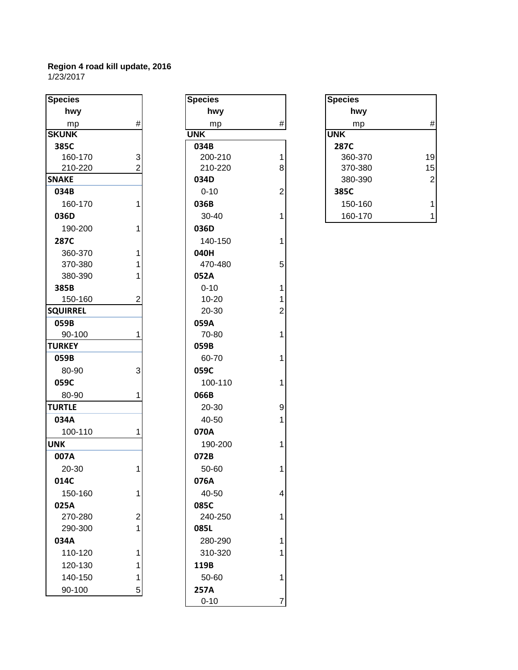| <b>Species</b>  |                | <b>Species</b> |                | <b>Species</b> |
|-----------------|----------------|----------------|----------------|----------------|
| hwy             |                | hwy            |                | hv             |
| mp              | $\#$           | mp             | $\#$           | m              |
| <b>SKUNK</b>    |                | <b>UNK</b>     |                | <b>UNK</b>     |
| 385C            |                | 034B           |                | 287C           |
| 160-170         | 3              | 200-210        | 1              | 360-           |
| 210-220         | $\overline{2}$ | 210-220        | 8              | $370 -$        |
| <b>SNAKE</b>    |                | 034D           |                | 380-           |
| 034B            |                | $0 - 10$       | $\overline{2}$ | 385C           |
| 160-170         | 1              | 036B           |                | $150 -$        |
| 036D            |                | 30-40          | 1              | 160-           |
| 190-200         | 1              | 036D           |                |                |
| 287C            |                | 140-150        | 1              |                |
| 360-370         | 1              | 040H           |                |                |
| 370-380         | 1              | 470-480        | 5              |                |
| 380-390         | 1              | 052A           |                |                |
| 385B            |                | $0 - 10$       | 1              |                |
| 150-160         | 2              | 10-20          | 1              |                |
| <b>SQUIRREL</b> |                | 20-30          | 2              |                |
| 059B            |                | 059A           |                |                |
| 90-100          | 1              | 70-80          | 1              |                |
| <b>TURKEY</b>   |                | 059B           |                |                |
| 059B            |                | 60-70          | 1              |                |
| 80-90           | 3              | 059C           |                |                |
| 059C            |                | 100-110        | 1              |                |
| 80-90           | 1              | 066B           |                |                |
| <b>TURTLE</b>   |                | 20-30          | 9              |                |
| 034A            |                | 40-50          | 1              |                |
| 100-110         | 1              | 070A           |                |                |
| <b>UNK</b>      |                | 190-200        | 1              |                |
| 007A            |                | 072B           |                |                |
| 20-30           | 1              | 50-60          | 1              |                |
| 014C            |                | 076A           |                |                |
| 150-160         | 1              | 40-50          | 4              |                |
| 025A            |                | 085C           |                |                |
| 270-280         | 2              | 240-250        | 1              |                |
| 290-300         | 1              | 085L           |                |                |
| 034A            |                | 280-290        | 1              |                |
| 110-120         | 1              | 310-320        | 1              |                |
| 120-130         | 1              | 119B           |                |                |
| 140-150         | 1              | 50-60          | 1              |                |
| 90-100          | 5              | 257A           |                |                |
|                 |                |                |                |                |

| pecies         |                | <b>Species</b> |                | <b>Species</b> |
|----------------|----------------|----------------|----------------|----------------|
| hwy            |                | hwy            |                | hwy            |
| mp             | $\#$           | mp             | $\#$           | mp             |
| <b>KUNK</b>    |                | <b>UNK</b>     |                | <b>UNK</b>     |
| 385C           |                | 034B           |                | 287C           |
| 160-170        | 3              | 200-210        | 1              | 360-37         |
| 210-220        | $\overline{2}$ | 210-220        | 8              | 370-38         |
| <b>NAKE</b>    |                | 034D           |                | 380-39         |
| 034B           |                | $0 - 10$       | $\overline{2}$ | 385C           |
| 160-170        | 1              | 036B           |                | 150-16         |
| 036D           |                | $30 - 40$      | $\overline{1}$ | 160-17         |
| 190-200        | 1              | 036D           |                |                |
| 287C           |                | 140-150        | 1              |                |
| 360-370        | 1              | 040H           |                |                |
| 370-380        | 1              | 470-480        | 5              |                |
| 380-390        | 1              | 052A           |                |                |
| 385B           |                | $0 - 10$       | 1              |                |
| 150-160        | 2              | $10 - 20$      | 1              |                |
| <b>QUIRREL</b> |                | 20-30          | $\overline{c}$ |                |
| 059B           |                | 059A           |                |                |
| 90-100         | 1              | 70-80          | 1              |                |
| <b>JRKEY</b>   |                | 059B           |                |                |
| 059B           |                | 60-70          | 1              |                |
| 80-90          | 3              | 059C           |                |                |
| 059C           |                | 100-110        | 1              |                |
| 80-90          | 1              | 066B           |                |                |
| <b>JRTLE</b>   |                | 20-30          | 9              |                |
| 034A           |                | 40-50          | 1              |                |
| 100-110        | 1              | 070A           |                |                |
| NΚ             |                | 190-200        | 1              |                |
| 007A           |                | 072B           |                |                |
| 20-30          | $\mathbf{1}$   | 50-60          | 1              |                |
| 014C           |                | 076A           |                |                |
| 150-160        | 1              | 40-50          | 4              |                |
| 025A           |                | 085C           |                |                |
| 270-280        | 2              | 240-250        | 1              |                |
| 290-300        | 1              | 085L           |                |                |
| 034A           |                | 280-290        | 1              |                |
| 110-120        | 1              | 310-320        | 1              |                |
| 120-130        | 1              | 119B           |                |                |
| 140-150        | 1              | 50-60          | 1              |                |
| 90-100         | 5              | 257A           |                |                |
|                |                | $0 - 10$       | 7              |                |

| <b>Species</b> |   | <b>Species</b> |   | <b>Species</b> |                |
|----------------|---|----------------|---|----------------|----------------|
| hwy            |   | hwy            |   | hwy            |                |
| mp             | # | mp             | # | mp             | $\#$           |
| <b>SKUNK</b>   |   | <b>UNK</b>     |   | <b>UNK</b>     |                |
| 385C           |   | 034B           |   | 287C           |                |
| 160-170        | 3 | 200-210        |   | 360-370        | 19             |
| 210-220        | ⌒ | 210-220        | 8 | 370-380        | 15             |
| SNAKE          |   | 034D           |   | 380-390        | $\overline{2}$ |
| 034B           |   | $0 - 10$       | ⌒ | 385C           |                |
| 160-170        |   | 036B           |   | 150-160        |                |
| 036D           |   | $30 - 40$      |   | 160-170        |                |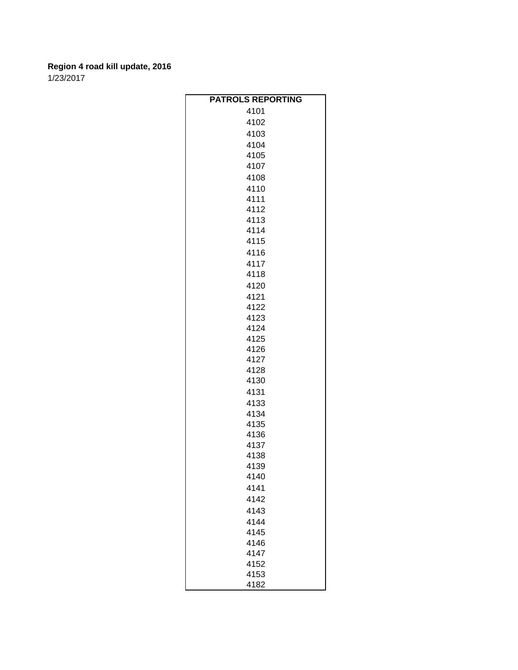| <b>PATROLS REPORTING</b> |
|--------------------------|
| 4101                     |
| 4102                     |
| 4103                     |
| 4104                     |
| 4105                     |
| 4107                     |
| 4108                     |
| 4110                     |
| 4111                     |
| 4112                     |
| 4113                     |
| 4114                     |
| 4115                     |
| 4116                     |
| 4117                     |
| 4118                     |
| 4120                     |
| 4121                     |
| 4122                     |
| 4123                     |
| 4124                     |
| 4125                     |
| 4126                     |
| 4127                     |
| 4128                     |
| 4130                     |
| 4131                     |
| 4133                     |
| 4134                     |
| 4135                     |
| 4136                     |
| 4137                     |
| 4138                     |
| 4139                     |
| 4140                     |
| 4141                     |
| 4142                     |
| 4143                     |
| 4144                     |
| 4145                     |
| 4146                     |
| 4147                     |
| 4152                     |
| 4153                     |
| 4182                     |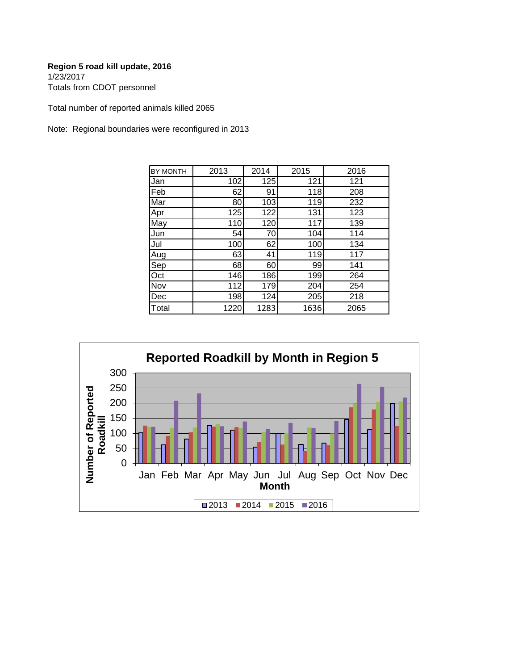Totals from CDOT personnel

Total number of reported animals killed 2065

Note: Regional boundaries were reconfigured in 2013

| <b>BY MONTH</b> | 2013 | 2014 | 2015 | 2016 |
|-----------------|------|------|------|------|
| Jan             | 102  | 125  | 121  | 121  |
| Feb             | 62   | 91   | 118  | 208  |
| Mar             | 80   | 103  | 119  | 232  |
| Apr             | 125  | 122  | 131  | 123  |
| May             | 110  | 120  | 117  | 139  |
| Jun             | 54   | 70   | 104  | 114  |
| Jul             | 100  | 62   | 100  | 134  |
| Aug             | 63   | 41   | 119  | 117  |
| Sep             | 68   | 60   | 99   | 141  |
| Oct             | 146  | 186  | 199  | 264  |
| Nov             | 112  | 179  | 204  | 254  |
| Dec             | 198  | 124  | 205  | 218  |
| Total           | 1220 | 1283 | 1636 | 2065 |

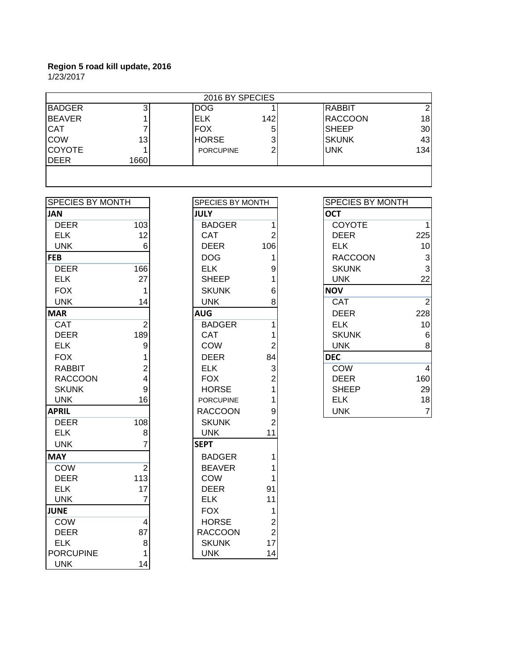| 2016 BY SPECIES |      |                  |     |               |     |  |
|-----------------|------|------------------|-----|---------------|-----|--|
| <b>BADGER</b>   |      | <b>DOG</b>       |     | <b>RABBIT</b> |     |  |
| <b>BEAVER</b>   |      | <b>ELK</b>       | 142 | RACCOON       | 18  |  |
| <b>CAT</b>      |      | <b>FOX</b>       | 5   | <b>SHEEP</b>  | 30  |  |
| <b>COW</b>      | 13   | <b>HORSE</b>     |     | <b>SKUNK</b>  | 43  |  |
| <b>COYOTE</b>   |      | <b>PORCUPINE</b> | 2   | <b>UNK</b>    | 134 |  |
| DEER            | 1660 |                  |     |               |     |  |
|                 |      |                  |     |               |     |  |
|                 |      |                  |     |               |     |  |

| <b>SPECIES BY MONTH</b> |                | SPECIES BY MONTH |                         |                | SPECIES BY MONTH |  |
|-------------------------|----------------|------------------|-------------------------|----------------|------------------|--|
| <b>JAN</b>              |                | <b>JULY</b>      |                         | <b>OCT</b>     |                  |  |
| <b>DEER</b>             | 103            | <b>BADGER</b>    | 1                       | <b>COYOTE</b>  | 1                |  |
| <b>ELK</b>              | 12             | <b>CAT</b>       | $\overline{2}$          | <b>DEER</b>    | 225              |  |
| <b>UNK</b>              | 6              | <b>DEER</b>      | 106                     | <b>ELK</b>     | 10               |  |
| <b>FEB</b>              |                | <b>DOG</b>       | 1                       | <b>RACCOON</b> | 3                |  |
| <b>DEER</b>             | 166            | <b>ELK</b>       | 9                       | <b>SKUNK</b>   | 3                |  |
| <b>ELK</b>              | 27             | <b>SHEEP</b>     | 1                       | <b>UNK</b>     | 22               |  |
| <b>FOX</b>              | 1              | <b>SKUNK</b>     | 6                       | <b>NOV</b>     |                  |  |
| <b>UNK</b>              | 14             | <b>UNK</b>       | 8                       | <b>CAT</b>     | $\overline{2}$   |  |
| <b>MAR</b>              |                | <b>AUG</b>       |                         | <b>DEER</b>    | 228              |  |
| <b>CAT</b>              | $\overline{2}$ | <b>BADGER</b>    | 1                       | <b>ELK</b>     | 10               |  |
| <b>DEER</b>             | 189            | <b>CAT</b>       | 1                       | <b>SKUNK</b>   | 6                |  |
| <b>ELK</b>              | 9              | <b>COW</b>       | $\overline{2}$          | <b>UNK</b>     | 8                |  |
| <b>FOX</b>              |                | <b>DEER</b>      | 84                      | <b>DEC</b>     |                  |  |
| <b>RABBIT</b>           | $\overline{2}$ | <b>ELK</b>       | 3                       | <b>COW</b>     | $\overline{4}$   |  |
| <b>RACCOON</b>          | 4              | <b>FOX</b>       | $\overline{2}$          | <b>DEER</b>    | 160              |  |
| <b>SKUNK</b>            | 9              | <b>HORSE</b>     |                         | <b>SHEEP</b>   | 29               |  |
| <b>UNK</b>              | 16             | <b>PORCUPINE</b> | 1                       | <b>ELK</b>     | 18               |  |
| <b>APRIL</b>            |                | <b>RACCOON</b>   | 9                       | <b>UNK</b>     | $\overline{7}$   |  |
| <b>DEER</b>             | 108            | <b>SKUNK</b>     | $\overline{2}$          |                |                  |  |
| <b>ELK</b>              | 8              | <b>UNK</b>       | 11                      |                |                  |  |
| <b>UNK</b>              |                | <b>SEPT</b>      |                         |                |                  |  |
| <b>MAY</b>              |                | <b>BADGER</b>    | 1                       |                |                  |  |
| COW                     | $\overline{2}$ | <b>BEAVER</b>    | 1                       |                |                  |  |
| <b>DEER</b>             | 113            | <b>COW</b>       |                         |                |                  |  |
| <b>ELK</b>              | 17             | <b>DEER</b>      | 91                      |                |                  |  |
| <b>UNK</b>              | 7              | <b>ELK</b>       | 11                      |                |                  |  |
| <b>JUNE</b>             |                | <b>FOX</b>       | 1                       |                |                  |  |
| <b>COW</b>              | $\overline{4}$ | <b>HORSE</b>     | $\overline{\mathbf{c}}$ |                |                  |  |
| <b>DEER</b>             | 87             | <b>RACCOON</b>   | $\overline{2}$          |                |                  |  |
| <b>ELK</b>              | 8              | <b>SKUNK</b>     | 17                      |                |                  |  |
| <b>PORCUPINE</b>        |                | <b>UNK</b>       | 14                      |                |                  |  |
| <b>UNK</b>              | 14             |                  |                         |                |                  |  |

| SPECIES BY MONTH               |                                                  |
|--------------------------------|--------------------------------------------------|
| <b>JULY</b>                    |                                                  |
| <b>BADGER</b>                  | $\overline{1}$                                   |
| CAT                            | $\overline{\mathbf{c}}$                          |
| DEER                           | 106                                              |
| <b>DOG</b>                     | $\begin{array}{c} 1 \\ 9 \\ 6 \end{array}$       |
| <b>ELK</b>                     |                                                  |
| <b>SHEEP</b>                   |                                                  |
| <b>SKUNK</b>                   |                                                  |
| <b>UNK</b>                     | 8                                                |
| <b>AUG</b>                     |                                                  |
| <b>BADGER</b>                  | $\overline{\mathbf{1}}$                          |
| CAT                            |                                                  |
| COW                            | $\begin{array}{c} 1 \\ 2 \\ 84 \end{array}$      |
| <b>DEER</b>                    |                                                  |
| <b>ELK</b>                     | 321192                                           |
| <b>FOX</b>                     |                                                  |
| <b>HORSE</b>                   |                                                  |
| <b>PORCUPINE</b>               |                                                  |
| <b>RACCOON</b>                 |                                                  |
| <b>SKUNK</b>                   |                                                  |
| <b>UNK</b>                     | 11                                               |
| <b>SEPT</b>                    |                                                  |
| <b>BADGER</b>                  | 1                                                |
| <b>BEAVER</b>                  | 1                                                |
| COW                            | 1                                                |
| <b>DEER</b>                    | 91                                               |
| <b>ELK</b>                     | 11                                               |
| <b>FOX</b>                     |                                                  |
| <b>HORSE</b>                   |                                                  |
| <b>RACCOON</b><br><b>SKUNK</b> | $\begin{array}{c} 1 \\ 2 \\ 2 \\ 17 \end{array}$ |
| <b>UNK</b>                     | 14                                               |
|                                |                                                  |

| SPECIES BY MONTH |     | <b>SPECIES BY MONTH</b> |     | <b>SPECIES BY MONTH</b> |                 |
|------------------|-----|-------------------------|-----|-------------------------|-----------------|
| JAN              |     | <b>JULY</b>             |     | <b>OCT</b>              |                 |
| <b>DEER</b>      | 103 | <b>BADGER</b>           |     | <b>COYOTE</b>           |                 |
| <b>ELK</b>       | 12  | <b>CAT</b>              |     | <b>DEER</b>             | 225             |
| <b>UNK</b>       | 6   | <b>DEER</b>             | 106 | <b>ELK</b>              | 10 <sub>l</sub> |
| FEB              |     | <b>DOG</b>              |     | <b>RACCOON</b>          | 3               |
| <b>DEER</b>      | 166 | <b>ELK</b>              |     | <b>SKUNK</b>            | $\overline{3}$  |
| <b>ELK</b>       | 27  | <b>SHEEP</b>            |     | <b>UNK</b>              | 22              |
| <b>FOX</b>       |     | <b>SKUNK</b>            | 6   | <b>NOV</b>              |                 |
| <b>UNK</b>       | 14  | <b>UNK</b>              | 8   | <b>CAT</b>              | $\overline{2}$  |
| <b>MAR</b>       |     | <b>AUG</b>              |     | <b>DEER</b>             | 228             |
| <b>CAT</b>       | 2   | <b>BADGER</b>           |     | <b>ELK</b>              | 10 <sub>l</sub> |
| <b>DEER</b>      | 189 | <b>CAT</b>              |     | <b>SKUNK</b>            | 6               |
| <b>ELK</b>       | 9   | <b>COW</b>              |     | <b>UNK</b>              | 8               |
| <b>FOX</b>       |     | <b>DEER</b>             | 84  | <b>DEC</b>              |                 |
| <b>RABBIT</b>    | 2   | <b>ELK</b>              |     | <b>COW</b>              | $\overline{4}$  |
| <b>RACCOON</b>   | 4   | <b>FOX</b>              |     | <b>DEER</b>             | 160             |
| <b>SKUNK</b>     | 9   | <b>HORSE</b>            |     | <b>SHEEP</b>            | 29              |
| <b>UNK</b>       | 16  | <b>PORCUPINE</b>        |     | <b>ELK</b>              | 18              |
| APRIL            |     | <b>RACCOON</b>          | 91  | <b>UNK</b>              | $\overline{7}$  |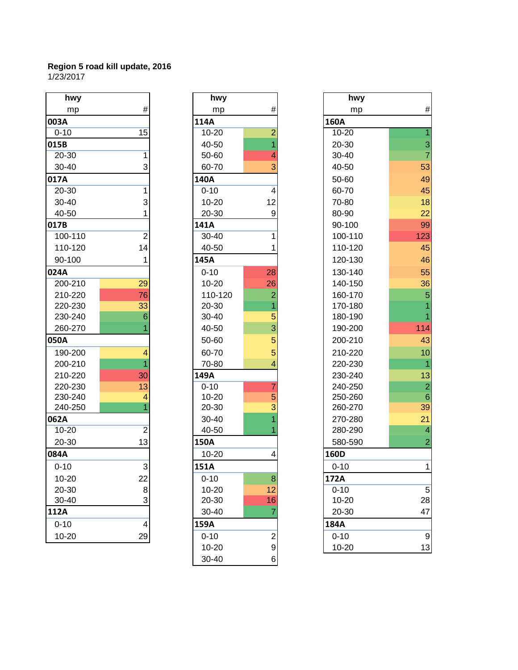| hwy       |                | hwy       |                         | hwy      |
|-----------|----------------|-----------|-------------------------|----------|
| mp        | #              | mp        | #                       | mp       |
| 003A      |                | 114A      |                         | 160A     |
| $0 - 10$  | 15             | $10 - 20$ | $\overline{2}$          | 10-20    |
| 015B      |                | 40-50     | $\overline{1}$          | 20-30    |
| 20-30     | 1              | 50-60     | 4                       | 30-40    |
| 30-40     | 3              | 60-70     | 3                       | 40-50    |
| 017A      |                | 140A      |                         | 50-60    |
| 20-30     | 1              | $0 - 10$  | 4                       | 60-70    |
| 30-40     | 3              | 10-20     | 12                      | 70-80    |
| 40-50     |                | 20-30     | 9                       | 80-90    |
| 017B      |                | 141A      |                         | 90-100   |
| 100-110   | $\overline{2}$ | 30-40     | 1                       | 100-110  |
| 110-120   | 14             | 40-50     |                         | 110-120  |
| 90-100    | 1              | 145A      |                         | 120-130  |
| 024A      |                | $0 - 10$  | 28                      | 130-140  |
| 200-210   | 29             | 10-20     | 26                      | 140-150  |
| 210-220   | 76             | 110-120   | $\overline{c}$          | 160-170  |
| 220-230   | 33             | 20-30     | 1                       | 170-180  |
| 230-240   | 6              | 30-40     | 5                       | 180-190  |
| 260-270   |                | 40-50     | $\overline{3}$          | 190-200  |
| 050A      |                | 50-60     | 5                       | 200-210  |
| 190-200   | 4              | 60-70     | 5                       | 210-220  |
| 200-210   |                | 70-80     | 4                       | 220-230  |
| 210-220   | 30             | 149A      |                         | 230-240  |
| 220-230   | 13             | $0 - 10$  | $\overline{7}$          | 240-250  |
| 230-240   | 4              | 10-20     | 5                       | 250-260  |
| 240-250   | 1              | 20-30     | 3                       | 260-270  |
| 062A      |                | 30-40     |                         | 270-280  |
| $10 - 20$ | $\overline{2}$ | 40-50     |                         | 280-290  |
| 20-30     | 13             | 150A      |                         | 580-590  |
| 084A      |                | $10 - 20$ | 4                       | 160D     |
| $0 - 10$  | 3              | 151A      |                         | $0 - 10$ |
| 10-20     | 22             | $0 - 10$  | $\bf8$                  | 172A     |
| 20-30     | 8              | 10-20     | 12                      | $0 - 10$ |
| 30-40     | 3              | 20-30     | 16                      | 10-20    |
| 112A      |                | 30-40     | $\overline{7}$          | 20-30    |
| $0 - 10$  | 4              | 159A      |                         | 184A     |
| $10 - 20$ | 29             | $0 - 10$  | $\overline{\mathbf{c}}$ | $0 - 10$ |

| hwy                   |                |
|-----------------------|----------------|
| mp                    | #              |
| 114A                  |                |
| $10 - 20$             | $\overline{c}$ |
| 40-50                 | $\overline{1}$ |
| 50-60                 | 4              |
| 60-70                 | 3              |
| 140A                  |                |
| $0 - 10$              | 4              |
| $10 - 20$             | 12             |
| 20-30                 | 9              |
| 141A                  |                |
| 30-40                 | 1              |
| 40-50                 | 1              |
| 145A                  |                |
| $0 - 10$              | 28             |
| $10 - 20$             | 26             |
| 110-120               | $\overline{2}$ |
| 20-30                 | 1              |
| 30-40                 | 5              |
| 40-50                 | 3              |
| 50-60                 | 5              |
| 60-70                 | 5              |
| 70-80                 | 4              |
| 149A                  |                |
| $0 - 10$<br>$10 - 20$ | 7<br>5         |
| 20-30                 | 3              |
| 30-40                 | $\overline{1}$ |
| 40-50                 | 1              |
| 150A                  |                |
| 10-20                 | 4              |
| 151A                  |                |
| $0 - 10$              | 8              |
| $10 - 20$             | 12             |
| 20-30                 | 16             |
| 30-40                 | 7              |
| 159A                  |                |
| $0 - 10$              | $\overline{c}$ |
| 10-20                 | 9              |
| 30-40                 | 6              |

| hwy       |                | hwy       |                | hwy         |                  |
|-----------|----------------|-----------|----------------|-------------|------------------|
| mp        | #              | mp        | #              | mp          | $\#$             |
| 003A      |                | 114A      |                | <b>160A</b> |                  |
| $0 - 10$  | 15             | $10 - 20$ | $\overline{a}$ | $10 - 20$   |                  |
| 015B      |                | 40-50     | $\overline{1}$ | 20-30       | 3                |
| 20-30     | 1              | 50-60     | 4              | 30-40       | $\overline{7}$   |
| 30-40     | 3              | 60-70     | 3              | 40-50       | 53               |
| 017A      |                | 140A      |                | 50-60       | 49               |
| 20-30     | 1              | $0 - 10$  | 4              | 60-70       | 45               |
| 30-40     | 3              | $10 - 20$ | 12             | 70-80       | 18               |
| 40-50     | 1              | 20-30     | 9              | 80-90       | 22               |
| 017B      |                | 141A      |                | 90-100      | 99               |
| 100-110   | $\overline{2}$ | $30 - 40$ | 1              | 100-110     | 123              |
| 110-120   | 14             | 40-50     | 1              | 110-120     | 45               |
| 90-100    | 1              | 145A      |                | 120-130     | 46               |
| 024A      |                | $0 - 10$  | 28             | 130-140     | 55               |
| 200-210   | 29             | $10 - 20$ | 26             | 140-150     | 36               |
| 210-220   | 76             | 110-120   | $\overline{2}$ | 160-170     | 5                |
| 220-230   | 33             | 20-30     |                | 170-180     |                  |
| 230-240   | 6              | 30-40     | 5              | 180-190     |                  |
| 260-270   |                | 40-50     | 3              | 190-200     | 114              |
| 050A      |                | 50-60     | 5              | 200-210     | 43               |
| 190-200   | 4              | 60-70     | 5              | 210-220     | 10               |
| 200-210   |                | 70-80     | 4              | 220-230     | $\overline{1}$   |
| 210-220   | 30             | 149A      |                | 230-240     | 13               |
| 220-230   | 13             | $0 - 10$  | 7              | 240-250     | $\overline{2}$   |
| 230-240   | 4              | $10 - 20$ | 5              | 250-260     | $\,$ 6 $\,$      |
| 240-250   |                | 20-30     | 3              | 260-270     | 39               |
| 062A      |                | 30-40     |                | 270-280     | 21               |
| 10-20     | $\overline{c}$ | 40-50     |                | 280-290     | $\overline{4}$   |
| 20-30     | 13             | 150A      |                | 580-590     | 2                |
| 084A      |                | $10 - 20$ | 4              | 160D        |                  |
| $0 - 10$  | 3              | 151A      |                | $0 - 10$    | 1.               |
| $10 - 20$ | 22             | $0 - 10$  | $\bf8$         | 172A        |                  |
| 20-30     | 8              | 10-20     | 12             | $0 - 10$    | $\mathbf 5$      |
| 30-40     | 3              | 20-30     | 16             | $10 - 20$   | 28               |
| 112A      |                | 30-40     | 7              | 20-30       | 47               |
| $0 - 10$  | 4              | 159A      |                | 184A        |                  |
| $10 - 20$ | 29             | $0 - 10$  |                | $0 - 10$    | $\boldsymbol{9}$ |
|           |                | $10 - 20$ | $\frac{2}{9}$  | $10 - 20$   | 13               |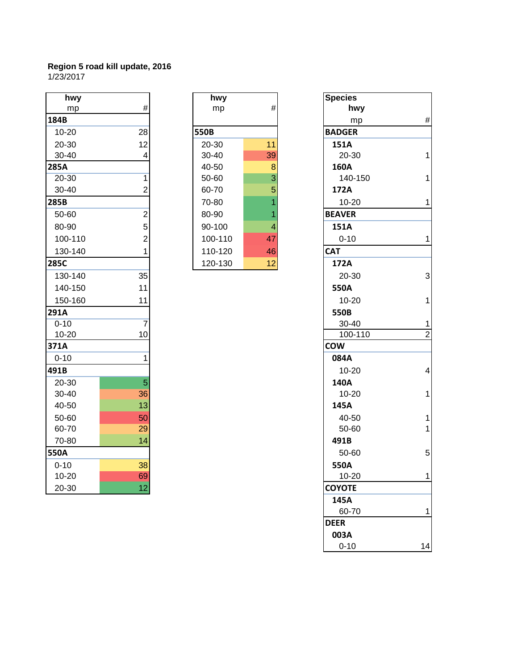| hwy       |                 | hwy     |                          | <b>Species</b> |
|-----------|-----------------|---------|--------------------------|----------------|
| mp        | $\#$            | mp      | $\#$                     | hw             |
| 184B      |                 |         |                          | m              |
| $10 - 20$ | 28              | 550B    |                          | <b>BADGER</b>  |
| 20-30     | 12              | 20-30   | 11                       | 151A           |
| 30-40     | $\overline{4}$  | 30-40   | 39                       | $20 - 30$      |
| 285A      |                 | 40-50   | 8                        | 160A           |
| 20-30     | 1               | 50-60   | $\overline{3}$           | $140 -$        |
| 30-40     | $\overline{2}$  | 60-70   | 5                        | 172A           |
| 285B      |                 | 70-80   | 1                        | $10 - 20$      |
| 50-60     | $\overline{2}$  | 80-90   | 1                        | <b>BEAVER</b>  |
| 80-90     | 5 <sup>1</sup>  | 90-100  | $\overline{\mathcal{A}}$ | 151A           |
| 100-110   | $\overline{2}$  | 100-110 | 47                       | $0 - 10$       |
| 130-140   | $\mathbf{1}$    | 110-120 | 46                       | <b>CAT</b>     |
| 285C      |                 | 120-130 | 12                       | 172A           |
| 130-140   | 35              |         |                          | $20 - 30$      |
| 140-150   | 11              |         |                          | 550A           |
| 150-160   | 11              |         |                          | $10 - 20$      |
| 291A      |                 |         |                          | 550B           |
| $0 - 10$  | $\overline{7}$  |         |                          | $30 - 40$      |
| $10 - 20$ | 10 <sup>1</sup> |         |                          | $100 - 7$      |
| 371A      |                 |         |                          | <b>COW</b>     |
| $0 - 10$  | 1               |         |                          | 084A           |
| 491B      |                 |         |                          | $10-20$        |
| 20-30     | $\overline{5}$  |         |                          | 140A           |
| 30-40     | 36              |         |                          | $10 - 20$      |
| 40-50     | 13              |         |                          | 145A           |
| 50-60     | 50              |         |                          | $40 - 50$      |
| 60-70     | 29              |         |                          | $50 - 60$      |
| 70-80     | 14              |         |                          | 491B           |
| 550A      |                 |         |                          | $50 - 60$      |
| $0 - 10$  | 38              |         |                          | 550A           |
| 10-20     | 69              |         |                          | $10 - 20$      |
| 20-30     | 12              |         |                          | <b>COYOTE</b>  |

| hwy       |    | hwy       |    | <b>Species</b> |
|-----------|----|-----------|----|----------------|
| mp        | #  | mp        | #  | hwy            |
|           |    |           |    | mp             |
| -20       | 28 | 550B      |    | <b>BADGER</b>  |
| -30       | 12 | 20-30     | 11 | 151A           |
| -40       | 4  | $30 - 40$ | 39 | 20-30          |
|           |    | 40-50     | 8  | 160A           |
| -30       |    | 50-60     | 3  | 140-15         |
| -40       | 2  | 60-70     | 5  | 172A           |
|           |    | 70-80     |    | 10-20          |
| $-60$     | 2  | 80-90     |    | <b>BEAVER</b>  |
| -90       | 5  | 90-100    | 4  | 151A           |
| $0 - 110$ | 2  | 100-110   | 47 | $0 - 10$       |
| 0-140     |    | 110-120   | 46 | <b>CAT</b>     |
|           |    | 120-130   | 12 | 172A           |

| hwy      |                | hwy     |                | <b>Species</b> |
|----------|----------------|---------|----------------|----------------|
| mp       | $\#$           | mp      | $\#$           | hwy            |
| 184B     |                |         |                | mp             |
| 10-20    | 28             | 550B    |                | <b>BADGER</b>  |
| 20-30    | 12             | 20-30   | 11             | 151A           |
| 30-40    | 4              | 30-40   | 39             | 20-30          |
| 285A     |                | 40-50   | $\bf 8$        | 160A           |
| 20-30    | 1              | 50-60   | $\overline{3}$ | 140-150        |
| 30-40    | $\overline{c}$ | 60-70   | 5              | 172A           |
| 285B     |                | 70-80   |                | $10 - 20$      |
| 50-60    | $\overline{2}$ | 80-90   |                | <b>BEAVER</b>  |
| 80-90    | 5              | 90-100  | 4              | 151A           |
| 100-110  | $\overline{c}$ | 100-110 | 47             | $0 - 10$       |
| 130-140  | 1              | 110-120 | 46             | <b>CAT</b>     |
| 285C     |                | 120-130 | 12             | 172A           |
| 130-140  | 35             |         |                | 20-30          |
| 140-150  | 11             |         |                | 550A           |
| 150-160  | 11             |         |                | 10-20          |
| 291A     |                |         |                | 550B           |
| $0 - 10$ | $\overline{7}$ |         |                | 30-40          |
| 10-20    | 10             |         |                | 100-110        |
| 371A     |                |         |                | <b>COW</b>     |
| $0 - 10$ | 1              |         |                | 084A           |
| 491B     |                |         |                | 10-20          |
| 20-30    | 5              |         |                | 140A           |
| 30-40    | 36             |         |                | 10-20          |
| 40-50    | 13             |         |                | 145A           |
| 50-60    | 50             |         |                | 40-50          |
| 60-70    | 29             |         |                | 50-60          |
| 70-80    | 14             |         |                | 491B           |
| 550A     |                |         |                | 50-60          |
| $0 - 10$ | 38             |         |                | 550A           |
| 10-20    | 69             |         |                | $10 - 20$      |
| 20-30    | 12             |         |                | <b>COYOTE</b>  |
|          |                |         |                | 145A           |
|          |                |         |                | 60-70          |
|          |                |         |                | <b>DEER</b>    |
|          |                |         |                | 003A           |
|          |                |         |                | $0 - 10$       |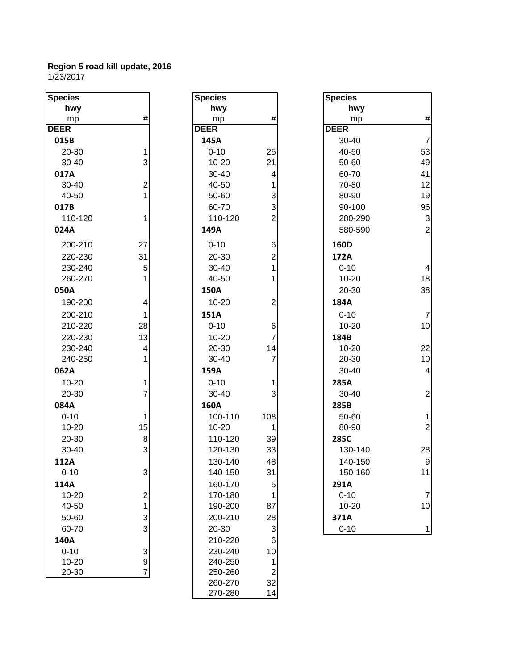| <b>Species</b> |                | <b>Species</b> |                | <b>Species</b> |
|----------------|----------------|----------------|----------------|----------------|
| hwy            |                | hwy            |                | h۷             |
| mp             | #              | mp             | #              | m              |
| <b>DEER</b>    |                | <b>DEER</b>    |                | <b>DEER</b>    |
| 015B           |                | 145A           |                | $30 - 4$       |
| 20-30          | 1              | $0 - 10$       | 25             | $40 - 5$       |
| 30-40          | 3              | $10 - 20$      | 21             | $50 - 6$       |
| 017A           |                | 30-40          | 4              | 60-7           |
| 30-40          | $\overline{2}$ | 40-50          | 1              | $70-8$         |
| 40-50          | $\overline{1}$ | 50-60          | 3              | 80-9           |
| 017B           |                | 60-70          | 3              | $90-1$         |
| 110-120        | 1              | 110-120        | $\overline{2}$ | 280-           |
| 024A           |                | 149A           |                | 580-           |
| 200-210        | 27             | $0 - 10$       | 6              | 160D           |
| 220-230        | 31             | 20-30          | $\overline{2}$ | 172A           |
| 230-240        | 5              | 30-40          | 1              | $0 - 10$       |
| 260-270        | 1              | 40-50          | 1              | $10 - 2$       |
| 050A           |                | 150A           |                | $20 - 3$       |
| 190-200        | 4              | $10 - 20$      | $\overline{c}$ | 184A           |
| 200-210        | 1              | 151A           |                | $0 - 10$       |
| 210-220        | 28             | $0 - 10$       | 6              | $10 - 2$       |
| 220-230        | 13             | $10 - 20$      | $\overline{7}$ | 184B           |
| 230-240        | 4              | 20-30          | 14             | $10 - 2$       |
| 240-250        | 1              | 30-40          | $\overline{7}$ | $20 - 3$       |
| 062A           |                | 159A           |                | $30 - 4$       |
| $10 - 20$      | 1              | $0 - 10$       | 1              | 285A           |
| 20-30          | $\overline{7}$ | 30-40          | 3              | $30 - 4$       |
| 084A           |                | 160A           |                | 285B           |
| $0 - 10$       | 1              | 100-110        | 108            | $50 - 6$       |
| $10 - 20$      | 15             | 10-20          | 1              | 80-9           |
| 20-30          | 8              | 110-120        | 39             | 285C           |
| 30-40          | 3              | 120-130        | 33             | 130-           |
| 112A           |                | 130-140        | 48             | 140-           |
| $0 - 10$       | 3              | 140-150        | 31             | 150-           |
| 114A           |                | 160-170        | 5              | 291A           |
| $10 - 20$      | $\overline{c}$ | 170-180        | 1              | $0 - 10$       |
| 40-50          | 1              | 190-200        | 87             | $10 - 2$       |
| 50-60          | 3              | 200-210        | 28             | 371A           |
| 60-70          | 3              | 20-30          | 3              | $0 - 10$       |
| 140A           |                | 210-220        | 6              |                |
| $0 - 10$       | 3              | 230-240        | 10             |                |
| $10 - 20$      | 9              | 240-250        | 1              |                |
| 20-30          | 7              | 250-260        | $\overline{c}$ |                |
|                |                | חדר חפר        | າາ             |                |

| <b>cies</b> |                | <b>Species</b> |                | <b>Species</b> |
|-------------|----------------|----------------|----------------|----------------|
| hwy         |                | hwy            |                | hwy            |
| mp          | $\#$           | mp             | #              | mp             |
| R           |                | <b>DEER</b>    |                | <b>DEER</b>    |
| 5В          |                | 145A           |                | 30-40          |
| $20 - 30$   | $\mathbf{1}$   | $0 - 10$       | 25             | 40-50          |
| $0 - 40$    | 3              | $10 - 20$      | 21             | 50-60          |
| 7Α          |                | 30-40          | 4              | 60-70          |
| $0 - 40$    | $\overline{2}$ | 40-50          | 1              | 70-80          |
| $0 - 50$    | $\mathbf{1}$   | 50-60          | 3              | 80-90          |
| 7В          |                | 60-70          | 3              | 90-100         |
| 10-120      | $\mathbf 1$    | 110-120        | $\overline{2}$ | 280-29         |
| 4А          |                | 149A           |                | 580-59         |
| 00-210      | 27             | $0 - 10$       | 6              | 160D           |
| 20-230      | 31             | 20-30          | $\overline{2}$ | 172A           |
| 30-240      | 5              | 30-40          | $\mathbf{1}$   | $0 - 10$       |
| 60-270      | $\mathbf{1}$   | 40-50          | 1              | $10 - 20$      |
| ΟА          |                | 150A           |                | 20-30          |
| 90-200      | 4              | 10-20          | 2              | 184A           |
| $200 - 210$ | $\mathbf{1}$   | 151A           |                | $0 - 10$       |
| 10-220      | 28             | $0 - 10$       | 6              | 10-20          |
| 20-230      | 13             | $10 - 20$      | $\overline{7}$ | 184B           |
| 30-240      | 4              | 20-30          | 14             | $10 - 20$      |
| 40-250      | $\mathbf{1}$   | 30-40          | $\overline{7}$ | 20-30          |
| 2A          |                | 159A           |                | 30-40          |
| $0 - 20$    | 1              | $0 - 10$       | 1              | 285A           |
| $20 - 30$   | $\overline{7}$ | 30-40          | 3              | 30-40          |
| 4Α          |                | 160A           |                | 285B           |
| $-10$       | 1              | 100-110        | 108            | 50-60          |
| $0 - 20$    | 15             | 10-20          | 1              | 80-90          |
| $20 - 30$   | 8              | 110-120        | 39             | 285C           |
| $0 - 40$    | 3              | 120-130        | 33             | 130-14         |
| 2A          |                | 130-140        | 48             | 140-15         |
| $-10$       | 3              | 140-150        | 31             | 150-16         |
| 4Α          |                | 160-170        | 5              | 291A           |
| $0 - 20$    | $\overline{c}$ | 170-180        | 1              | $0 - 10$       |
| $-50$       | $\mathbf{1}$   | 190-200        | 87             | 10-20          |
| $0 - 60$    | 3              | 200-210        | 28             | 371A           |
| $0-70$      | 3              | 20-30          | 3              | $0 - 10$       |
| 0A          |                | 210-220        | 6              |                |
| $-10$       | 3              | 230-240        | 10             |                |
| $0 - 20$    | 9              | 240-250        | 1              |                |
| $20 - 30$   | $\overline{7}$ | 250-260        | $\overline{2}$ |                |
|             |                | 260-270        | 32             |                |
|             |                | 270-280        | 14             |                |

| pecies         |                           | <b>Species</b>    |                                | <b>Species</b>    |                |
|----------------|---------------------------|-------------------|--------------------------------|-------------------|----------------|
| hwy            |                           | hwy               |                                | hwy               |                |
| mp<br>EER      | $\#$                      | mp<br><b>DEER</b> | $\#$                           | mp<br><b>DEER</b> | $\#$           |
|                |                           |                   |                                |                   |                |
| 015B           |                           | 145A              |                                | 30-40             | $\overline{7}$ |
| 20-30          | 1<br>3                    | $0 - 10$          | 25<br>21                       | 40-50             | 53<br>49       |
| 30-40          |                           | 10-20             |                                | 50-60             |                |
| 017A           |                           | 30-40             | 4                              | 60-70             | 41             |
| 30-40<br>40-50 | $\overline{2}$<br>1       | 40-50<br>50-60    | 1<br>$\ensuremath{\mathsf{3}}$ | 70-80<br>80-90    | 12<br>19       |
| 017B           |                           | 60-70             | 3                              | 90-100            | 96             |
| 110-120        |                           | 110-120           | $\overline{2}$                 |                   | 3              |
|                | 1                         |                   |                                | 280-290           |                |
| 024A           |                           | 149A              |                                | 580-590           | $\overline{2}$ |
| 200-210        | 27                        | $0 - 10$          | 6                              | 160D              |                |
| 220-230        | 31                        | 20-30             | $\overline{2}$                 | 172A              |                |
| 230-240        | 5                         | 30-40             |                                | $0 - 10$          | $\overline{4}$ |
| 260-270        | 1                         | 40-50             |                                | 10-20             | 18             |
| 050A           |                           | 150A              |                                | 20-30             | 38             |
| 190-200        | 4                         | $10 - 20$         | $\overline{2}$                 | 184A              |                |
| 200-210        | 1                         | 151A              |                                | $0 - 10$          | $\overline{7}$ |
| 210-220        | 28                        | $0 - 10$          | $\,6$                          | 10-20             | 10             |
| 220-230        | 13                        | $10 - 20$         | $\overline{7}$                 | 184B              |                |
| 230-240        | $\overline{\mathcal{A}}$  | 20-30             | 14                             | 10-20             | 22             |
| 240-250        | 1                         | 30-40             | $\overline{7}$                 | 20-30             | 10             |
| 062A           |                           | 159A              |                                | 30-40             | $\overline{4}$ |
| $10 - 20$      | 1                         | $0 - 10$          | 1                              | 285A              |                |
| 20-30          | $\overline{7}$            | 30-40             | 3                              | 30-40             | $\overline{2}$ |
| 084A           |                           | 160A              |                                | 285B              |                |
| $0 - 10$       | 1                         | 100-110           | 108                            | 50-60             | $\mathbf 1$    |
| 10-20          | 15                        | $10 - 20$         | 1                              | 80-90             | $\overline{2}$ |
| 20-30          | $\bf 8$                   | 110-120           | 39                             | 285C              |                |
| 30-40          | $\mathbf{3}$              | 120-130           | 33                             | 130-140           | 28             |
| 112A           |                           | 130-140           | 48                             | 140-150           | 9              |
| $0 - 10$       | 3                         | 140-150           | 31                             | 150-160           | 11             |
| 114A           |                           | 160-170           | 5                              | 291A              |                |
| 10-20          | $\boldsymbol{2}$          | 170-180           | 1                              | $0 - 10$          | $\overline{7}$ |
| 40-50          | 1                         | 190-200           | 87                             | 10-20             | 10             |
| 50-60          | $\ensuremath{\mathsf{3}}$ | 200-210           | 28                             | 371A              |                |
| 60-70          | $\mathbf{3}$              | 20-30             | $\mathbf{3}$                   | $0 - 10$          | 1              |
|                |                           |                   |                                |                   |                |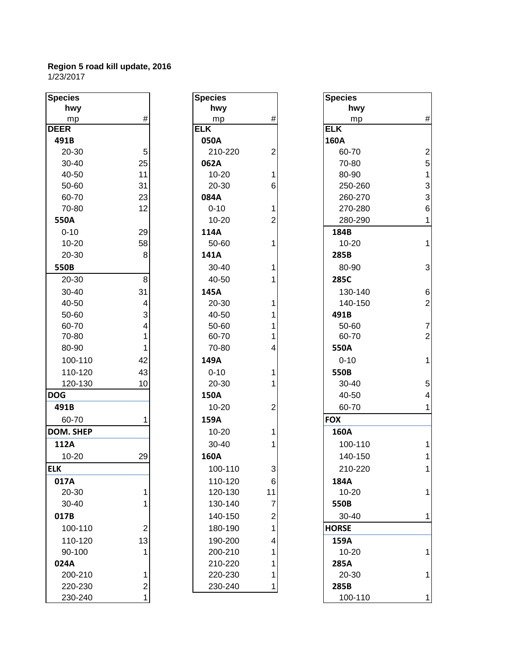| <b>Species</b>    |                | <b>Species</b>     |                         | <b>Species</b>  |                 |
|-------------------|----------------|--------------------|-------------------------|-----------------|-----------------|
| hwy               |                | hwy                |                         | hwy             |                 |
| mp                | $\#$           | mp                 | $\#$                    | mp              | #               |
| <b>DEER</b>       |                | <b>ELK</b>         |                         | <b>ELK</b>      |                 |
| 491B              |                | 050A               |                         | 160A            |                 |
| 20-30             | 5              | 210-220            | $\overline{2}$          | 60-70           | $\overline{a}$  |
| 30-40             | 25             | 062A               |                         | 70-80           | 5               |
| 40-50             | 11             | $10 - 20$          | 1                       | 80-90           | $\overline{1}$  |
| 50-60             | 31             | 20-30              | 6                       | 250-260         | 3               |
| 60-70             | 23             | 084A               |                         | 260-270         | 3               |
| 70-80             | 12             | $0 - 10$           | 1                       | 270-280         | $6\phantom{1}6$ |
| 550A              |                | $10 - 20$          | $\overline{\mathbf{c}}$ | 280-290         | 1               |
| $0 - 10$          | 29             | 114A               |                         | 184B            |                 |
| $10 - 20$         | 58             | 50-60              | 1                       | 10-20           | 1               |
| 20-30             | 8              | 141A               |                         | 285B            |                 |
| 550B              |                | 30-40              | 1                       | 80-90           | 3               |
| 20-30             | $\bf{8}$       | 40-50              | 1                       | 285C            |                 |
| 30-40             | 31             | 145A               |                         | 130-140         | 6               |
| 40-50             | 4              | 20-30              | 1                       | 140-150         | $\overline{2}$  |
| 50-60             | 3              | 40-50              | 1                       | 491B            |                 |
| 60-70             | 4              | 50-60              | 1                       | 50-60           | $\overline{7}$  |
| 70-80             | 1              | 60-70              | 1                       | 60-70           | $\overline{2}$  |
| 80-90             | 1              | 70-80              | 4                       | 550A            |                 |
| 100-110           | 42             | 149A               |                         | $0 - 10$        | $\mathbf 1$     |
| 110-120           | 43             | $0 - 10$           | 1                       | 550B            |                 |
| 120-130           | 10             | 20-30              | 1                       | 30-40           | 5               |
| <b>DOG</b>        |                | 150A               |                         | 40-50           | 4               |
| 491B              |                | $10 - 20$          | $\overline{2}$          | 60-70           | 1               |
| 60-70             | 1              | 159A               |                         | <b>FOX</b>      |                 |
| <b>DOM. SHEP</b>  |                | $10 - 20$          | 1                       | 160A            |                 |
| 112A              |                | 30-40              | 1                       | 100-110         |                 |
| 10-20             | 29             | 160A               |                         | 140-150         | 1               |
| <b>ELK</b>        |                | 100-110            | $\overline{3}$          | 210-220         | 1               |
| 017A              |                | 110-120            | 6                       | 184A            |                 |
| 20-30             | 1              | 120-130            | 11                      | 10-20           | 1               |
| $30 - 40$         | 1              | 130-140            | $\overline{7}$          | 550B            |                 |
| 017B              |                | 140-150            | $\overline{\mathbf{c}}$ | 30-40           | 1               |
| 100-110           | $\overline{2}$ | 180-190            | 1                       | <b>HORSE</b>    |                 |
|                   |                |                    |                         | 159A            |                 |
| 110-120<br>90-100 | 13<br>1        | 190-200<br>200-210 | 4<br>1                  | 10-20           | 1               |
| 024A              |                | 210-220            | 1                       | 285A            |                 |
| 200-210           | 1              | 220-230            | 1                       | 20-30           | 1               |
| 220-230           |                | 230-240            |                         |                 |                 |
| ono oro           | $\mathbf{2}$   |                    | 1                       | 285B<br>100.110 |                 |

| <b>Species</b>     |                                            |
|--------------------|--------------------------------------------|
| hwy                |                                            |
| mp                 | #                                          |
| ĒLK                |                                            |
| 050A               |                                            |
| 210-220            | $\overline{c}$                             |
| 062A               |                                            |
| 10-20              | $\frac{1}{6}$                              |
| 20-30              |                                            |
| 084A               |                                            |
| $0 - 10$           | $\frac{1}{2}$                              |
| 10-20              |                                            |
| 114A               |                                            |
| 50-60              | $\overline{1}$                             |
| 141A               |                                            |
| 30-40              | 1                                          |
| 40-50              | 1                                          |
| 145A               |                                            |
| 20-30              | 1                                          |
| 40-50              | 1                                          |
| 50-60              | 1                                          |
| 60-70              | $\overline{\mathbf{1}}$                    |
| 70-80              | $\overline{4}$                             |
| 149A               |                                            |
| $0 - 10$           | 1                                          |
| 20-30              | $\overline{\mathbf{1}}$                    |
| 150A               |                                            |
| 10-20              | $\overline{c}$                             |
| 159A               |                                            |
| 10-20              | 1                                          |
| 30-40              | $\overline{1}$                             |
| 160A               |                                            |
| 100-110            | З                                          |
| 110-120            | 6                                          |
| 120-130            | 11                                         |
| 130-140            |                                            |
| 140-150            | $\begin{array}{c} 7 \\ 2 \\ 1 \end{array}$ |
| 180-190            |                                            |
|                    | 4                                          |
| 190-200<br>200-210 |                                            |
|                    | $\begin{array}{c} 1 \\ 1 \end{array}$      |
| 210-220<br>220-230 | 1                                          |
|                    | 1                                          |
| 230-240            |                                            |

| pecies    |                | <b>Species</b> |                | <b>Species</b> |                 |
|-----------|----------------|----------------|----------------|----------------|-----------------|
| hwy       |                | hwy            |                | hwy            |                 |
| mp        | $\#$           | mp             | $\#$           | mp             | #               |
| EER       |                | <b>ELK</b>     |                | <b>ELK</b>     |                 |
| 491B      |                | 050A           |                | 160A           |                 |
| 20-30     | 5              | 210-220        | $\overline{2}$ | 60-70          | $\overline{2}$  |
| 30-40     | 25             | 062A           |                | 70-80          | 5               |
| 40-50     | 11             | $10 - 20$      | 1              | 80-90          | $\mathbf{1}$    |
| 50-60     | 31             | 20-30          | 6              | 250-260        | 3               |
| 60-70     | 23             | 084A           |                | 260-270        | 3               |
| 70-80     | 12             | $0 - 10$       | 1              | 270-280        | $6\phantom{1}6$ |
| 550A      |                | $10 - 20$      | $\overline{2}$ | 280-290        | $\mathbf{1}$    |
| $0 - 10$  | 29             | 114A           |                | 184B           |                 |
| $10 - 20$ | 58             | 50-60          |                | 10-20          | 1               |
| 20-30     | 8              | 141A           |                | 285B           |                 |
| 550B      |                | 30-40          |                | 80-90          | 3               |
| 20-30     | 8              | 40-50          |                | 285C           |                 |
| $30 - 40$ | 31             | 145A           |                | 130-140        | 6               |
| 40-50     | 4              | 20-30          |                | 140-150        | $\overline{2}$  |
| 50-60     | 3              | 40-50          |                | 491B           |                 |
| 60-70     | 4              | 50-60          |                | 50-60          | $\overline{7}$  |
| 70-80     | 1              | 60-70          |                | 60-70          | $\overline{c}$  |
| 80-90     | 1              | 70-80          | 4              | 550A           |                 |
| 100-110   | 42             | 149A           |                | $0 - 10$       | $\mathbf 1$     |
| 110-120   | 43             | $0 - 10$       |                | 550B           |                 |
| 120-130   | 10             | 20-30          |                | 30-40          | 5               |
| ОG        |                | 150A           |                | 40-50          | $\overline{4}$  |
| 491B      |                | $10 - 20$      | $\overline{2}$ | 60-70          | 1               |
| 60-70     |                | 159A           |                | <b>FOX</b>     |                 |
| OM. SHEP  |                | $10 - 20$      |                | 160A           |                 |
| 112A      |                | $30 - 40$      |                | 100-110        |                 |
| $10 - 20$ | 29             | 160A           |                | 140-150        | 1               |
| K.        |                | 100-110        | $\overline{3}$ | 210-220        | 1               |
| 017A      |                | 110-120        | 6              | 184A           |                 |
| 20-30     | 1              | 120-130        | 11             | 10-20          | 1               |
| 30-40     | 1              | 130-140        | 7              | 550B           |                 |
| 017B      |                | 140-150        | $\overline{c}$ | 30-40          | 1               |
| 100-110   | $\overline{2}$ | 180-190        |                | <b>HORSE</b>   |                 |
| 110-120   | 13             | 190-200        | 4              | 159A           |                 |
| 90-100    |                | 200-210        |                | 10-20          | 1               |
| 024A      |                | 210-220        |                | 285A           |                 |
| 200-210   | 1              | 220-230        |                | 20-30          | 1               |
| 220-230   | $\mathbf{2}$   | 230-240        | 1              | 285B           |                 |
| 230-240   | 1              |                |                | 100-110        | 1               |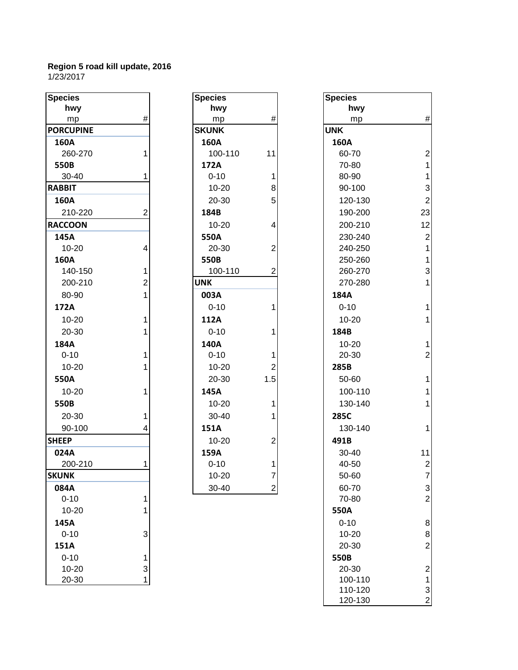| <b>Species</b>   |                | <b>Species</b> |                         | <b>Species</b> |                         |
|------------------|----------------|----------------|-------------------------|----------------|-------------------------|
| hwy              |                | hwy            |                         | hwy            |                         |
| mp               | $\#$           | mp             | #                       | mp             | #                       |
| <b>PORCUPINE</b> |                | <b>SKUNK</b>   |                         | <b>UNK</b>     |                         |
| 160A             |                | 160A           |                         | 160A           |                         |
| 260-270          | 1              | 100-110        | 11                      | 60-70          | $\overline{2}$          |
| 550B             |                | 172A           |                         | 70-80          | $\mathbf 1$             |
| 30-40            | 1              | $0 - 10$       | 1                       | 80-90          | $\mathbf{1}$            |
| <b>RABBIT</b>    |                | $10 - 20$      | 8                       | 90-100         | 3                       |
| 160A             |                | 20-30          | 5                       | 120-130        | $\overline{2}$          |
| 210-220          | $\overline{2}$ | 184B           |                         | 190-200        | 23                      |
| <b>RACCOON</b>   |                | $10 - 20$      | 4                       | 200-210        | 12                      |
| 145A             |                | 550A           |                         | 230-240        | $\overline{2}$          |
| $10 - 20$        | 4              | 20-30          | $\overline{2}$          | 240-250        | $\overline{1}$          |
| 160A             |                | 550B           |                         | 250-260        | $\mathbf{1}$            |
| 140-150          | 1              | 100-110        | $\overline{c}$          | 260-270        | 3                       |
| 200-210          | $\overline{c}$ | <b>UNK</b>     |                         | 270-280        | $\overline{\mathbf{1}}$ |
| 80-90            | 1              | 003A           |                         | 184A           |                         |
| 172A             |                | $0 - 10$       | 1                       | $0 - 10$       | $\overline{\mathbf{1}}$ |
| $10 - 20$        | 1              | 112A           |                         | 10-20          | $\mathbf 1$             |
| 20-30            | 1              | $0 - 10$       | 1                       | 184B           |                         |
| 184A             |                | 140A           |                         | $10 - 20$      | $\overline{1}$          |
| $0 - 10$         | 1              | $0 - 10$       | 1                       | 20-30          | $\overline{c}$          |
| $10 - 20$        |                | $10 - 20$      | $\overline{2}$          | 285B           |                         |
| 550A             |                | 20-30          | 1.5                     | 50-60          | $\overline{\mathbf{1}}$ |
| $10 - 20$        | 1              | 145A           |                         | 100-110        | $\overline{1}$          |
| 550B             |                | $10 - 20$      | 1                       | 130-140        | $\mathbf{1}$            |
| 20-30            | 1              | 30-40          | 1                       | 285C           |                         |
| 90-100           | 4              | 151A           |                         | 130-140        | 1                       |
| <b>SHEEP</b>     |                | $10 - 20$      | $\overline{\mathbf{c}}$ | 491B           |                         |
| 024A             |                | 159A           |                         | 30-40          | 11                      |
| 200-210          | 1              | $0 - 10$       | 1                       | 40-50          | $\overline{2}$          |
| <b>SKUNK</b>     |                | $10 - 20$      | 7                       | 50-60          | $\overline{7}$          |
| 084A             |                | 30-40          | $\mathbf{2}$            | 60-70          | 3                       |
| $0 - 10$         | 1              |                |                         | 70-80          | $\overline{2}$          |
| $10 - 20$        | 1              |                |                         | 550A           |                         |
| 145A             |                |                |                         | $0 - 10$       | 8                       |
| $0 - 10$         | 3              |                |                         | $10 - 20$      | 8                       |
| 151A             |                |                |                         | 20-30          | $\overline{c}$          |
| $0 - 10$         | $\mathbf{1}$   |                |                         | 550B           |                         |
| $10 - 20$        | 3              |                |                         | 20-30          | $\overline{a}$          |
| 20-30            | $\mathbf{1}$   |                |                         | 100-110        | 1                       |

| $\overline{\text{ries}}$ |                | <b>Species</b> |                         | <b>Species</b> |
|--------------------------|----------------|----------------|-------------------------|----------------|
| hwy                      |                | hwy            |                         | hwy            |
| mp                       | $\#$           | mp             | #                       | mp             |
| <b>CUPINE</b>            |                | <b>SKUNK</b>   |                         | <b>UNK</b>     |
| 0A                       |                | 160A           |                         | 160A           |
| 60-270                   | 1              | 100-110        | 11                      | 60-70          |
| OВ                       |                | 172A           |                         | 70-80          |
| $0 - 40$                 | 1              | $0 - 10$       | 1                       | 80-90          |
| BIT                      |                | $10 - 20$      | 8                       | 90-100         |
| 0A                       |                | 20-30          | 5                       | 120-13         |
| 10-220                   | $\overline{2}$ | 184B           |                         | 190-20         |
| COON                     |                | $10 - 20$      | 4                       | 200-21         |
| 5Α                       |                | 550A           |                         | 230-24         |
| $0 - 20$                 | $\overline{4}$ | 20-30          | $\overline{c}$          | 240-25         |
| 0A                       |                | 550B           |                         | 250-26         |
| 40-150                   | 1              | 100-110        | $\overline{2}$          | 260-27         |
| $200 - 210$              | $\overline{2}$ | <b>UNK</b>     |                         | 270-28         |
| $0-90$                   | $\overline{1}$ | 003A           |                         | 184A           |
| 2A                       |                | $0 - 10$       | $\mathbf{1}$            | $0 - 10$       |
| $0 - 20$                 | 1              | 112A           |                         | $10 - 20$      |
| $20 - 30$                | 1              | $0 - 10$       | 1                       | 184B           |
| 4Α                       |                | 140A           |                         | $10 - 20$      |
| $-10$                    | 1              | $0 - 10$       | 1                       | 20-30          |
| $0 - 20$                 | 1              | $10 - 20$      | $\overline{2}$          | 285B           |
| ΟА                       |                | 20-30          | 1.5                     | 50-60          |
| $0 - 20$                 | 1              | 145A           |                         | 100-11         |
| OВ                       |                | $10 - 20$      | $\mathbf{1}$            | 130-14         |
| $20 - 30$                | 1              | $30 - 40$      | 1                       | 285C           |
| $0 - 100$                | 4              | 151A           |                         | 130-14         |
| P:                       |                | $10 - 20$      | 2                       | 491B           |
| 4Α                       |                | 159A           |                         | 30-40          |
| 00-210                   | 1              | $0 - 10$       | 1                       | 40-50          |
| NК                       |                | 10-20          | 7                       | 50-60          |
| 4А                       |                | 30-40          | $\overline{\mathbf{c}}$ | 60-70          |
|                          |                |                |                         |                |

| hwy<br>hwy<br>hwy<br>$\#$<br>$\#$<br>mp<br>mp<br>mp<br><b>SKUNK</b><br><b>UNK</b><br>160A<br>160A<br>260-270<br>100-110<br>11<br>60-70<br>172A<br>70-80<br>$0 - 10$<br>1<br>80-90<br>$10 - 20$<br>90-100<br>8<br>5<br>20-30<br>120-130<br>210-220<br>$\overline{2}$<br>184B<br>190-200<br>$10 - 20$<br>200-210<br>4<br>230-240<br>550A<br>$\overline{2}$<br>10-20<br>4<br>20-30<br>240-250<br>550B<br>250-260<br>140-150<br>100-110<br>$\overline{2}$<br>260-270<br>1<br>200-210<br>$\overline{2}$<br><b>UNK</b><br>270-280<br>80-90<br>184A<br>1<br>003A<br>$0 - 10$<br>1<br>$0 - 10$<br>$\mathbf{1}$<br>$10 - 20$<br>112A<br>$10 - 20$<br>20-30<br>$0 - 10$<br>184B<br>1<br>$\mathbf{1}$<br>140A<br>$10 - 20$<br>184A<br>$\mathbf 2$<br>$0 - 10$<br>$0 - 10$<br>20-30<br>10-20<br>$10 - 20$<br>$\overline{2}$<br>285B<br>$\mathbf{1}$<br>1.5<br>20-30<br>50-60<br>550A<br>$\mathbf{1}$<br>145A<br>100-110<br>$10 - 20$<br>$\mathbf{1}$<br>$10 - 20$<br>130-140<br>550B<br>1<br>20-30<br>30-40<br>285C<br>90-100<br>151A<br>130-140<br>$\mathbf{1}$<br>$\overline{c}$<br>$10 - 20$<br>491B<br><b>HEEP</b><br>159A<br>11<br>024A<br>$30 - 40$<br>$\boldsymbol{2}$<br>200-210<br>$0 - 10$<br>40-50<br>1<br>1<br>$\overline{7}$<br>$10 - 20$<br><b>CUNK</b><br>7<br>50-60<br>30-40<br>3<br>$\mathbf{2}$<br>60-70<br>084A<br>$\overline{c}$<br>$0 - 10$<br>70-80<br>1<br>550A<br>$10 - 20$<br>8<br>$0 - 10$<br>145A<br>$0 - 10$<br>3<br>10-20<br>8<br>$\overline{c}$<br>20-30<br>151A<br>$0 - 10$<br>550B<br>1<br>$\overline{c}$<br>$10 - 20$<br>3<br>20-30<br>1<br>20-30<br>100-110<br>1<br>3<br>110-120<br>$\boldsymbol{2}$<br>120-130 | pecies          | <b>Species</b> | <b>Species</b> |                |
|---------------------------------------------------------------------------------------------------------------------------------------------------------------------------------------------------------------------------------------------------------------------------------------------------------------------------------------------------------------------------------------------------------------------------------------------------------------------------------------------------------------------------------------------------------------------------------------------------------------------------------------------------------------------------------------------------------------------------------------------------------------------------------------------------------------------------------------------------------------------------------------------------------------------------------------------------------------------------------------------------------------------------------------------------------------------------------------------------------------------------------------------------------------------------------------------------------------------------------------------------------------------------------------------------------------------------------------------------------------------------------------------------------------------------------------------------------------------------------------------------------------------------------------------------------------------------------------------------------------------------------------|-----------------|----------------|----------------|----------------|
|                                                                                                                                                                                                                                                                                                                                                                                                                                                                                                                                                                                                                                                                                                                                                                                                                                                                                                                                                                                                                                                                                                                                                                                                                                                                                                                                                                                                                                                                                                                                                                                                                                       |                 |                |                |                |
|                                                                                                                                                                                                                                                                                                                                                                                                                                                                                                                                                                                                                                                                                                                                                                                                                                                                                                                                                                                                                                                                                                                                                                                                                                                                                                                                                                                                                                                                                                                                                                                                                                       |                 |                |                | $\#$           |
|                                                                                                                                                                                                                                                                                                                                                                                                                                                                                                                                                                                                                                                                                                                                                                                                                                                                                                                                                                                                                                                                                                                                                                                                                                                                                                                                                                                                                                                                                                                                                                                                                                       | <b>ORCUPINE</b> |                |                |                |
|                                                                                                                                                                                                                                                                                                                                                                                                                                                                                                                                                                                                                                                                                                                                                                                                                                                                                                                                                                                                                                                                                                                                                                                                                                                                                                                                                                                                                                                                                                                                                                                                                                       | 160A            |                |                |                |
|                                                                                                                                                                                                                                                                                                                                                                                                                                                                                                                                                                                                                                                                                                                                                                                                                                                                                                                                                                                                                                                                                                                                                                                                                                                                                                                                                                                                                                                                                                                                                                                                                                       |                 |                |                | $\overline{2}$ |
|                                                                                                                                                                                                                                                                                                                                                                                                                                                                                                                                                                                                                                                                                                                                                                                                                                                                                                                                                                                                                                                                                                                                                                                                                                                                                                                                                                                                                                                                                                                                                                                                                                       | 550B            |                |                | $\mathbf{1}$   |
|                                                                                                                                                                                                                                                                                                                                                                                                                                                                                                                                                                                                                                                                                                                                                                                                                                                                                                                                                                                                                                                                                                                                                                                                                                                                                                                                                                                                                                                                                                                                                                                                                                       | 30-40           |                |                | $\mathbf{1}$   |
|                                                                                                                                                                                                                                                                                                                                                                                                                                                                                                                                                                                                                                                                                                                                                                                                                                                                                                                                                                                                                                                                                                                                                                                                                                                                                                                                                                                                                                                                                                                                                                                                                                       | ABBIT           |                |                | 3              |
|                                                                                                                                                                                                                                                                                                                                                                                                                                                                                                                                                                                                                                                                                                                                                                                                                                                                                                                                                                                                                                                                                                                                                                                                                                                                                                                                                                                                                                                                                                                                                                                                                                       | 160A            |                |                | $\sqrt{2}$     |
|                                                                                                                                                                                                                                                                                                                                                                                                                                                                                                                                                                                                                                                                                                                                                                                                                                                                                                                                                                                                                                                                                                                                                                                                                                                                                                                                                                                                                                                                                                                                                                                                                                       |                 |                |                | 23             |
|                                                                                                                                                                                                                                                                                                                                                                                                                                                                                                                                                                                                                                                                                                                                                                                                                                                                                                                                                                                                                                                                                                                                                                                                                                                                                                                                                                                                                                                                                                                                                                                                                                       | <b>ACCOON</b>   |                |                | 12             |
|                                                                                                                                                                                                                                                                                                                                                                                                                                                                                                                                                                                                                                                                                                                                                                                                                                                                                                                                                                                                                                                                                                                                                                                                                                                                                                                                                                                                                                                                                                                                                                                                                                       | 145A            |                |                | $\sqrt{2}$     |
|                                                                                                                                                                                                                                                                                                                                                                                                                                                                                                                                                                                                                                                                                                                                                                                                                                                                                                                                                                                                                                                                                                                                                                                                                                                                                                                                                                                                                                                                                                                                                                                                                                       |                 |                |                | $\mathbf{1}$   |
|                                                                                                                                                                                                                                                                                                                                                                                                                                                                                                                                                                                                                                                                                                                                                                                                                                                                                                                                                                                                                                                                                                                                                                                                                                                                                                                                                                                                                                                                                                                                                                                                                                       | 160A            |                |                | $\mathbf{1}$   |
|                                                                                                                                                                                                                                                                                                                                                                                                                                                                                                                                                                                                                                                                                                                                                                                                                                                                                                                                                                                                                                                                                                                                                                                                                                                                                                                                                                                                                                                                                                                                                                                                                                       |                 |                |                | 3              |
|                                                                                                                                                                                                                                                                                                                                                                                                                                                                                                                                                                                                                                                                                                                                                                                                                                                                                                                                                                                                                                                                                                                                                                                                                                                                                                                                                                                                                                                                                                                                                                                                                                       |                 |                |                | $\mathbf{1}$   |
|                                                                                                                                                                                                                                                                                                                                                                                                                                                                                                                                                                                                                                                                                                                                                                                                                                                                                                                                                                                                                                                                                                                                                                                                                                                                                                                                                                                                                                                                                                                                                                                                                                       |                 |                |                |                |
|                                                                                                                                                                                                                                                                                                                                                                                                                                                                                                                                                                                                                                                                                                                                                                                                                                                                                                                                                                                                                                                                                                                                                                                                                                                                                                                                                                                                                                                                                                                                                                                                                                       | 172A            |                |                | $\mathbf{1}$   |
|                                                                                                                                                                                                                                                                                                                                                                                                                                                                                                                                                                                                                                                                                                                                                                                                                                                                                                                                                                                                                                                                                                                                                                                                                                                                                                                                                                                                                                                                                                                                                                                                                                       |                 |                |                |                |
|                                                                                                                                                                                                                                                                                                                                                                                                                                                                                                                                                                                                                                                                                                                                                                                                                                                                                                                                                                                                                                                                                                                                                                                                                                                                                                                                                                                                                                                                                                                                                                                                                                       |                 |                |                |                |
|                                                                                                                                                                                                                                                                                                                                                                                                                                                                                                                                                                                                                                                                                                                                                                                                                                                                                                                                                                                                                                                                                                                                                                                                                                                                                                                                                                                                                                                                                                                                                                                                                                       |                 |                |                |                |
|                                                                                                                                                                                                                                                                                                                                                                                                                                                                                                                                                                                                                                                                                                                                                                                                                                                                                                                                                                                                                                                                                                                                                                                                                                                                                                                                                                                                                                                                                                                                                                                                                                       |                 |                |                |                |
|                                                                                                                                                                                                                                                                                                                                                                                                                                                                                                                                                                                                                                                                                                                                                                                                                                                                                                                                                                                                                                                                                                                                                                                                                                                                                                                                                                                                                                                                                                                                                                                                                                       |                 |                |                |                |
|                                                                                                                                                                                                                                                                                                                                                                                                                                                                                                                                                                                                                                                                                                                                                                                                                                                                                                                                                                                                                                                                                                                                                                                                                                                                                                                                                                                                                                                                                                                                                                                                                                       |                 |                |                |                |
|                                                                                                                                                                                                                                                                                                                                                                                                                                                                                                                                                                                                                                                                                                                                                                                                                                                                                                                                                                                                                                                                                                                                                                                                                                                                                                                                                                                                                                                                                                                                                                                                                                       |                 |                |                |                |
|                                                                                                                                                                                                                                                                                                                                                                                                                                                                                                                                                                                                                                                                                                                                                                                                                                                                                                                                                                                                                                                                                                                                                                                                                                                                                                                                                                                                                                                                                                                                                                                                                                       |                 |                |                |                |
|                                                                                                                                                                                                                                                                                                                                                                                                                                                                                                                                                                                                                                                                                                                                                                                                                                                                                                                                                                                                                                                                                                                                                                                                                                                                                                                                                                                                                                                                                                                                                                                                                                       |                 |                |                |                |
|                                                                                                                                                                                                                                                                                                                                                                                                                                                                                                                                                                                                                                                                                                                                                                                                                                                                                                                                                                                                                                                                                                                                                                                                                                                                                                                                                                                                                                                                                                                                                                                                                                       |                 |                |                |                |
|                                                                                                                                                                                                                                                                                                                                                                                                                                                                                                                                                                                                                                                                                                                                                                                                                                                                                                                                                                                                                                                                                                                                                                                                                                                                                                                                                                                                                                                                                                                                                                                                                                       |                 |                |                |                |
|                                                                                                                                                                                                                                                                                                                                                                                                                                                                                                                                                                                                                                                                                                                                                                                                                                                                                                                                                                                                                                                                                                                                                                                                                                                                                                                                                                                                                                                                                                                                                                                                                                       |                 |                |                |                |
|                                                                                                                                                                                                                                                                                                                                                                                                                                                                                                                                                                                                                                                                                                                                                                                                                                                                                                                                                                                                                                                                                                                                                                                                                                                                                                                                                                                                                                                                                                                                                                                                                                       |                 |                |                |                |
|                                                                                                                                                                                                                                                                                                                                                                                                                                                                                                                                                                                                                                                                                                                                                                                                                                                                                                                                                                                                                                                                                                                                                                                                                                                                                                                                                                                                                                                                                                                                                                                                                                       |                 |                |                |                |
|                                                                                                                                                                                                                                                                                                                                                                                                                                                                                                                                                                                                                                                                                                                                                                                                                                                                                                                                                                                                                                                                                                                                                                                                                                                                                                                                                                                                                                                                                                                                                                                                                                       |                 |                |                |                |
|                                                                                                                                                                                                                                                                                                                                                                                                                                                                                                                                                                                                                                                                                                                                                                                                                                                                                                                                                                                                                                                                                                                                                                                                                                                                                                                                                                                                                                                                                                                                                                                                                                       |                 |                |                |                |
|                                                                                                                                                                                                                                                                                                                                                                                                                                                                                                                                                                                                                                                                                                                                                                                                                                                                                                                                                                                                                                                                                                                                                                                                                                                                                                                                                                                                                                                                                                                                                                                                                                       |                 |                |                |                |
|                                                                                                                                                                                                                                                                                                                                                                                                                                                                                                                                                                                                                                                                                                                                                                                                                                                                                                                                                                                                                                                                                                                                                                                                                                                                                                                                                                                                                                                                                                                                                                                                                                       |                 |                |                |                |
|                                                                                                                                                                                                                                                                                                                                                                                                                                                                                                                                                                                                                                                                                                                                                                                                                                                                                                                                                                                                                                                                                                                                                                                                                                                                                                                                                                                                                                                                                                                                                                                                                                       |                 |                |                |                |
|                                                                                                                                                                                                                                                                                                                                                                                                                                                                                                                                                                                                                                                                                                                                                                                                                                                                                                                                                                                                                                                                                                                                                                                                                                                                                                                                                                                                                                                                                                                                                                                                                                       |                 |                |                |                |
|                                                                                                                                                                                                                                                                                                                                                                                                                                                                                                                                                                                                                                                                                                                                                                                                                                                                                                                                                                                                                                                                                                                                                                                                                                                                                                                                                                                                                                                                                                                                                                                                                                       |                 |                |                |                |
|                                                                                                                                                                                                                                                                                                                                                                                                                                                                                                                                                                                                                                                                                                                                                                                                                                                                                                                                                                                                                                                                                                                                                                                                                                                                                                                                                                                                                                                                                                                                                                                                                                       |                 |                |                |                |
|                                                                                                                                                                                                                                                                                                                                                                                                                                                                                                                                                                                                                                                                                                                                                                                                                                                                                                                                                                                                                                                                                                                                                                                                                                                                                                                                                                                                                                                                                                                                                                                                                                       |                 |                |                |                |
|                                                                                                                                                                                                                                                                                                                                                                                                                                                                                                                                                                                                                                                                                                                                                                                                                                                                                                                                                                                                                                                                                                                                                                                                                                                                                                                                                                                                                                                                                                                                                                                                                                       |                 |                |                |                |
|                                                                                                                                                                                                                                                                                                                                                                                                                                                                                                                                                                                                                                                                                                                                                                                                                                                                                                                                                                                                                                                                                                                                                                                                                                                                                                                                                                                                                                                                                                                                                                                                                                       |                 |                |                |                |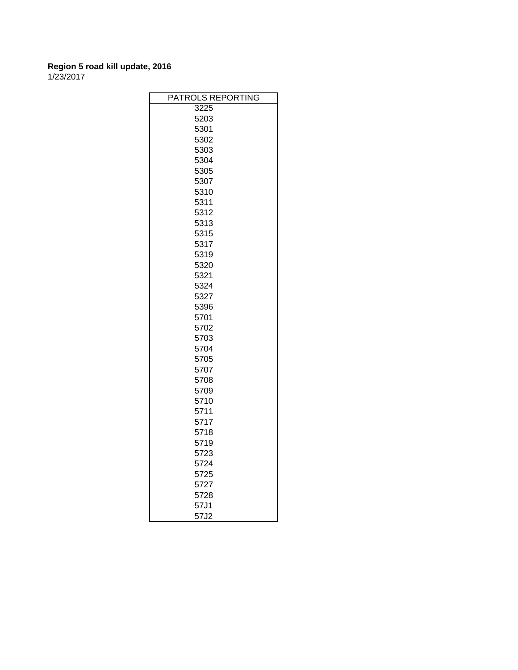| PATROLS REPORTING |  |
|-------------------|--|
| 3225              |  |
| 5203              |  |
| 5301              |  |
| 5302              |  |
| 5303              |  |
| 5304              |  |
| 5305              |  |
| 5307              |  |
| 5310              |  |
| 5311              |  |
| 5312              |  |
| 5313              |  |
| 5315              |  |
| 5317              |  |
| 5319              |  |
| 5320              |  |
| 5321              |  |
| 5324              |  |
| 5327              |  |
| 5396              |  |
| 5701              |  |
| 5702              |  |
| 5703              |  |
| 5704              |  |
| 5705              |  |
| 5707              |  |
| 5708              |  |
| 5709              |  |
| 5710              |  |
| 5711              |  |
| 5717              |  |
| 5718              |  |
| 5719              |  |
| 5723              |  |
| 5724              |  |
| 5725              |  |
| 5727              |  |
| 5728              |  |
| 57J1              |  |
| 57J2              |  |